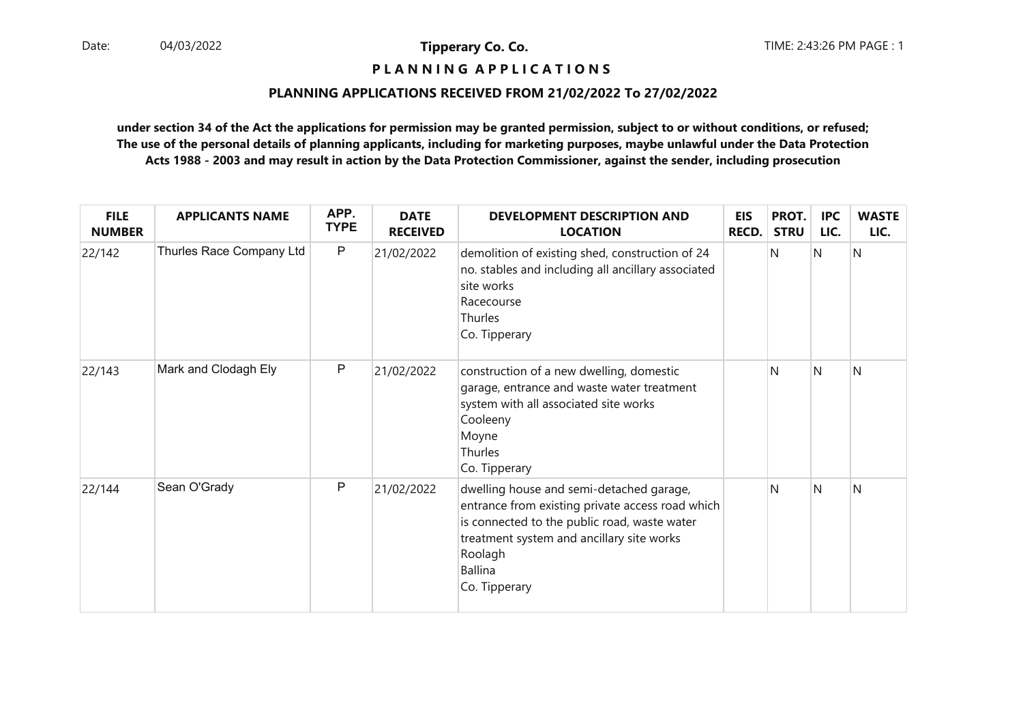## **P L A N N I N G A P P L I C A T I O N S**

#### **PLANNING APPLICATIONS RECEIVED FROM 21/02/2022 To 27/02/2022**

| <b>FILE</b><br><b>NUMBER</b> | <b>APPLICANTS NAME</b>   | APP.<br><b>TYPE</b> | <b>DATE</b><br><b>RECEIVED</b> | <b>DEVELOPMENT DESCRIPTION AND</b><br><b>LOCATION</b>                                                                                                                                                                                   | <b>EIS</b><br>RECD. | PROT.<br><b>STRU</b> | <b>IPC</b><br>LIC. | <b>WASTE</b><br>LIC. |
|------------------------------|--------------------------|---------------------|--------------------------------|-----------------------------------------------------------------------------------------------------------------------------------------------------------------------------------------------------------------------------------------|---------------------|----------------------|--------------------|----------------------|
| 22/142                       | Thurles Race Company Ltd | $\mathsf{P}$        | 21/02/2022                     | demolition of existing shed, construction of 24<br>no. stables and including all ancillary associated<br>site works<br>Racecourse<br>Thurles<br>Co. Tipperary                                                                           |                     | N                    | N                  | N                    |
| 22/143                       | Mark and Clodagh Ely     | $\mathsf{P}$        | 21/02/2022                     | construction of a new dwelling, domestic<br>garage, entrance and waste water treatment<br>system with all associated site works<br>Cooleeny<br>Moyne<br><b>Thurles</b><br>Co. Tipperary                                                 |                     | N                    | N                  | N                    |
| 22/144                       | Sean O'Grady             | P                   | 21/02/2022                     | dwelling house and semi-detached garage,<br>entrance from existing private access road which<br>is connected to the public road, waste water<br>treatment system and ancillary site works<br>Roolagh<br><b>Ballina</b><br>Co. Tipperary |                     | N                    | <sup>N</sup>       | N                    |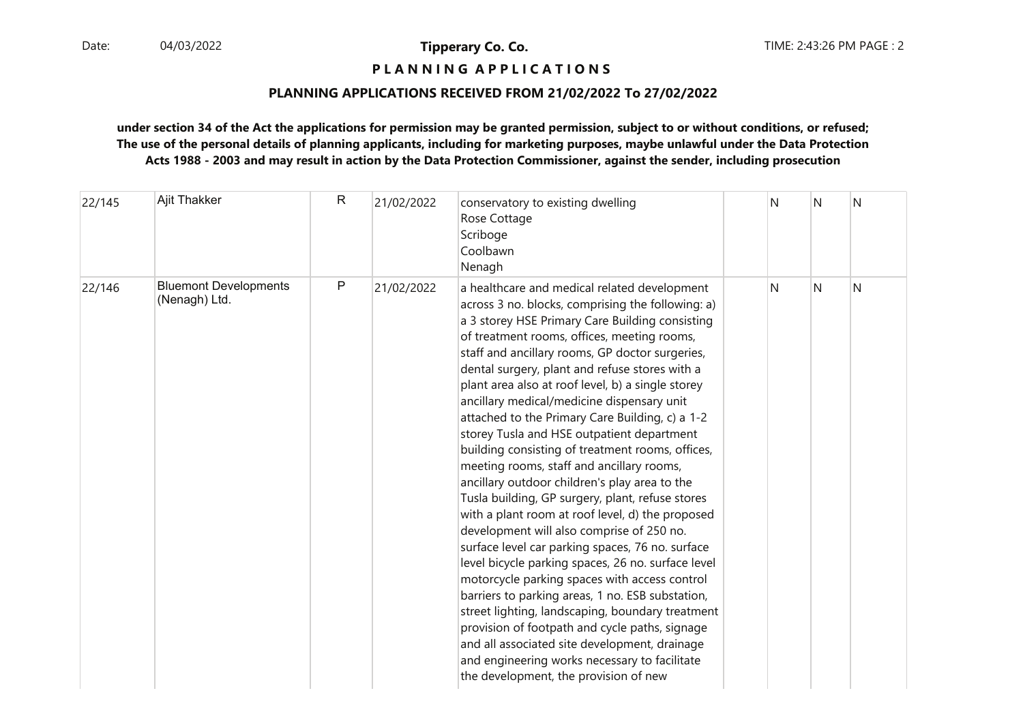## **P L A N N I N G A P P L I C A T I O N S**

#### **PLANNING APPLICATIONS RECEIVED FROM 21/02/2022 To 27/02/2022**

| 22/145 | Ajit Thakker                                  | R            | 21/02/2022 | conservatory to existing dwelling<br>Rose Cottage<br>Scriboge<br>Coolbawn<br>Nenagh                                                                                                                                                                                                                                                                                                                                                                                                                                                                                                                                                                                                                                                                                                                                                                                                                                                                                                                                                                                                                                                                                                                                                                                                 | N | N | N |
|--------|-----------------------------------------------|--------------|------------|-------------------------------------------------------------------------------------------------------------------------------------------------------------------------------------------------------------------------------------------------------------------------------------------------------------------------------------------------------------------------------------------------------------------------------------------------------------------------------------------------------------------------------------------------------------------------------------------------------------------------------------------------------------------------------------------------------------------------------------------------------------------------------------------------------------------------------------------------------------------------------------------------------------------------------------------------------------------------------------------------------------------------------------------------------------------------------------------------------------------------------------------------------------------------------------------------------------------------------------------------------------------------------------|---|---|---|
| 22/146 | <b>Bluemont Developments</b><br>(Nenagh) Ltd. | $\mathsf{P}$ | 21/02/2022 | a healthcare and medical related development<br>across 3 no. blocks, comprising the following: a)<br>a 3 storey HSE Primary Care Building consisting<br>of treatment rooms, offices, meeting rooms,<br>staff and ancillary rooms, GP doctor surgeries,<br>dental surgery, plant and refuse stores with a<br>plant area also at roof level, b) a single storey<br>ancillary medical/medicine dispensary unit<br>attached to the Primary Care Building, c) a 1-2<br>storey Tusla and HSE outpatient department<br>building consisting of treatment rooms, offices,<br>meeting rooms, staff and ancillary rooms,<br>ancillary outdoor children's play area to the<br>Tusla building, GP surgery, plant, refuse stores<br>with a plant room at roof level, d) the proposed<br>development will also comprise of 250 no.<br>surface level car parking spaces, 76 no. surface<br>level bicycle parking spaces, 26 no. surface level<br>motorcycle parking spaces with access control<br>barriers to parking areas, 1 no. ESB substation,<br>street lighting, landscaping, boundary treatment<br>provision of footpath and cycle paths, signage<br>and all associated site development, drainage<br>and engineering works necessary to facilitate<br>the development, the provision of new | N | N | N |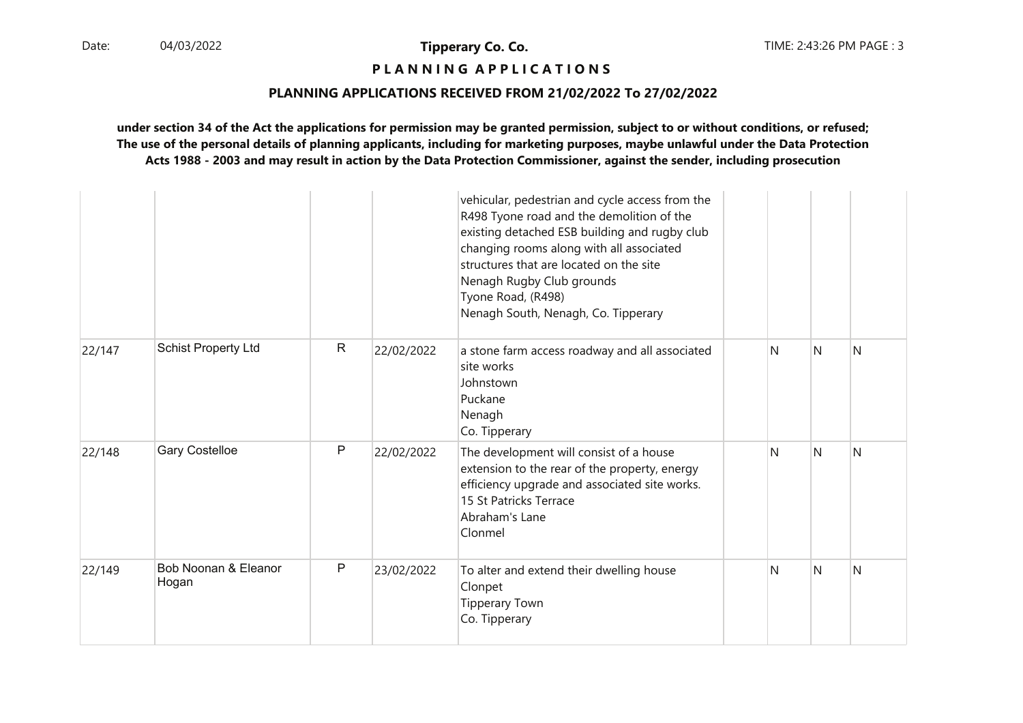## **P L A N N I N G A P P L I C A T I O N S**

#### **PLANNING APPLICATIONS RECEIVED FROM 21/02/2022 To 27/02/2022**

|        |                               |              |            | vehicular, pedestrian and cycle access from the<br>R498 Tyone road and the demolition of the<br>existing detached ESB building and rugby club<br>changing rooms along with all associated<br>structures that are located on the site<br>Nenagh Rugby Club grounds<br>Tyone Road, (R498)<br>Nenagh South, Nenagh, Co. Tipperary |    |   |   |
|--------|-------------------------------|--------------|------------|--------------------------------------------------------------------------------------------------------------------------------------------------------------------------------------------------------------------------------------------------------------------------------------------------------------------------------|----|---|---|
| 22/147 | <b>Schist Property Ltd</b>    | $\mathsf{R}$ | 22/02/2022 | a stone farm access roadway and all associated<br>site works<br>Johnstown<br>Puckane<br>Nenagh<br>Co. Tipperary                                                                                                                                                                                                                | N. | N | N |
| 22/148 | <b>Gary Costelloe</b>         | P            | 22/02/2022 | The development will consist of a house<br>extension to the rear of the property, energy<br>efficiency upgrade and associated site works.<br>15 St Patricks Terrace<br>Abraham's Lane<br>Clonmel                                                                                                                               | N  | N | N |
| 22/149 | Bob Noonan & Eleanor<br>Hogan | $\mathsf{P}$ | 23/02/2022 | To alter and extend their dwelling house<br>Clonpet<br><b>Tipperary Town</b><br>Co. Tipperary                                                                                                                                                                                                                                  | N  | N | N |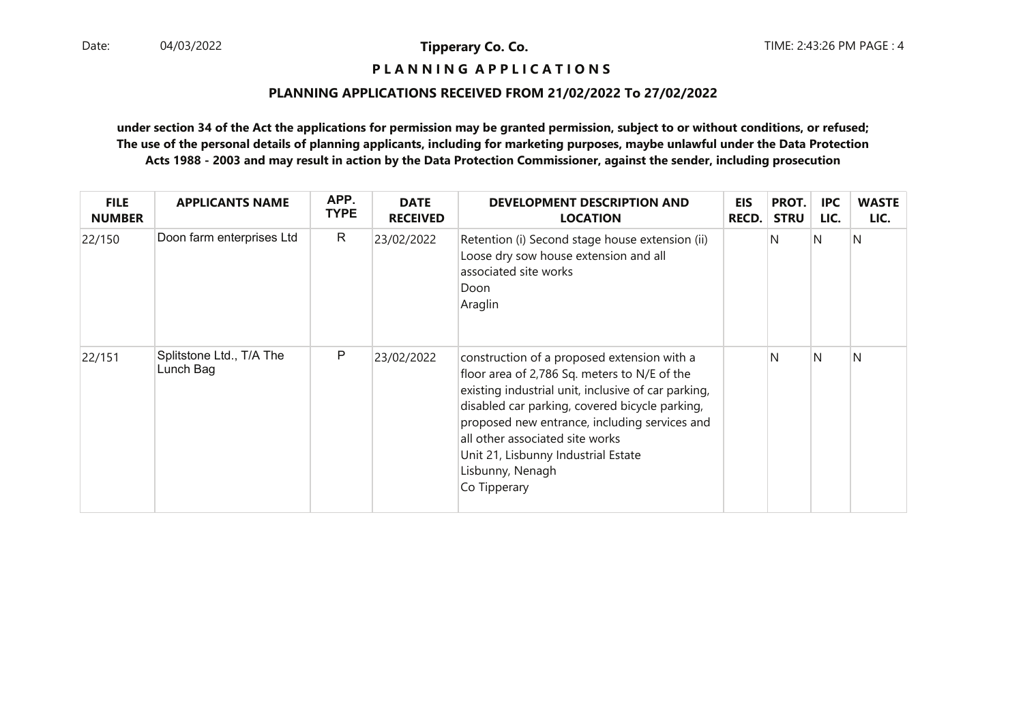## **P L A N N I N G A P P L I C A T I O N S**

#### **PLANNING APPLICATIONS RECEIVED FROM 21/02/2022 To 27/02/2022**

| <b>FILE</b><br><b>NUMBER</b> | <b>APPLICANTS NAME</b>                | APP.<br><b>TYPE</b> | <b>DATE</b><br><b>RECEIVED</b> | <b>DEVELOPMENT DESCRIPTION AND</b><br><b>LOCATION</b>                                                                                                                                                                                                                                                                                                               | EIS<br><b>RECD.</b> | PROT.<br><b>STRU</b> | <b>IPC</b><br>LIC. | <b>WASTE</b><br>LIC. |
|------------------------------|---------------------------------------|---------------------|--------------------------------|---------------------------------------------------------------------------------------------------------------------------------------------------------------------------------------------------------------------------------------------------------------------------------------------------------------------------------------------------------------------|---------------------|----------------------|--------------------|----------------------|
| 22/150                       | Doon farm enterprises Ltd             | $\mathsf{R}$        | 23/02/2022                     | Retention (i) Second stage house extension (ii)<br>Loose dry sow house extension and all<br>associated site works<br>Doon<br>Araglin                                                                                                                                                                                                                                |                     | N                    | N                  | N                    |
| 22/151                       | Splitstone Ltd., T/A The<br>Lunch Bag | P                   | 23/02/2022                     | construction of a proposed extension with a<br>floor area of 2,786 Sq. meters to N/E of the<br>existing industrial unit, inclusive of car parking,<br>disabled car parking, covered bicycle parking,<br>proposed new entrance, including services and<br>all other associated site works<br>Unit 21, Lisbunny Industrial Estate<br>Lisbunny, Nenagh<br>Co Tipperary |                     | N                    | N                  | N                    |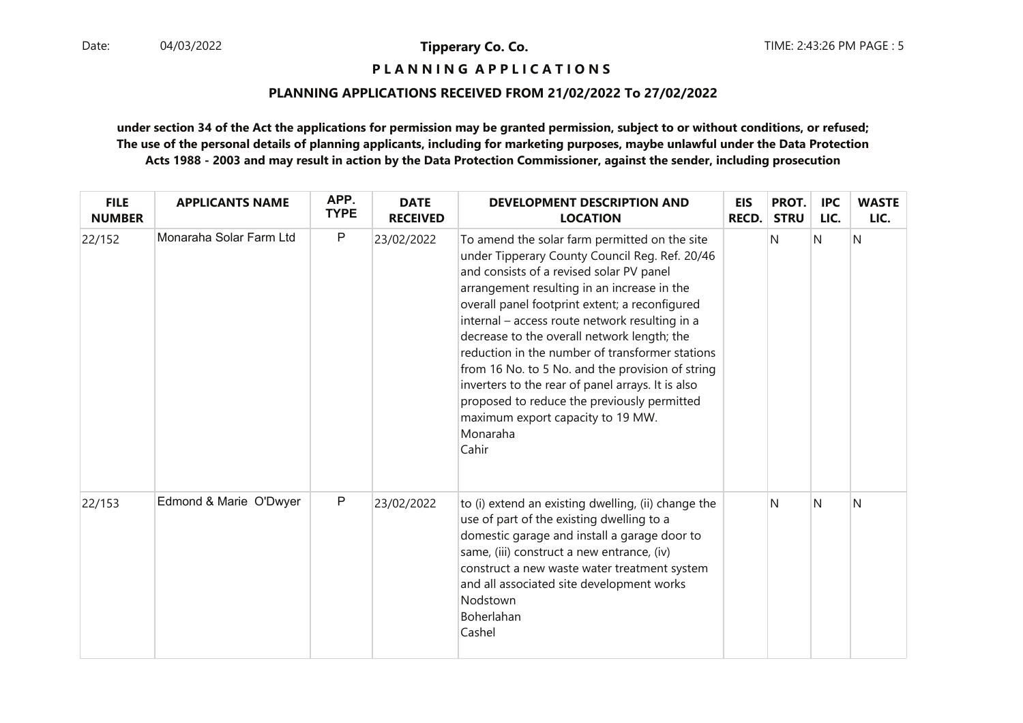**P L A N N I N G A P P L I C A T I O N S** 

#### **PLANNING APPLICATIONS RECEIVED FROM 21/02/2022 To 27/02/2022**

| <b>FILE</b><br><b>NUMBER</b> | <b>APPLICANTS NAME</b>  | APP.<br><b>TYPE</b> | <b>DATE</b><br><b>RECEIVED</b> | <b>DEVELOPMENT DESCRIPTION AND</b><br><b>LOCATION</b>                                                                                                                                                                                                                                                                                                                                                                                                                                                                                                                                                              | EIS<br>RECD. | PROT.<br><b>STRU</b> | <b>IPC</b><br>LIC. | <b>WASTE</b><br>LIC. |
|------------------------------|-------------------------|---------------------|--------------------------------|--------------------------------------------------------------------------------------------------------------------------------------------------------------------------------------------------------------------------------------------------------------------------------------------------------------------------------------------------------------------------------------------------------------------------------------------------------------------------------------------------------------------------------------------------------------------------------------------------------------------|--------------|----------------------|--------------------|----------------------|
| 22/152                       | Monaraha Solar Farm Ltd | $\mathsf{P}$        | 23/02/2022                     | To amend the solar farm permitted on the site<br>under Tipperary County Council Reg. Ref. 20/46<br>and consists of a revised solar PV panel<br>arrangement resulting in an increase in the<br>overall panel footprint extent; a reconfigured<br>internal - access route network resulting in a<br>decrease to the overall network length; the<br>reduction in the number of transformer stations<br>from 16 No. to 5 No. and the provision of string<br>inverters to the rear of panel arrays. It is also<br>proposed to reduce the previously permitted<br>maximum export capacity to 19 MW.<br>Monaraha<br>Cahir |              | N                    | $\mathsf{N}$       | N                    |
| 22/153                       | Edmond & Marie O'Dwyer  | $\mathsf{P}$        | 23/02/2022                     | to (i) extend an existing dwelling, (ii) change the<br>use of part of the existing dwelling to a<br>domestic garage and install a garage door to<br>same, (iii) construct a new entrance, (iv)<br>construct a new waste water treatment system<br>and all associated site development works<br>Nodstown<br>Boherlahan<br>Cashel                                                                                                                                                                                                                                                                                    |              | N                    | $\mathsf{N}$       | N                    |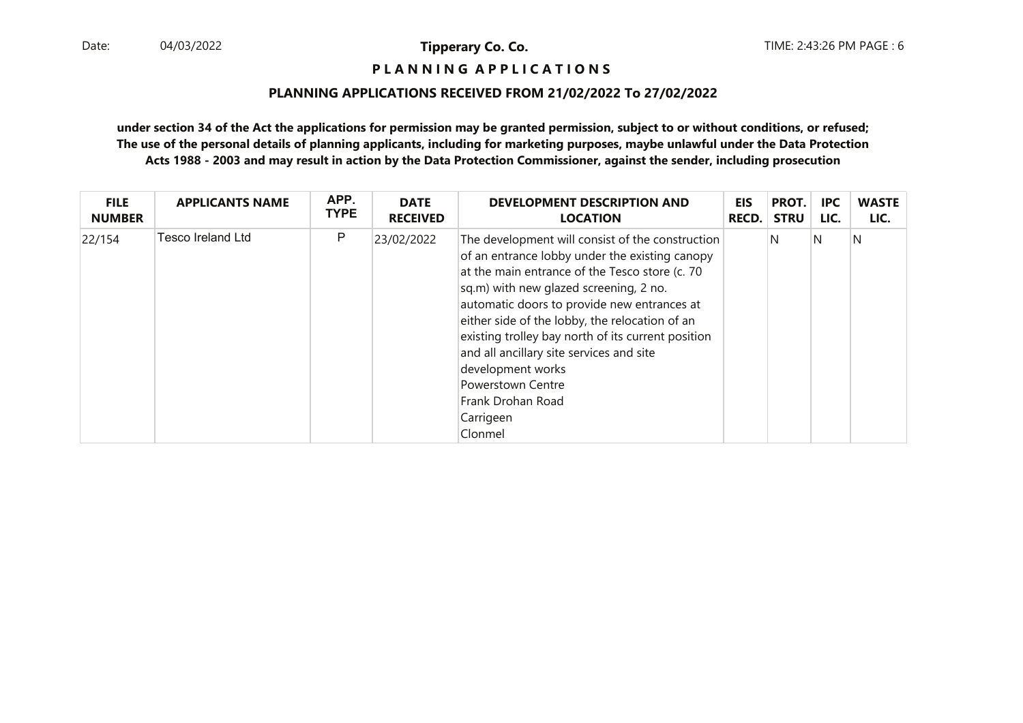## **P L A N N I N G A P P L I C A T I O N S**

#### **PLANNING APPLICATIONS RECEIVED FROM 21/02/2022 To 27/02/2022**

| <b>FILE</b>   | <b>APPLICANTS NAME</b> | APP.        | <b>DATE</b>     | <b>DEVELOPMENT DESCRIPTION AND</b>                                                                                                                                                                                                                                                                                                                                                                                                                                                              | <b>EIS</b>   | PROT.       | <b>IPC</b> | <b>WASTE</b> |
|---------------|------------------------|-------------|-----------------|-------------------------------------------------------------------------------------------------------------------------------------------------------------------------------------------------------------------------------------------------------------------------------------------------------------------------------------------------------------------------------------------------------------------------------------------------------------------------------------------------|--------------|-------------|------------|--------------|
| <b>NUMBER</b> |                        | <b>TYPE</b> | <b>RECEIVED</b> | <b>LOCATION</b>                                                                                                                                                                                                                                                                                                                                                                                                                                                                                 | <b>RECD.</b> | <b>STRU</b> | LIC.       | LIC.         |
| 22/154        | Tesco Ireland Ltd      | P           | 23/02/2022      | The development will consist of the construction<br>of an entrance lobby under the existing canopy<br>at the main entrance of the Tesco store (c. 70<br>sq.m) with new glazed screening, 2 no.<br>automatic doors to provide new entrances at<br>either side of the lobby, the relocation of an<br>existing trolley bay north of its current position<br>and all ancillary site services and site<br>development works<br><b>Powerstown Centre</b><br>Frank Drohan Road<br>Carrigeen<br>Clonmel |              | N           | N          | N            |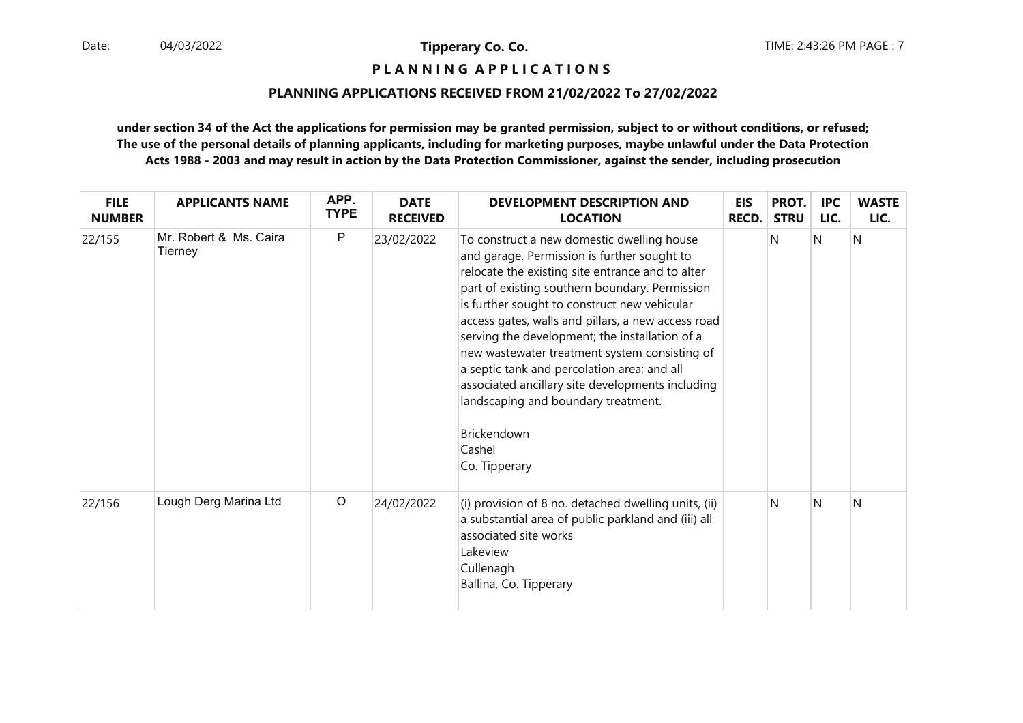**P L A N N I N G A P P L I C A T I O N S** 

#### **PLANNING APPLICATIONS RECEIVED FROM 21/02/2022 To 27/02/2022**

| <b>FILE</b><br><b>NUMBER</b> | <b>APPLICANTS NAME</b>            | APP.<br><b>TYPE</b> | <b>DATE</b><br><b>RECEIVED</b> | DEVELOPMENT DESCRIPTION AND<br><b>LOCATION</b>                                                                                                                                                                                                                                                                                                                                                                                                                                                                                                                                               | <b>EIS</b><br><b>RECD.</b> | PROT.<br><b>STRU</b> | <b>IPC</b><br>LIC. | <b>WASTE</b><br>LIC. |
|------------------------------|-----------------------------------|---------------------|--------------------------------|----------------------------------------------------------------------------------------------------------------------------------------------------------------------------------------------------------------------------------------------------------------------------------------------------------------------------------------------------------------------------------------------------------------------------------------------------------------------------------------------------------------------------------------------------------------------------------------------|----------------------------|----------------------|--------------------|----------------------|
| 22/155                       | Mr. Robert & Ms. Caira<br>Tierney | P                   | 23/02/2022                     | To construct a new domestic dwelling house<br>and garage. Permission is further sought to<br>relocate the existing site entrance and to alter<br>part of existing southern boundary. Permission<br>is further sought to construct new vehicular<br>access gates, walls and pillars, a new access road<br>serving the development; the installation of a<br>new wastewater treatment system consisting of<br>a septic tank and percolation area; and all<br>associated ancillary site developments including<br>landscaping and boundary treatment.<br>Brickendown<br>Cashel<br>Co. Tipperary |                            | N                    | N                  | N                    |
| 22/156                       | Lough Derg Marina Ltd             | $\circ$             | 24/02/2022                     | (i) provision of 8 no. detached dwelling units, (ii)<br>a substantial area of public parkland and (iii) all<br>associated site works<br>Lakeview<br>Cullenagh<br>Ballina, Co. Tipperary                                                                                                                                                                                                                                                                                                                                                                                                      |                            | N                    | N                  | N                    |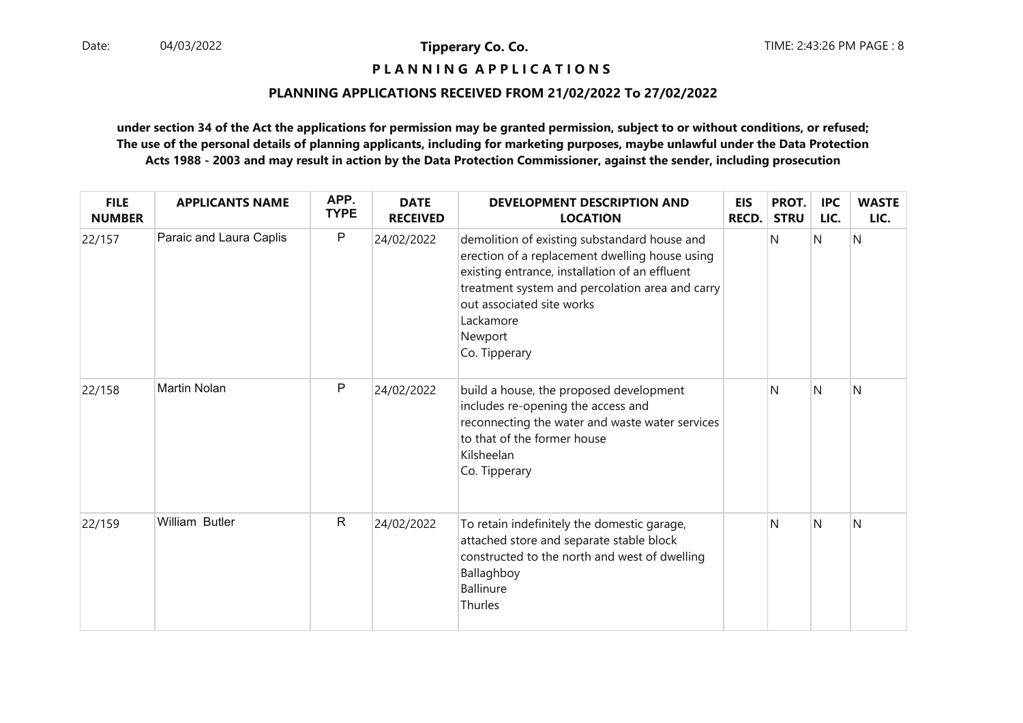## **P L A N N I N G A P P L I C A T I O N S**

#### **PLANNING APPLICATIONS RECEIVED FROM 21/02/2022 To 27/02/2022**

| <b>FILE</b><br><b>NUMBER</b> | <b>APPLICANTS NAME</b>  | APP.<br><b>TYPE</b> | <b>DATE</b><br><b>RECEIVED</b> | <b>DEVELOPMENT DESCRIPTION AND</b><br><b>LOCATION</b>                                                                                                                                                                                                                     | <b>EIS</b><br><b>RECD.</b> | PROT.<br><b>STRU</b> | <b>IPC</b><br>LIC. | <b>WASTE</b><br>LIC. |
|------------------------------|-------------------------|---------------------|--------------------------------|---------------------------------------------------------------------------------------------------------------------------------------------------------------------------------------------------------------------------------------------------------------------------|----------------------------|----------------------|--------------------|----------------------|
| 22/157                       | Paraic and Laura Caplis | $\mathsf P$         | 24/02/2022                     | demolition of existing substandard house and<br>erection of a replacement dwelling house using<br>existing entrance, installation of an effluent<br>treatment system and percolation area and carry<br>out associated site works<br>Lackamore<br>Newport<br>Co. Tipperary |                            | N                    | N                  | N                    |
| 22/158                       | <b>Martin Nolan</b>     | P                   | 24/02/2022                     | build a house, the proposed development<br>includes re-opening the access and<br>reconnecting the water and waste water services<br>to that of the former house<br>Kilsheelan<br>Co. Tipperary                                                                            |                            | N                    | $\mathsf{N}$       | N                    |
| 22/159                       | William Butler          | $\mathsf{R}$        | 24/02/2022                     | To retain indefinitely the domestic garage,<br>attached store and separate stable block<br>constructed to the north and west of dwelling<br>Ballaghboy<br><b>Ballinure</b><br>Thurles                                                                                     |                            | N                    | N                  | N                    |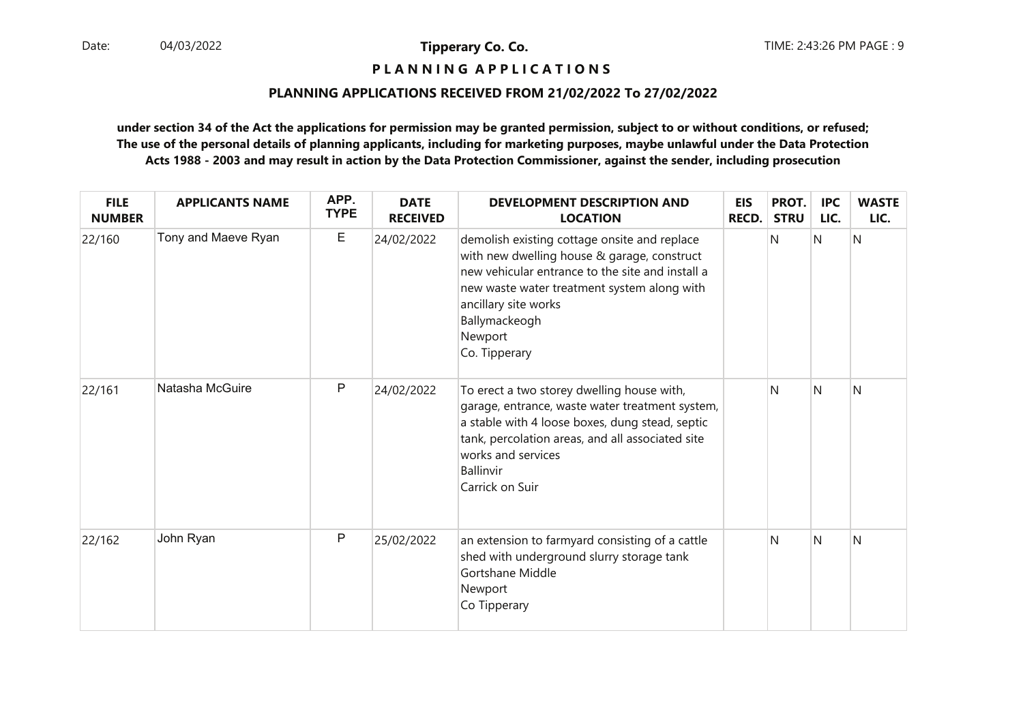## **P L A N N I N G A P P L I C A T I O N S**

#### **PLANNING APPLICATIONS RECEIVED FROM 21/02/2022 To 27/02/2022**

| <b>FILE</b><br><b>NUMBER</b> | <b>APPLICANTS NAME</b> | APP.<br><b>TYPE</b> | <b>DATE</b><br><b>RECEIVED</b> | <b>DEVELOPMENT DESCRIPTION AND</b><br><b>LOCATION</b>                                                                                                                                                                                                               | <b>EIS</b><br><b>RECD.</b> | PROT.<br><b>STRU</b> | <b>IPC</b><br>LIC. | <b>WASTE</b><br>LIC. |
|------------------------------|------------------------|---------------------|--------------------------------|---------------------------------------------------------------------------------------------------------------------------------------------------------------------------------------------------------------------------------------------------------------------|----------------------------|----------------------|--------------------|----------------------|
| 22/160                       | Tony and Maeve Ryan    | E                   | 24/02/2022                     | demolish existing cottage onsite and replace<br>with new dwelling house & garage, construct<br>new vehicular entrance to the site and install a<br>new waste water treatment system along with<br>ancillary site works<br>Ballymackeogh<br>Newport<br>Co. Tipperary |                            | N                    | $\mathsf{N}$       | N                    |
| 22/161                       | Natasha McGuire        | P                   | 24/02/2022                     | To erect a two storey dwelling house with,<br>garage, entrance, waste water treatment system,<br>a stable with 4 loose boxes, dung stead, septic<br>tank, percolation areas, and all associated site<br>works and services<br>Ballinvir<br>Carrick on Suir          |                            | N                    | N                  | N                    |
| 22/162                       | John Ryan              | P                   | 25/02/2022                     | an extension to farmyard consisting of a cattle<br>shed with underground slurry storage tank<br>Gortshane Middle<br>Newport<br>Co Tipperary                                                                                                                         |                            | N                    | N                  | N                    |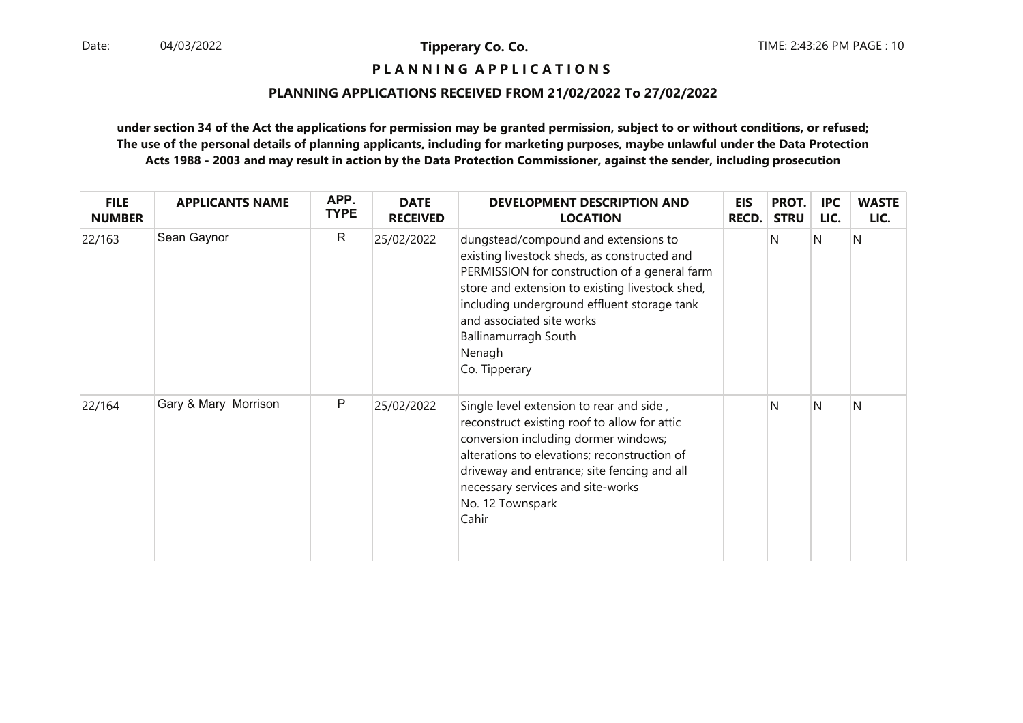**P L A N N I N G A P P L I C A T I O N S** 

#### **PLANNING APPLICATIONS RECEIVED FROM 21/02/2022 To 27/02/2022**

| <b>FILE</b><br><b>NUMBER</b> | <b>APPLICANTS NAME</b> | APP.<br><b>TYPE</b> | <b>DATE</b><br><b>RECEIVED</b> | <b>DEVELOPMENT DESCRIPTION AND</b><br><b>LOCATION</b>                                                                                                                                                                                                                                                                   | <b>EIS</b><br><b>RECD.</b> | PROT.<br><b>STRU</b> | <b>IPC</b><br>LIC. | <b>WASTE</b><br>LIC. |
|------------------------------|------------------------|---------------------|--------------------------------|-------------------------------------------------------------------------------------------------------------------------------------------------------------------------------------------------------------------------------------------------------------------------------------------------------------------------|----------------------------|----------------------|--------------------|----------------------|
| 22/163                       | Sean Gaynor            | $\mathsf{R}$        | 25/02/2022                     | dungstead/compound and extensions to<br>existing livestock sheds, as constructed and<br>PERMISSION for construction of a general farm<br>store and extension to existing livestock shed,<br>including underground effluent storage tank<br>and associated site works<br>Ballinamurragh South<br>Nenagh<br>Co. Tipperary |                            | N                    | N                  | N                    |
| 22/164                       | Gary & Mary Morrison   | P                   | 25/02/2022                     | Single level extension to rear and side,<br>reconstruct existing roof to allow for attic<br>conversion including dormer windows;<br>alterations to elevations; reconstruction of<br>driveway and entrance; site fencing and all<br>necessary services and site-works<br>No. 12 Townspark<br>Cahir                       |                            | N                    | N                  | N                    |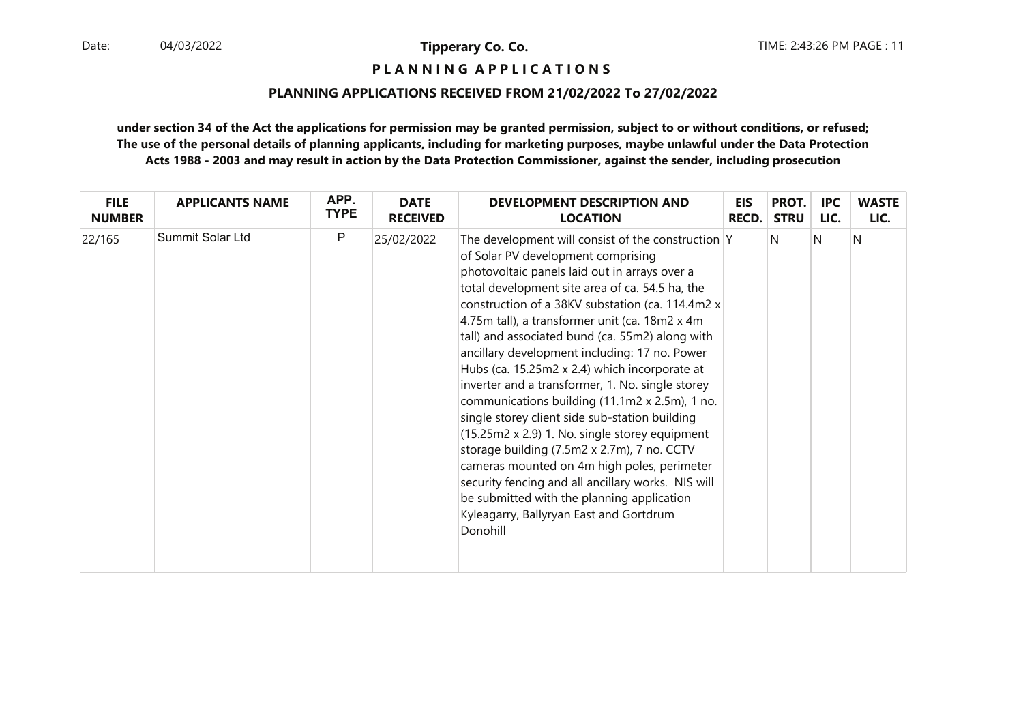**P L A N N I N G A P P L I C A T I O N S** 

#### **PLANNING APPLICATIONS RECEIVED FROM 21/02/2022 To 27/02/2022**

| <b>FILE</b>   | <b>APPLICANTS NAME</b> | APP.        | <b>DATE</b>     | <b>DEVELOPMENT DESCRIPTION AND</b>                                                                                                                                                                                                                                                                                                                                                                                                                                                                                                                                                                                                                                                                                                                                                                                                                                                                                           | <b>EIS</b> | PROT.       | <b>IPC</b> | <b>WASTE</b> |
|---------------|------------------------|-------------|-----------------|------------------------------------------------------------------------------------------------------------------------------------------------------------------------------------------------------------------------------------------------------------------------------------------------------------------------------------------------------------------------------------------------------------------------------------------------------------------------------------------------------------------------------------------------------------------------------------------------------------------------------------------------------------------------------------------------------------------------------------------------------------------------------------------------------------------------------------------------------------------------------------------------------------------------------|------------|-------------|------------|--------------|
| <b>NUMBER</b> |                        | <b>TYPE</b> | <b>RECEIVED</b> | <b>LOCATION</b>                                                                                                                                                                                                                                                                                                                                                                                                                                                                                                                                                                                                                                                                                                                                                                                                                                                                                                              | RECD.      | <b>STRU</b> | LIC.       | LIC.         |
| 22/165        | Summit Solar Ltd       | P           | 25/02/2022      | The development will consist of the construction Y<br>of Solar PV development comprising<br>photovoltaic panels laid out in arrays over a<br>total development site area of ca. 54.5 ha, the<br>construction of a 38KV substation (ca. 114.4m2 x<br>4.75m tall), a transformer unit (ca. 18m2 x 4m<br>tall) and associated bund (ca. 55m2) along with<br>ancillary development including: 17 no. Power<br>Hubs (ca. 15.25m2 x 2.4) which incorporate at<br>inverter and a transformer, 1. No. single storey<br>communications building (11.1m2 x 2.5m), 1 no.<br>single storey client side sub-station building<br>$(15.25m2 x 2.9)$ 1. No. single storey equipment<br>storage building (7.5m2 x 2.7m), 7 no. CCTV<br>cameras mounted on 4m high poles, perimeter<br>security fencing and all ancillary works. NIS will<br>be submitted with the planning application<br>Kyleagarry, Ballyryan East and Gortdrum<br>Donohill |            | IN.         | N          | N            |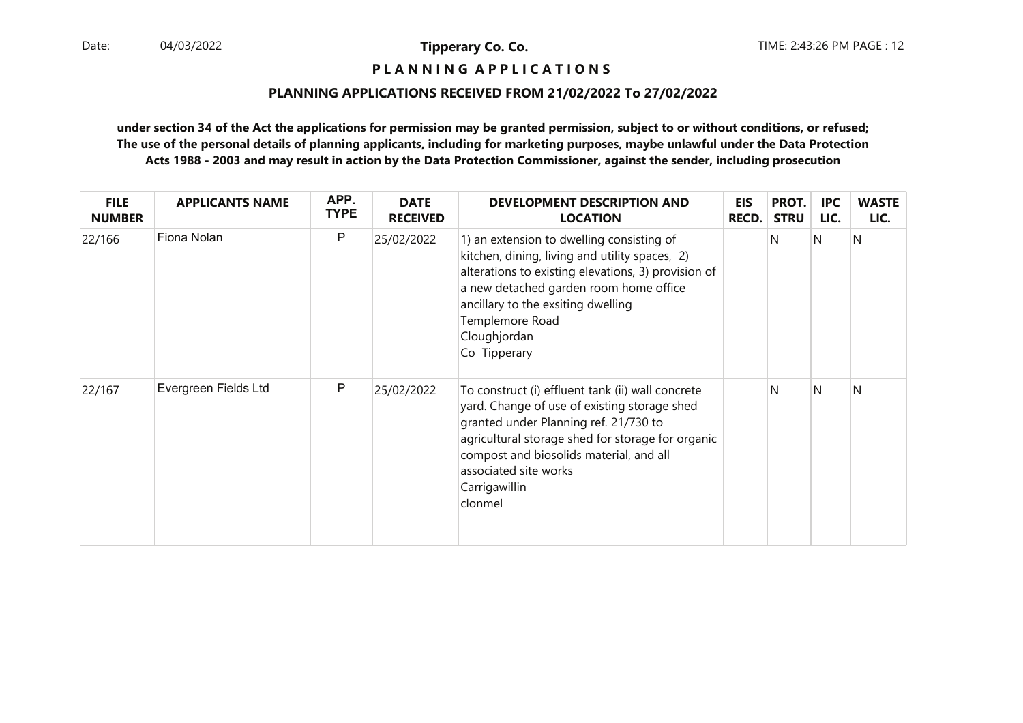## **P L A N N I N G A P P L I C A T I O N S**

#### **PLANNING APPLICATIONS RECEIVED FROM 21/02/2022 To 27/02/2022**

| <b>FILE</b><br><b>NUMBER</b> | <b>APPLICANTS NAME</b> | APP.<br><b>TYPE</b> | <b>DATE</b><br><b>RECEIVED</b> | <b>DEVELOPMENT DESCRIPTION AND</b><br><b>LOCATION</b>                                                                                                                                                                                                                                           | <b>EIS</b><br><b>RECD.</b> | PROT.<br><b>STRU</b> | <b>IPC</b><br>LIC. | <b>WASTE</b><br>LIC. |
|------------------------------|------------------------|---------------------|--------------------------------|-------------------------------------------------------------------------------------------------------------------------------------------------------------------------------------------------------------------------------------------------------------------------------------------------|----------------------------|----------------------|--------------------|----------------------|
| 22/166                       | Fiona Nolan            | P                   | 25/02/2022                     | 1) an extension to dwelling consisting of<br>kitchen, dining, living and utility spaces, 2)<br>alterations to existing elevations, 3) provision of<br>a new detached garden room home office<br>ancillary to the exsiting dwelling<br>Templemore Road<br>Cloughjordan<br>Co Tipperary           |                            | N                    | N                  | IN.                  |
| 22/167                       | Evergreen Fields Ltd   | P                   | 25/02/2022                     | To construct (i) effluent tank (ii) wall concrete<br>yard. Change of use of existing storage shed<br>granted under Planning ref. 21/730 to<br>agricultural storage shed for storage for organic<br>compost and biosolids material, and all<br>associated site works<br>Carrigawillin<br>clonmel |                            | N                    | N                  | N                    |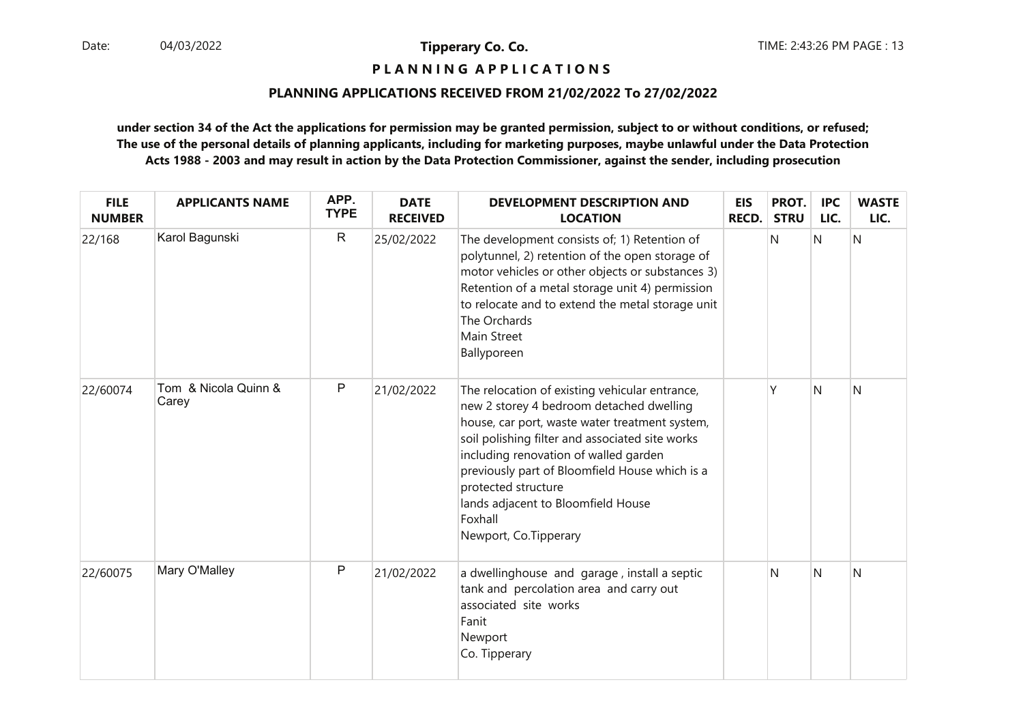## **P L A N N I N G A P P L I C A T I O N S**

#### **PLANNING APPLICATIONS RECEIVED FROM 21/02/2022 To 27/02/2022**

| <b>FILE</b><br><b>NUMBER</b> | <b>APPLICANTS NAME</b>        | APP.<br><b>TYPE</b> | <b>DATE</b><br><b>RECEIVED</b> | <b>DEVELOPMENT DESCRIPTION AND</b><br><b>LOCATION</b>                                                                                                                                                                                                                                                                                                                                       | <b>EIS</b><br><b>RECD.</b> | PROT.<br><b>STRU</b> | <b>IPC</b><br>LIC. | <b>WASTE</b><br>LIC. |
|------------------------------|-------------------------------|---------------------|--------------------------------|---------------------------------------------------------------------------------------------------------------------------------------------------------------------------------------------------------------------------------------------------------------------------------------------------------------------------------------------------------------------------------------------|----------------------------|----------------------|--------------------|----------------------|
| 22/168                       | Karol Bagunski                | $\mathsf{R}$        | 25/02/2022                     | The development consists of; 1) Retention of<br>polytunnel, 2) retention of the open storage of<br>motor vehicles or other objects or substances 3)<br>Retention of a metal storage unit 4) permission<br>to relocate and to extend the metal storage unit<br>The Orchards<br>Main Street<br>Ballyporeen                                                                                    |                            | N                    | N                  | N                    |
| 22/60074                     | Tom & Nicola Quinn &<br>Carey | $\mathsf{P}$        | 21/02/2022                     | The relocation of existing vehicular entrance,<br>new 2 storey 4 bedroom detached dwelling<br>house, car port, waste water treatment system,<br>soil polishing filter and associated site works<br>including renovation of walled garden<br>previously part of Bloomfield House which is a<br>protected structure<br>lands adjacent to Bloomfield House<br>Foxhall<br>Newport, Co.Tipperary |                            | γ                    | Ν                  | N                    |
| 22/60075                     | Mary O'Malley                 | P                   | 21/02/2022                     | a dwellinghouse and garage, install a septic<br>tank and percolation area and carry out<br>associated site works<br>Fanit<br>Newport<br>Co. Tipperary                                                                                                                                                                                                                                       |                            | N                    | N                  | N                    |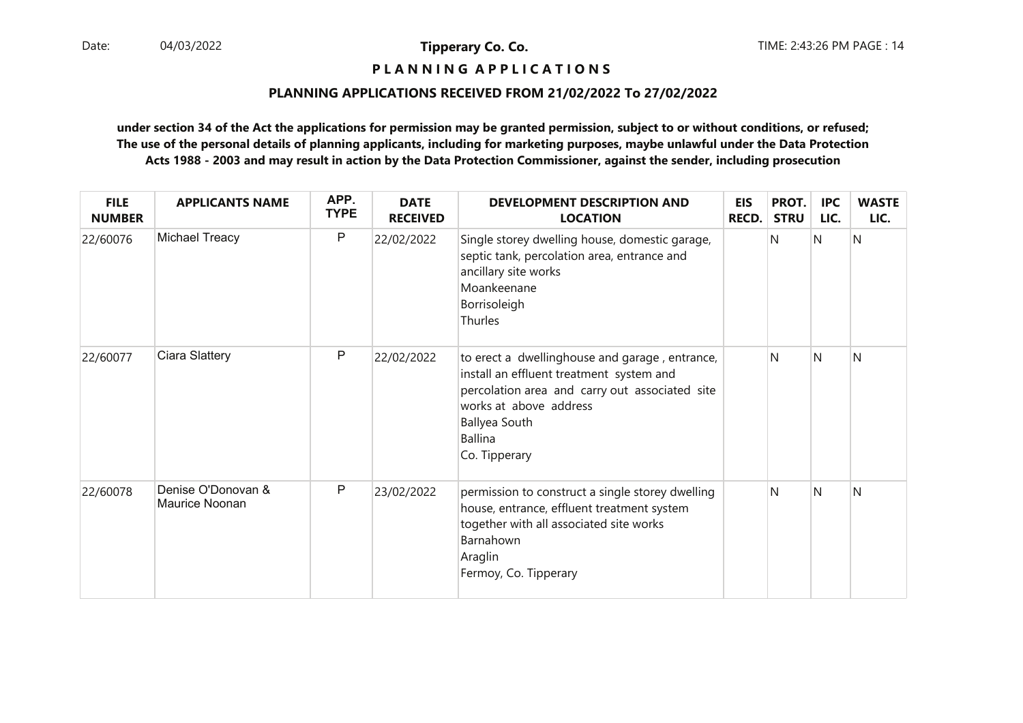## **P L A N N I N G A P P L I C A T I O N S**

#### **PLANNING APPLICATIONS RECEIVED FROM 21/02/2022 To 27/02/2022**

| <b>FILE</b><br><b>NUMBER</b> | <b>APPLICANTS NAME</b>               | APP.<br><b>TYPE</b> | <b>DATE</b><br><b>RECEIVED</b> | <b>DEVELOPMENT DESCRIPTION AND</b><br><b>LOCATION</b>                                                                                                                                                                      | <b>EIS</b><br><b>RECD.</b> | PROT.<br><b>STRU</b> | <b>IPC</b><br>LIC. | <b>WASTE</b><br>LIC. |
|------------------------------|--------------------------------------|---------------------|--------------------------------|----------------------------------------------------------------------------------------------------------------------------------------------------------------------------------------------------------------------------|----------------------------|----------------------|--------------------|----------------------|
| 22/60076                     | Michael Treacy                       | P                   | 22/02/2022                     | Single storey dwelling house, domestic garage,<br>septic tank, percolation area, entrance and<br>ancillary site works<br>Moankeenane<br>Borrisoleigh<br>Thurles                                                            |                            | N                    | N                  | N                    |
| 22/60077                     | Ciara Slattery                       | P                   | 22/02/2022                     | to erect a dwellinghouse and garage, entrance,<br>install an effluent treatment system and<br>percolation area and carry out associated site<br>works at above address<br>Ballyea South<br><b>Ballina</b><br>Co. Tipperary |                            | N                    | <sup>N</sup>       | N                    |
| 22/60078                     | Denise O'Donovan &<br>Maurice Noonan | P                   | 23/02/2022                     | permission to construct a single storey dwelling<br>house, entrance, effluent treatment system<br>together with all associated site works<br>Barnahown<br>Araglin<br>Fermoy, Co. Tipperary                                 |                            | N                    | $\mathsf{N}$       | N                    |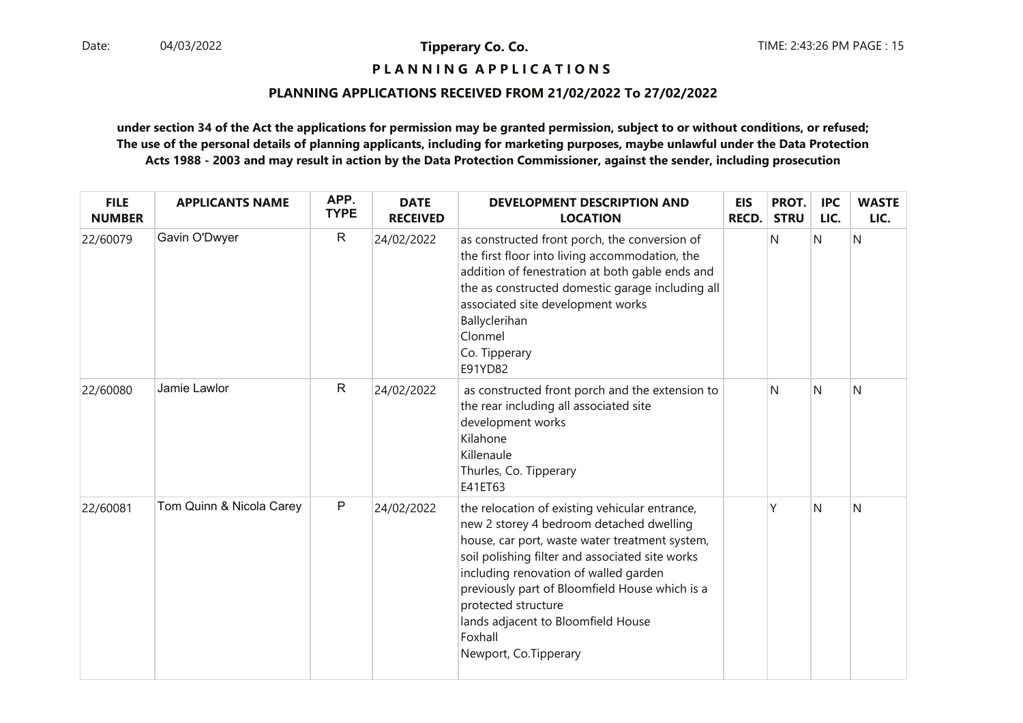## **P L A N N I N G A P P L I C A T I O N S**

#### **PLANNING APPLICATIONS RECEIVED FROM 21/02/2022 To 27/02/2022**

| <b>FILE</b><br><b>NUMBER</b> | <b>APPLICANTS NAME</b>   | APP.<br><b>TYPE</b> | <b>DATE</b><br><b>RECEIVED</b> | DEVELOPMENT DESCRIPTION AND<br><b>LOCATION</b>                                                                                                                                                                                                                                                                                                                                              | <b>EIS</b><br>RECD. | PROT.<br><b>STRU</b> | <b>IPC</b><br>LIC. | <b>WASTE</b><br>LIC. |
|------------------------------|--------------------------|---------------------|--------------------------------|---------------------------------------------------------------------------------------------------------------------------------------------------------------------------------------------------------------------------------------------------------------------------------------------------------------------------------------------------------------------------------------------|---------------------|----------------------|--------------------|----------------------|
| 22/60079                     | Gavin O'Dwyer            | $\mathsf{R}$        | 24/02/2022                     | as constructed front porch, the conversion of<br>the first floor into living accommodation, the<br>addition of fenestration at both gable ends and<br>the as constructed domestic garage including all<br>associated site development works<br>Ballyclerihan<br>Clonmel<br>Co. Tipperary<br>E91YD82                                                                                         |                     | N                    | Ν                  | N                    |
| 22/60080                     | Jamie Lawlor             | $\mathsf{R}$        | 24/02/2022                     | as constructed front porch and the extension to<br>the rear including all associated site<br>development works<br>Kilahone<br>Killenaule<br>Thurles, Co. Tipperary<br>E41ET63                                                                                                                                                                                                               |                     | N                    | N                  | N                    |
| 22/60081                     | Tom Quinn & Nicola Carey | $\mathsf{P}$        | 24/02/2022                     | the relocation of existing vehicular entrance,<br>new 2 storey 4 bedroom detached dwelling<br>house, car port, waste water treatment system,<br>soil polishing filter and associated site works<br>including renovation of walled garden<br>previously part of Bloomfield House which is a<br>protected structure<br>lands adjacent to Bloomfield House<br>Foxhall<br>Newport, Co.Tipperary |                     | γ                    | N                  | N                    |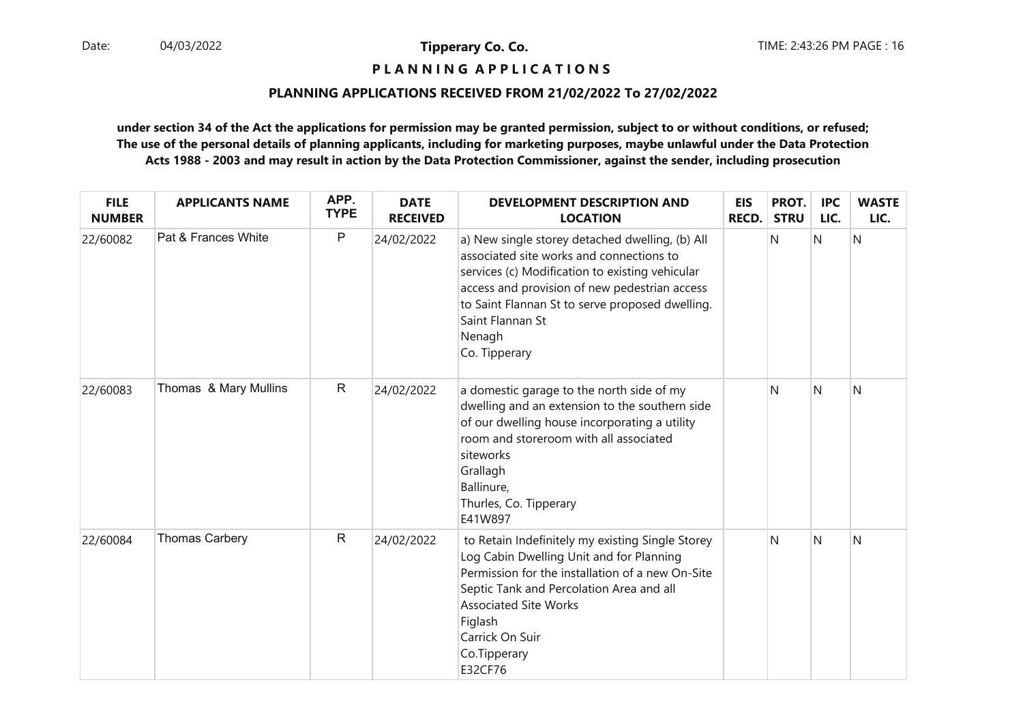## **P L A N N I N G A P P L I C A T I O N S**

#### **PLANNING APPLICATIONS RECEIVED FROM 21/02/2022 To 27/02/2022**

| <b>FILE</b><br><b>NUMBER</b> | <b>APPLICANTS NAME</b> | APP.<br><b>TYPE</b> | <b>DATE</b><br><b>RECEIVED</b> | <b>DEVELOPMENT DESCRIPTION AND</b><br><b>LOCATION</b>                                                                                                                                                                                                                                             | <b>EIS</b><br><b>RECD.</b> | PROT.<br><b>STRU</b> | <b>IPC</b><br>LIC. | <b>WASTE</b><br>LIC. |
|------------------------------|------------------------|---------------------|--------------------------------|---------------------------------------------------------------------------------------------------------------------------------------------------------------------------------------------------------------------------------------------------------------------------------------------------|----------------------------|----------------------|--------------------|----------------------|
| 22/60082                     | Pat & Frances White    | $\mathsf{P}$        | 24/02/2022                     | a) New single storey detached dwelling, (b) All<br>associated site works and connections to<br>services (c) Modification to existing vehicular<br>access and provision of new pedestrian access<br>to Saint Flannan St to serve proposed dwelling.<br>Saint Flannan St<br>Nenagh<br>Co. Tipperary |                            | N                    | N                  | N                    |
| 22/60083                     | Thomas & Mary Mullins  | $\mathsf{R}$        | 24/02/2022                     | a domestic garage to the north side of my<br>dwelling and an extension to the southern side<br>of our dwelling house incorporating a utility<br>room and storeroom with all associated<br>siteworks<br>Grallagh<br>Ballinure,<br>Thurles, Co. Tipperary<br>E41W897                                |                            | N                    | $\mathsf{N}$       | N                    |
| 22/60084                     | <b>Thomas Carbery</b>  | $\mathsf R$         | 24/02/2022                     | to Retain Indefinitely my existing Single Storey<br>Log Cabin Dwelling Unit and for Planning<br>Permission for the installation of a new On-Site<br>Septic Tank and Percolation Area and all<br><b>Associated Site Works</b><br>Figlash<br>Carrick On Suir<br>Co.Tipperary<br>E32CF76             |                            | N                    | $\mathsf{N}$       | N                    |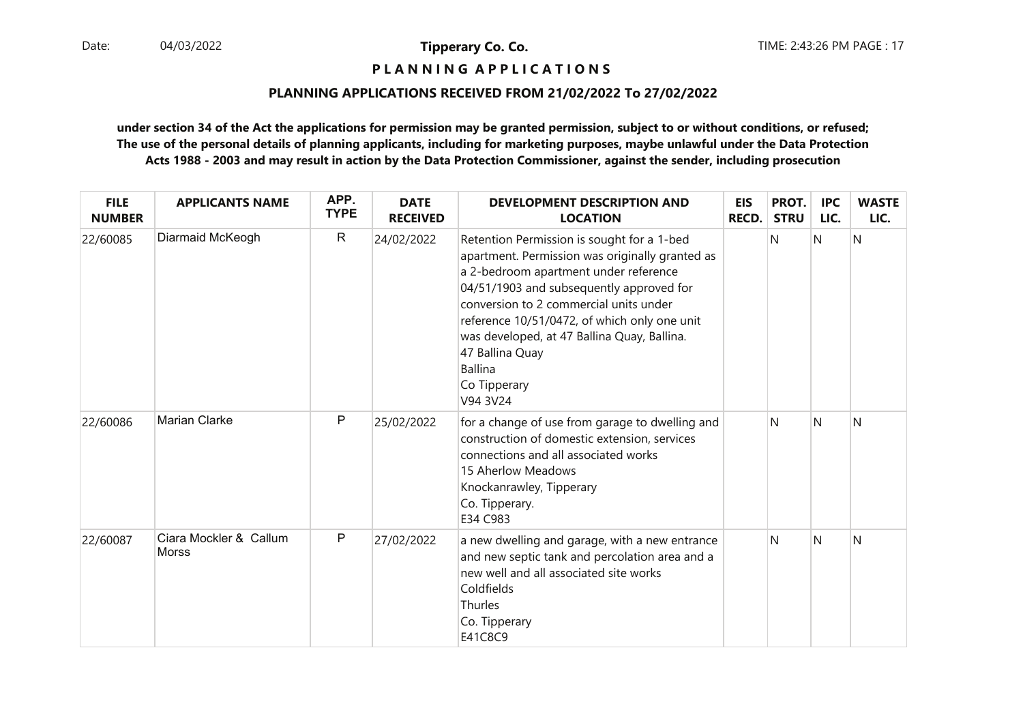## **P L A N N I N G A P P L I C A T I O N S**

#### **PLANNING APPLICATIONS RECEIVED FROM 21/02/2022 To 27/02/2022**

| <b>FILE</b><br><b>NUMBER</b> | <b>APPLICANTS NAME</b>          | APP.<br><b>TYPE</b> | <b>DATE</b><br><b>RECEIVED</b> | <b>DEVELOPMENT DESCRIPTION AND</b><br><b>LOCATION</b>                                                                                                                                                                                                                                                                                                                                        | <b>EIS</b><br>RECD. | PROT.<br><b>STRU</b> | <b>IPC</b><br>LIC. | <b>WASTE</b><br>LIC. |
|------------------------------|---------------------------------|---------------------|--------------------------------|----------------------------------------------------------------------------------------------------------------------------------------------------------------------------------------------------------------------------------------------------------------------------------------------------------------------------------------------------------------------------------------------|---------------------|----------------------|--------------------|----------------------|
| 22/60085                     | Diarmaid McKeogh                | $\mathsf{R}$        | 24/02/2022                     | Retention Permission is sought for a 1-bed<br>apartment. Permission was originally granted as<br>a 2-bedroom apartment under reference<br>04/51/1903 and subsequently approved for<br>conversion to 2 commercial units under<br>reference 10/51/0472, of which only one unit<br>was developed, at 47 Ballina Quay, Ballina.<br>47 Ballina Quay<br><b>Ballina</b><br>Co Tipperary<br>V94 3V24 |                     | N                    | N                  | N                    |
| 22/60086                     | <b>Marian Clarke</b>            | $\mathsf{P}$        | 25/02/2022                     | for a change of use from garage to dwelling and<br>construction of domestic extension, services<br>connections and all associated works<br>15 Aherlow Meadows<br>Knockanrawley, Tipperary<br>Co. Tipperary.<br>E34 C983                                                                                                                                                                      |                     | N                    | N                  | N                    |
| 22/60087                     | Ciara Mockler & Callum<br>Morss | P                   | 27/02/2022                     | a new dwelling and garage, with a new entrance<br>and new septic tank and percolation area and a<br>new well and all associated site works<br>Coldfields<br>Thurles<br>Co. Tipperary<br>E41C8C9                                                                                                                                                                                              |                     | N                    | N                  | N                    |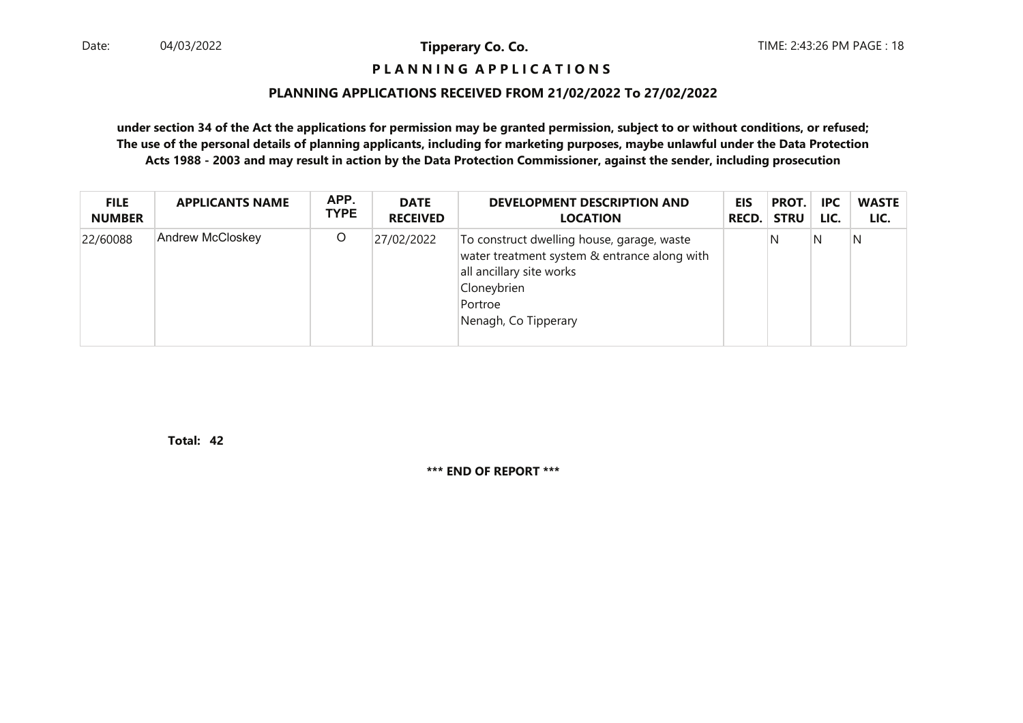#### **P L A N N I N G A P P L I C A T I O N S**

#### **PLANNING APPLICATIONS RECEIVED FROM 21/02/2022 To 27/02/2022**

**under section 34 of the Act the applications for permission may be granted permission, subject to or without conditions, or refused; The use of the personal details of planning applicants, including for marketing purposes, maybe unlawful under the Data ProtectionActs 1988 - 2003 and may result in action by the Data Protection Commissioner, against the sender, including prosecution**

| <b>FILE</b>   | <b>APPLICANTS NAME</b> | APP.        | <b>DATE</b>     | <b>DEVELOPMENT DESCRIPTION AND</b>                                                                                                                                       | <b>EIS</b>   | PROT.       | <b>IPC</b> | <b>WASTE</b> |
|---------------|------------------------|-------------|-----------------|--------------------------------------------------------------------------------------------------------------------------------------------------------------------------|--------------|-------------|------------|--------------|
| <b>NUMBER</b> |                        | <b>TYPE</b> | <b>RECEIVED</b> | <b>LOCATION</b>                                                                                                                                                          | <b>RECD.</b> | <b>STRU</b> | LIC.       | LIC.         |
| 22/60088      | Andrew McCloskey       | $\circ$     | 27/02/2022      | To construct dwelling house, garage, waste<br>water treatment system & entrance along with<br>all ancillary site works<br>Cloneybrien<br>Portroe<br>Nenagh, Co Tipperary |              | N           | N          | N            |

**42Total:**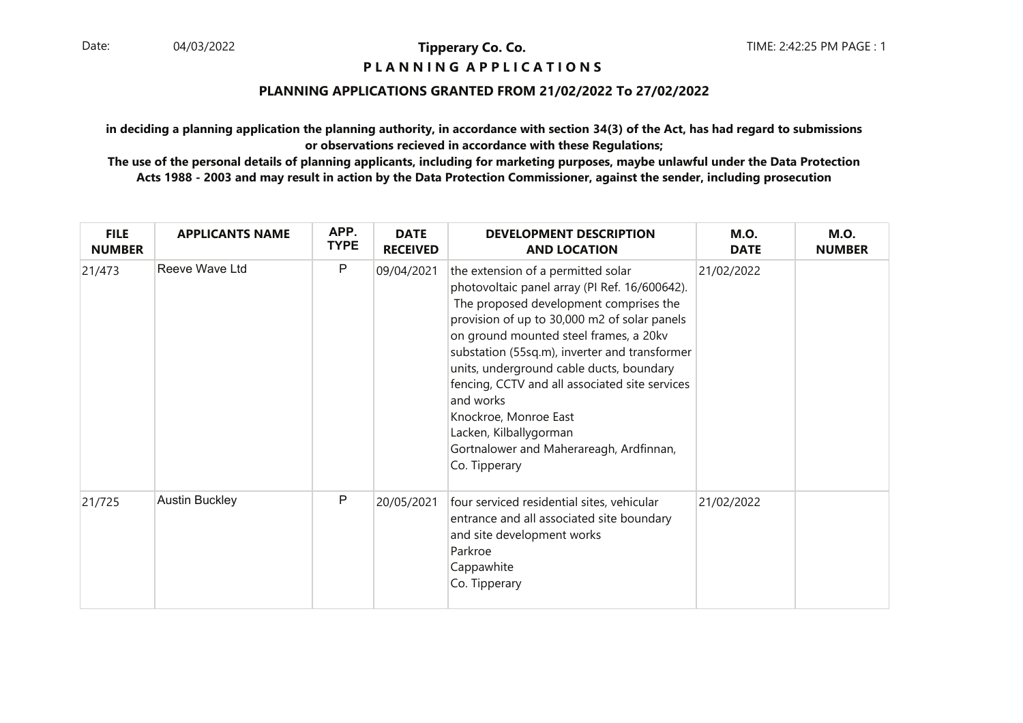#### **P L A N N I N G A P P L I C A T I O N S**

#### **PLANNING APPLICATIONS GRANTED FROM 21/02/2022 To 27/02/2022**

**in deciding a planning application the planning authority, in accordance with section 34(3) of the Act, has had regard to submissionsor observations recieved in accordance with these Regulations;**

| <b>FILE</b><br><b>NUMBER</b> | <b>APPLICANTS NAME</b> | APP.<br><b>TYPE</b> | <b>DATE</b><br><b>RECEIVED</b> | <b>DEVELOPMENT DESCRIPTION</b><br><b>AND LOCATION</b>                                                                                                                                                                                                                                                                                                                                                                                                                                              | <b>M.O.</b><br><b>DATE</b> | <b>M.O.</b><br><b>NUMBER</b> |
|------------------------------|------------------------|---------------------|--------------------------------|----------------------------------------------------------------------------------------------------------------------------------------------------------------------------------------------------------------------------------------------------------------------------------------------------------------------------------------------------------------------------------------------------------------------------------------------------------------------------------------------------|----------------------------|------------------------------|
| 21/473                       | Reeve Wave Ltd         | $\mathsf{P}$        | 09/04/2021                     | the extension of a permitted solar<br>photovoltaic panel array (PI Ref. 16/600642).<br>The proposed development comprises the<br>provision of up to 30,000 m2 of solar panels<br>on ground mounted steel frames, a 20kv<br>substation (55sq.m), inverter and transformer<br>units, underground cable ducts, boundary<br>fencing, CCTV and all associated site services<br>and works<br>Knockroe, Monroe East<br>Lacken, Kilballygorman<br>Gortnalower and Maherareagh, Ardfinnan,<br>Co. Tipperary | 21/02/2022                 |                              |
| 21/725                       | <b>Austin Buckley</b>  | $\mathsf{P}$        | 20/05/2021                     | four serviced residential sites, vehicular<br>entrance and all associated site boundary<br>and site development works<br>Parkroe<br>Cappawhite<br>Co. Tipperary                                                                                                                                                                                                                                                                                                                                    | 21/02/2022                 |                              |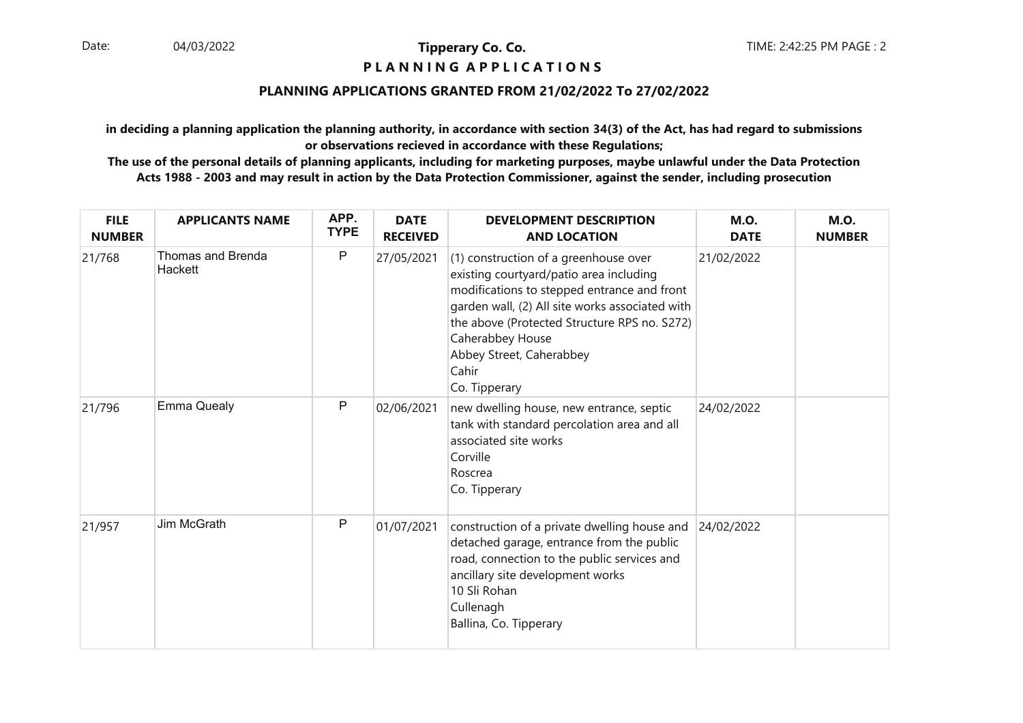#### **P L A N N I N G A P P L I C A T I O N S**

#### **PLANNING APPLICATIONS GRANTED FROM 21/02/2022 To 27/02/2022**

**in deciding a planning application the planning authority, in accordance with section 34(3) of the Act, has had regard to submissionsor observations recieved in accordance with these Regulations;**

| <b>FILE</b><br><b>NUMBER</b> | <b>APPLICANTS NAME</b>       | APP.<br><b>TYPE</b> | <b>DATE</b><br><b>RECEIVED</b> | <b>DEVELOPMENT DESCRIPTION</b><br><b>AND LOCATION</b>                                                                                                                                                                                                                                                        | <b>M.O.</b><br><b>DATE</b> | <b>M.O.</b><br><b>NUMBER</b> |
|------------------------------|------------------------------|---------------------|--------------------------------|--------------------------------------------------------------------------------------------------------------------------------------------------------------------------------------------------------------------------------------------------------------------------------------------------------------|----------------------------|------------------------------|
| 21/768                       | Thomas and Brenda<br>Hackett | P                   | 27/05/2021                     | (1) construction of a greenhouse over<br>existing courtyard/patio area including<br>modifications to stepped entrance and front<br>garden wall, (2) All site works associated with<br>the above (Protected Structure RPS no. S272)<br>Caherabbey House<br>Abbey Street, Caherabbey<br>Cahir<br>Co. Tipperary | 21/02/2022                 |                              |
| 21/796                       | <b>Emma Quealy</b>           | P                   | 02/06/2021                     | new dwelling house, new entrance, septic<br>tank with standard percolation area and all<br>associated site works<br>Corville<br>Roscrea<br>Co. Tipperary                                                                                                                                                     | 24/02/2022                 |                              |
| 21/957                       | Jim McGrath                  | P                   | 01/07/2021                     | construction of a private dwelling house and<br>detached garage, entrance from the public<br>road, connection to the public services and<br>ancillary site development works<br>10 Sli Rohan<br>Cullenagh<br>Ballina, Co. Tipperary                                                                          | 24/02/2022                 |                              |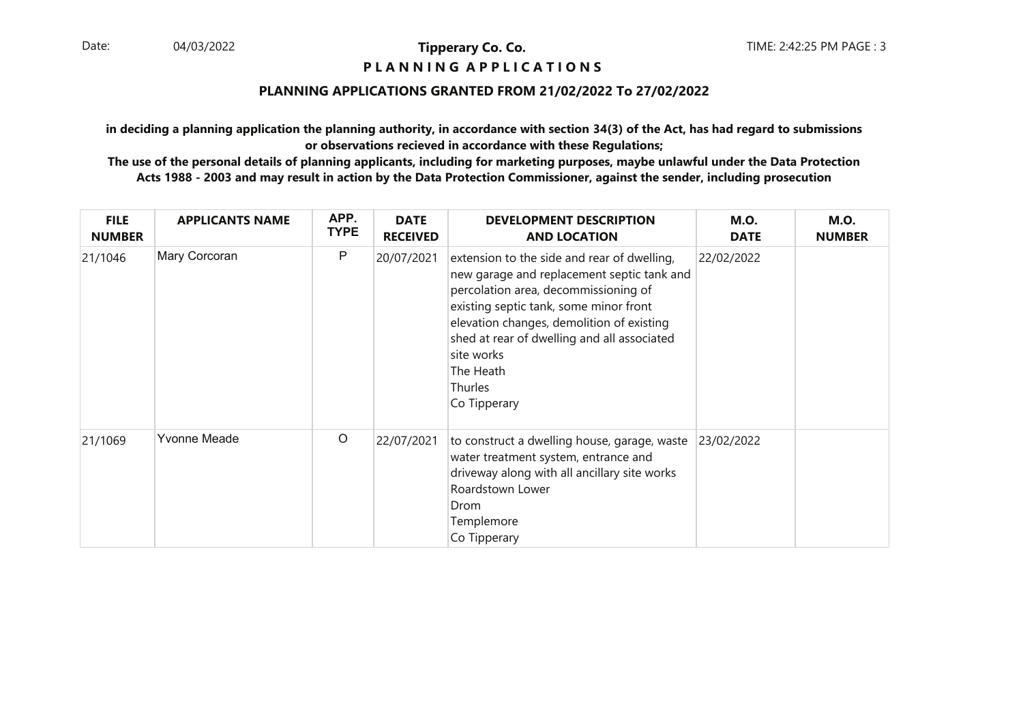#### **P L A N N I N G A P P L I C A T I O N S**

#### **PLANNING APPLICATIONS GRANTED FROM 21/02/2022 To 27/02/2022**

**in deciding a planning application the planning authority, in accordance with section 34(3) of the Act, has had regard to submissionsor observations recieved in accordance with these Regulations;**

| <b>FILE</b><br><b>NUMBER</b> | <b>APPLICANTS NAME</b> | APP.<br><b>TYPE</b> | <b>DATE</b><br><b>RECEIVED</b> | <b>DEVELOPMENT DESCRIPTION</b><br><b>AND LOCATION</b>                                                                                                                                                                                                                                                                         | <b>M.O.</b><br><b>DATE</b> | <b>M.O.</b><br><b>NUMBER</b> |
|------------------------------|------------------------|---------------------|--------------------------------|-------------------------------------------------------------------------------------------------------------------------------------------------------------------------------------------------------------------------------------------------------------------------------------------------------------------------------|----------------------------|------------------------------|
| 21/1046                      | Mary Corcoran          | P                   | 20/07/2021                     | extension to the side and rear of dwelling,<br>new garage and replacement septic tank and<br>percolation area, decommissioning of<br>existing septic tank, some minor front<br>elevation changes, demolition of existing<br>shed at rear of dwelling and all associated<br>site works<br>The Heath<br>Thurles<br>Co Tipperary | 22/02/2022                 |                              |
| 21/1069                      | Yvonne Meade           | $\circ$             | 22/07/2021                     | to construct a dwelling house, garage, waste<br>water treatment system, entrance and<br>driveway along with all ancillary site works<br>Roardstown Lower<br>Drom<br>Templemore<br>Co Tipperary                                                                                                                                | 23/02/2022                 |                              |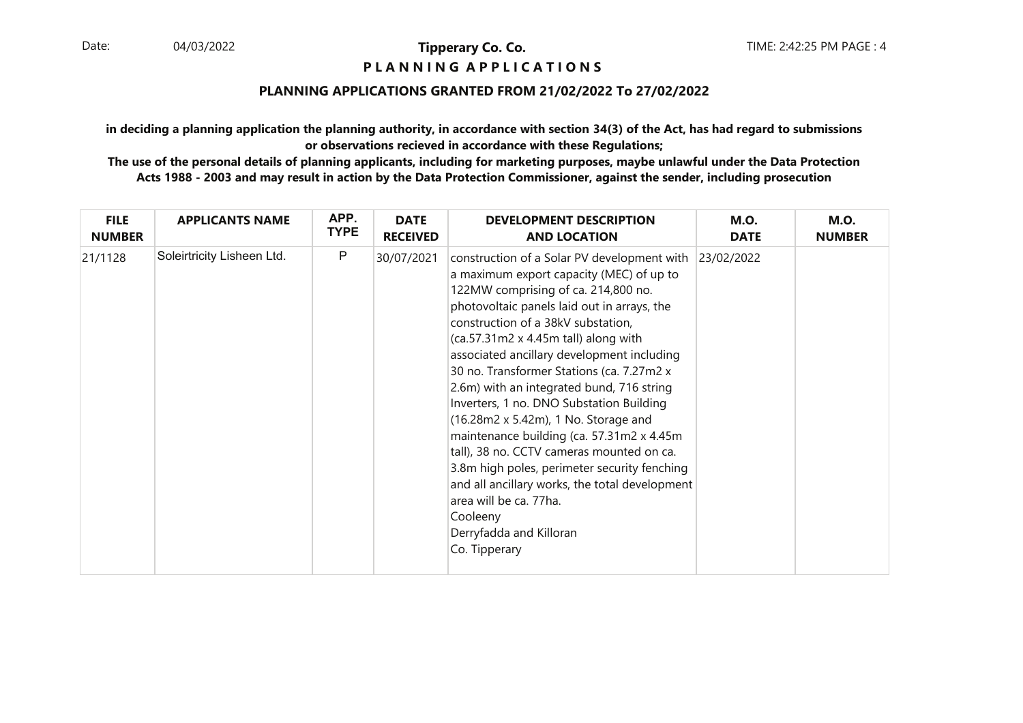#### **P L A N N I N G A P P L I C A T I O N S**

#### **PLANNING APPLICATIONS GRANTED FROM 21/02/2022 To 27/02/2022**

**in deciding a planning application the planning authority, in accordance with section 34(3) of the Act, has had regard to submissionsor observations recieved in accordance with these Regulations;**

| <b>FILE</b>   | <b>APPLICANTS NAME</b>     | APP.        | <b>DATE</b>     | <b>DEVELOPMENT DESCRIPTION</b>                                                                                                                                                                                                                                                                                                                                                                                                                                                                                                                                                                                                                                                                                                                                        | <b>M.O.</b> | <b>M.O.</b>   |
|---------------|----------------------------|-------------|-----------------|-----------------------------------------------------------------------------------------------------------------------------------------------------------------------------------------------------------------------------------------------------------------------------------------------------------------------------------------------------------------------------------------------------------------------------------------------------------------------------------------------------------------------------------------------------------------------------------------------------------------------------------------------------------------------------------------------------------------------------------------------------------------------|-------------|---------------|
| <b>NUMBER</b> |                            | <b>TYPE</b> | <b>RECEIVED</b> | <b>AND LOCATION</b>                                                                                                                                                                                                                                                                                                                                                                                                                                                                                                                                                                                                                                                                                                                                                   | <b>DATE</b> | <b>NUMBER</b> |
| 21/1128       | Soleirtricity Lisheen Ltd. | P           | 30/07/2021      | construction of a Solar PV development with<br>a maximum export capacity (MEC) of up to<br>122MW comprising of ca. 214,800 no.<br>photovoltaic panels laid out in arrays, the<br>construction of a 38kV substation,<br>(ca.57.31m2 x 4.45m tall) along with<br>associated ancillary development including<br>30 no. Transformer Stations (ca. 7.27m2 x<br>2.6m) with an integrated bund, 716 string<br>Inverters, 1 no. DNO Substation Building<br>(16.28m2 x 5.42m), 1 No. Storage and<br>maintenance building (ca. 57.31m2 x 4.45m<br>tall), 38 no. CCTV cameras mounted on ca.<br>3.8m high poles, perimeter security fenching<br>and all ancillary works, the total development<br>area will be ca. 77ha.<br>Cooleeny<br>Derryfadda and Killoran<br>Co. Tipperary | 23/02/2022  |               |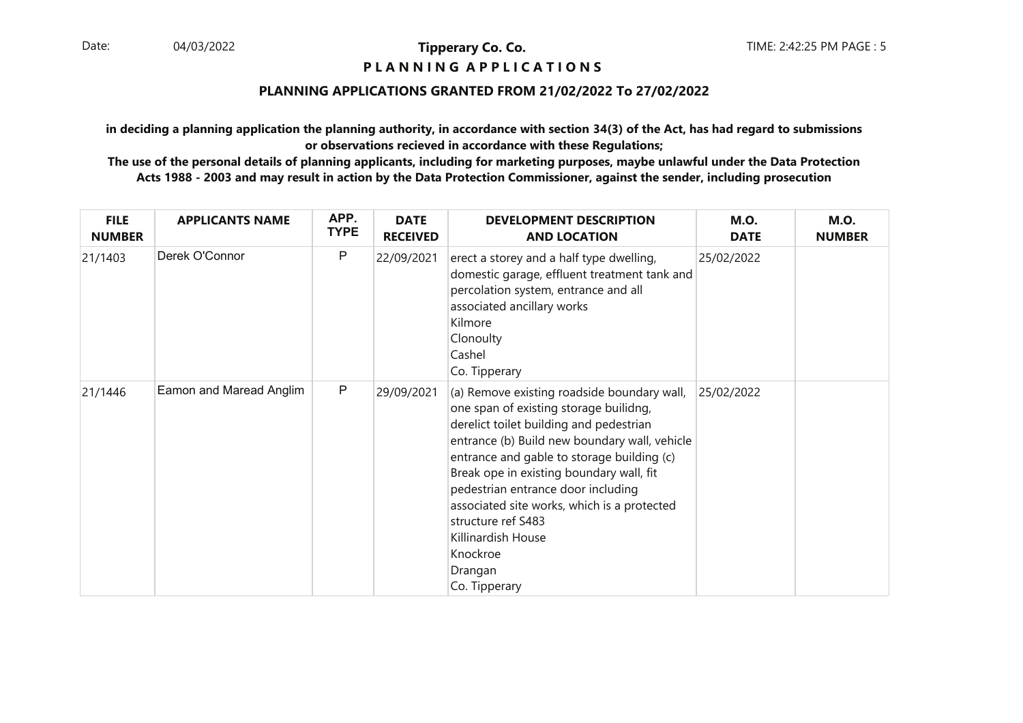#### **P L A N N I N G A P P L I C A T I O N S**

#### **PLANNING APPLICATIONS GRANTED FROM 21/02/2022 To 27/02/2022**

**in deciding a planning application the planning authority, in accordance with section 34(3) of the Act, has had regard to submissionsor observations recieved in accordance with these Regulations;**

| <b>FILE</b><br><b>NUMBER</b> | <b>APPLICANTS NAME</b>  | APP.<br><b>TYPE</b> | <b>DATE</b><br><b>RECEIVED</b> | <b>DEVELOPMENT DESCRIPTION</b><br><b>AND LOCATION</b>                                                                                                                                                                                                                                                                                                                                                                                                | <b>M.O.</b><br><b>DATE</b> | <b>M.O.</b><br><b>NUMBER</b> |
|------------------------------|-------------------------|---------------------|--------------------------------|------------------------------------------------------------------------------------------------------------------------------------------------------------------------------------------------------------------------------------------------------------------------------------------------------------------------------------------------------------------------------------------------------------------------------------------------------|----------------------------|------------------------------|
| 21/1403                      | Derek O'Connor          | P                   | 22/09/2021                     | erect a storey and a half type dwelling,<br>domestic garage, effluent treatment tank and<br>percolation system, entrance and all<br>associated ancillary works<br>Kilmore<br>Clonoulty<br>Cashel<br>Co. Tipperary                                                                                                                                                                                                                                    | 25/02/2022                 |                              |
| 21/1446                      | Eamon and Maread Anglim | $\mathsf{P}$        | 29/09/2021                     | (a) Remove existing roadside boundary wall,<br>one span of existing storage builidng,<br>derelict toilet building and pedestrian<br>entrance (b) Build new boundary wall, vehicle<br>entrance and gable to storage building (c)<br>Break ope in existing boundary wall, fit<br>pedestrian entrance door including<br>associated site works, which is a protected<br>structure ref S483<br>Killinardish House<br>Knockroe<br>Drangan<br>Co. Tipperary | 25/02/2022                 |                              |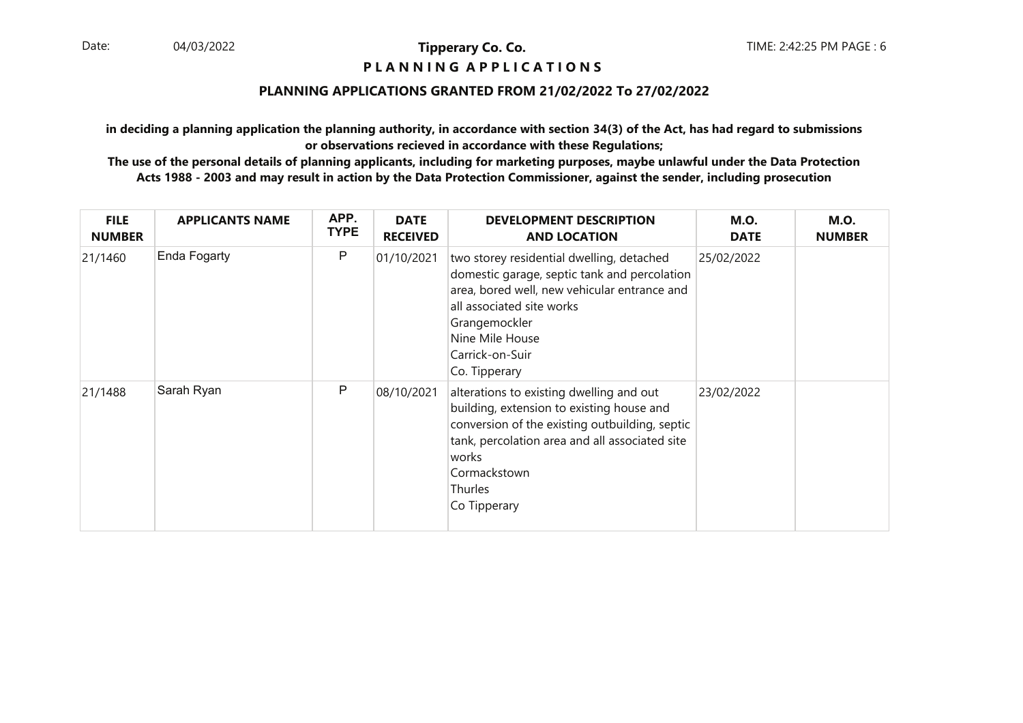#### **P L A N N I N G A P P L I C A T I O N S**

#### **PLANNING APPLICATIONS GRANTED FROM 21/02/2022 To 27/02/2022**

**in deciding a planning application the planning authority, in accordance with section 34(3) of the Act, has had regard to submissionsor observations recieved in accordance with these Regulations;**

| <b>FILE</b><br><b>NUMBER</b> | <b>APPLICANTS NAME</b> | APP.<br><b>TYPE</b> | <b>DATE</b><br><b>RECEIVED</b> | <b>DEVELOPMENT DESCRIPTION</b><br><b>AND LOCATION</b>                                                                                                                                                                                                | <b>M.O.</b><br><b>DATE</b> | <b>M.O.</b><br><b>NUMBER</b> |
|------------------------------|------------------------|---------------------|--------------------------------|------------------------------------------------------------------------------------------------------------------------------------------------------------------------------------------------------------------------------------------------------|----------------------------|------------------------------|
| 21/1460                      | Enda Fogarty           | P                   | 01/10/2021                     | two storey residential dwelling, detached<br>domestic garage, septic tank and percolation<br>area, bored well, new vehicular entrance and<br>all associated site works<br>Grangemockler<br>Nine Mile House<br>Carrick-on-Suir<br>Co. Tipperary       | 25/02/2022                 |                              |
| 21/1488                      | Sarah Ryan             | P                   | 08/10/2021                     | alterations to existing dwelling and out<br>building, extension to existing house and<br>conversion of the existing outbuilding, septic<br>tank, percolation area and all associated site<br>works<br>Cormackstown<br><b>Thurles</b><br>Co Tipperary | 23/02/2022                 |                              |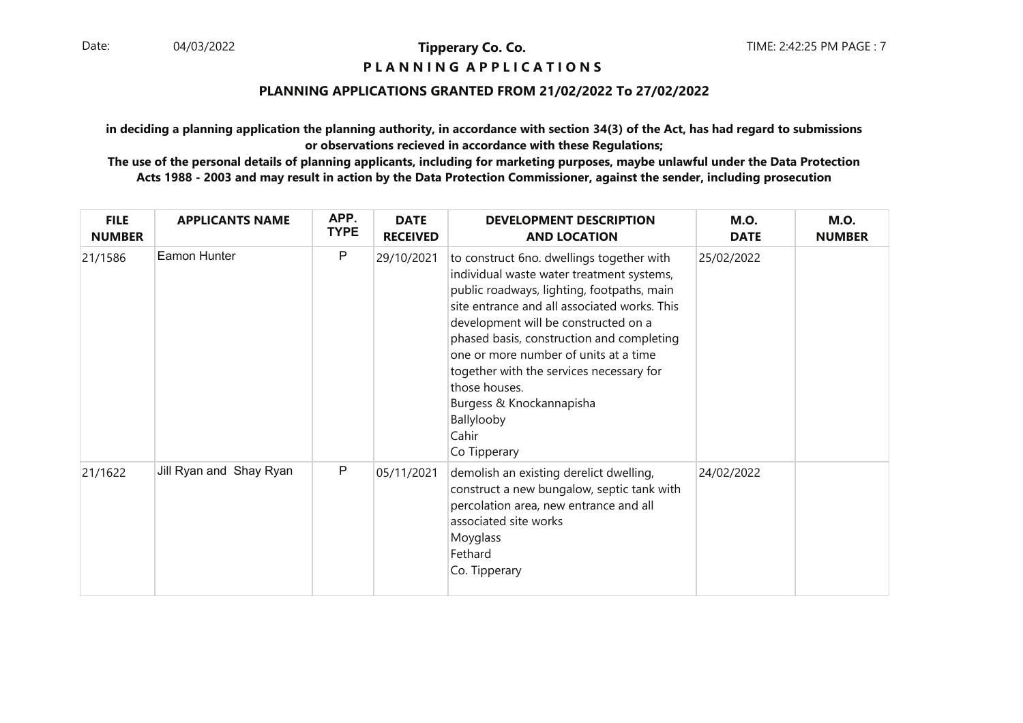#### **P L A N N I N G A P P L I C A T I O N S**

#### **PLANNING APPLICATIONS GRANTED FROM 21/02/2022 To 27/02/2022**

**in deciding a planning application the planning authority, in accordance with section 34(3) of the Act, has had regard to submissionsor observations recieved in accordance with these Regulations;**

| <b>FILE</b><br><b>NUMBER</b> | <b>APPLICANTS NAME</b>  | APP.<br><b>TYPE</b> | <b>DATE</b><br><b>RECEIVED</b> | <b>DEVELOPMENT DESCRIPTION</b><br><b>AND LOCATION</b>                                                                                                                                                                                                                                                                                                                                                                                              | <b>M.O.</b><br><b>DATE</b> | <b>M.O.</b><br><b>NUMBER</b> |
|------------------------------|-------------------------|---------------------|--------------------------------|----------------------------------------------------------------------------------------------------------------------------------------------------------------------------------------------------------------------------------------------------------------------------------------------------------------------------------------------------------------------------------------------------------------------------------------------------|----------------------------|------------------------------|
| 21/1586                      | Eamon Hunter            | P                   | 29/10/2021                     | to construct 6no. dwellings together with<br>individual waste water treatment systems,<br>public roadways, lighting, footpaths, main<br>site entrance and all associated works. This<br>development will be constructed on a<br>phased basis, construction and completing<br>one or more number of units at a time<br>together with the services necessary for<br>those houses.<br>Burgess & Knockannapisha<br>Ballylooby<br>Cahir<br>Co Tipperary | 25/02/2022                 |                              |
| 21/1622                      | Jill Ryan and Shay Ryan | P                   | 05/11/2021                     | demolish an existing derelict dwelling,<br>construct a new bungalow, septic tank with<br>percolation area, new entrance and all<br>associated site works<br>Moyglass<br>Fethard<br>Co. Tipperary                                                                                                                                                                                                                                                   | 24/02/2022                 |                              |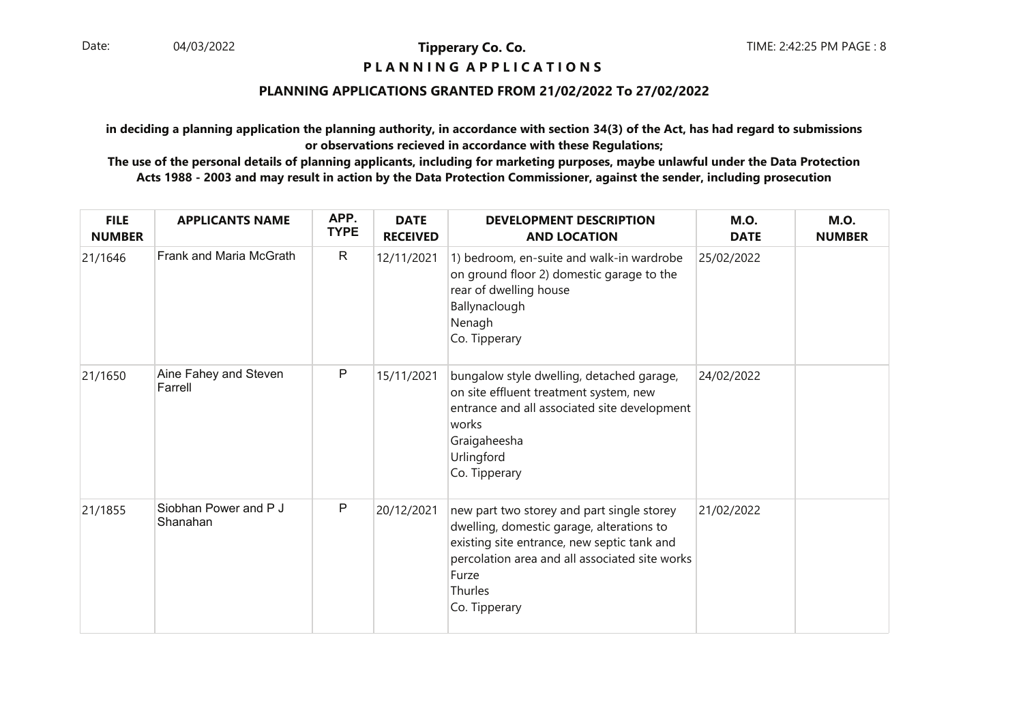#### **P L A N N I N G A P P L I C A T I O N S**

#### **PLANNING APPLICATIONS GRANTED FROM 21/02/2022 To 27/02/2022**

**in deciding a planning application the planning authority, in accordance with section 34(3) of the Act, has had regard to submissionsor observations recieved in accordance with these Regulations;**

| <b>FILE</b><br><b>NUMBER</b> | <b>APPLICANTS NAME</b>            | APP.<br><b>TYPE</b> | <b>DATE</b><br><b>RECEIVED</b> | <b>DEVELOPMENT DESCRIPTION</b><br><b>AND LOCATION</b>                                                                                                                                                                         | <b>M.O.</b><br><b>DATE</b> | <b>M.O.</b><br><b>NUMBER</b> |
|------------------------------|-----------------------------------|---------------------|--------------------------------|-------------------------------------------------------------------------------------------------------------------------------------------------------------------------------------------------------------------------------|----------------------------|------------------------------|
| 21/1646                      | Frank and Maria McGrath           | $\mathsf{R}$        | 12/11/2021                     | 1) bedroom, en-suite and walk-in wardrobe<br>on ground floor 2) domestic garage to the<br>rear of dwelling house<br>Ballynaclough<br>Nenagh<br>Co. Tipperary                                                                  | 25/02/2022                 |                              |
| 21/1650                      | Aine Fahey and Steven<br>Farrell  | $\mathsf{P}$        | 15/11/2021                     | bungalow style dwelling, detached garage,<br>on site effluent treatment system, new<br>entrance and all associated site development<br>works<br>Graigaheesha<br>Urlingford<br>Co. Tipperary                                   | 24/02/2022                 |                              |
| 21/1855                      | Siobhan Power and P J<br>Shanahan | P                   | 20/12/2021                     | new part two storey and part single storey<br>dwelling, domestic garage, alterations to<br>existing site entrance, new septic tank and<br>percolation area and all associated site works<br>Furze<br>Thurles<br>Co. Tipperary | 21/02/2022                 |                              |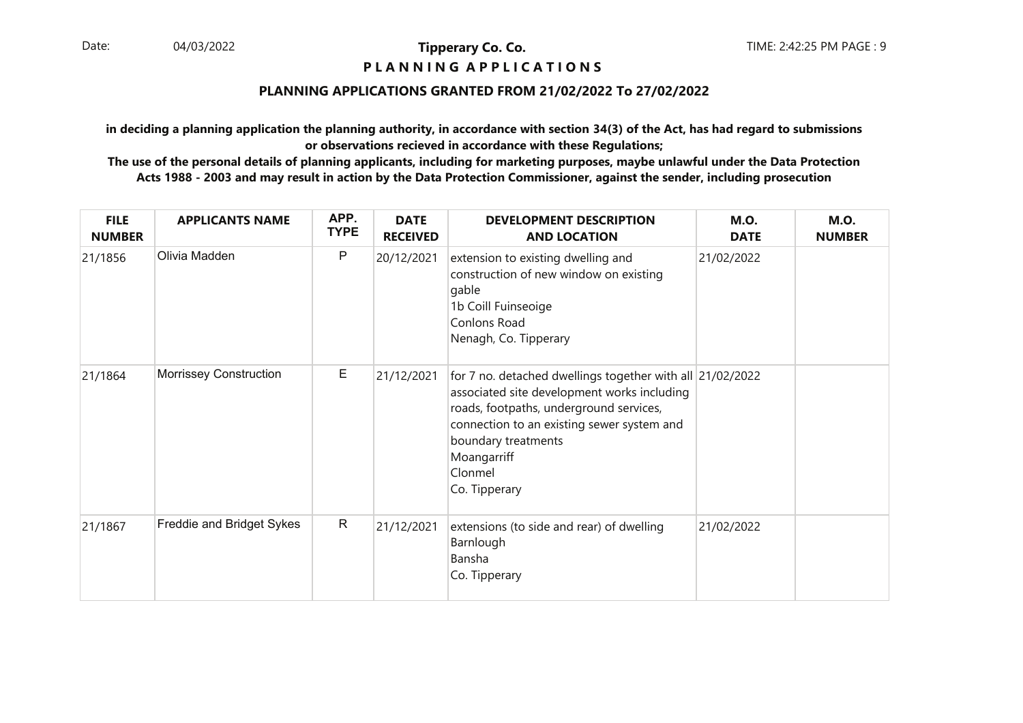#### **P L A N N I N G A P P L I C A T I O N S**

#### **PLANNING APPLICATIONS GRANTED FROM 21/02/2022 To 27/02/2022**

**in deciding a planning application the planning authority, in accordance with section 34(3) of the Act, has had regard to submissionsor observations recieved in accordance with these Regulations;**

| <b>FILE</b><br><b>NUMBER</b> | <b>APPLICANTS NAME</b>    | APP.<br><b>TYPE</b> | <b>DATE</b><br><b>RECEIVED</b> | <b>DEVELOPMENT DESCRIPTION</b><br><b>AND LOCATION</b>                                                                                                                                                                                                               | <b>M.O.</b><br><b>DATE</b> | <b>M.O.</b><br><b>NUMBER</b> |
|------------------------------|---------------------------|---------------------|--------------------------------|---------------------------------------------------------------------------------------------------------------------------------------------------------------------------------------------------------------------------------------------------------------------|----------------------------|------------------------------|
| 21/1856                      | Olivia Madden             | P                   | 20/12/2021                     | extension to existing dwelling and<br>construction of new window on existing<br>gable<br>1b Coill Fuinseoige<br>Conlons Road<br>Nenagh, Co. Tipperary                                                                                                               | 21/02/2022                 |                              |
| 21/1864                      | Morrissey Construction    | Е                   | 21/12/2021                     | for 7 no. detached dwellings together with all 21/02/2022<br>associated site development works including<br>roads, footpaths, underground services,<br>connection to an existing sewer system and<br>boundary treatments<br>Moangarriff<br>Clonmel<br>Co. Tipperary |                            |                              |
| 21/1867                      | Freddie and Bridget Sykes | $\mathsf{R}$        | 21/12/2021                     | extensions (to side and rear) of dwelling<br>Barnlough<br>Bansha<br>Co. Tipperary                                                                                                                                                                                   | 21/02/2022                 |                              |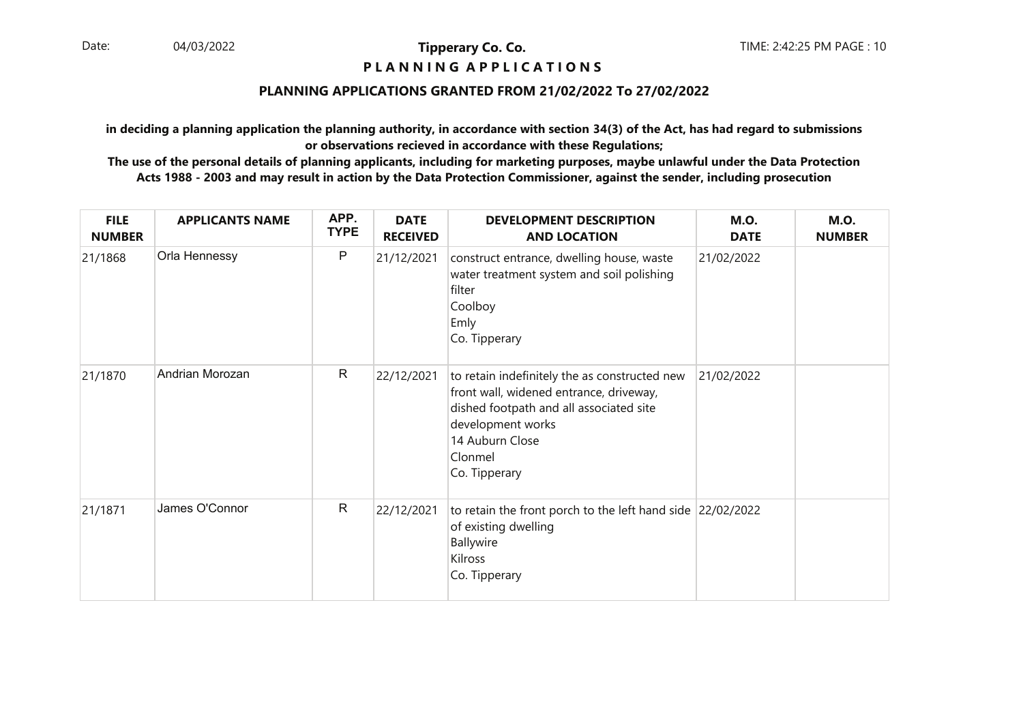#### **P L A N N I N G A P P L I C A T I O N S**

#### **PLANNING APPLICATIONS GRANTED FROM 21/02/2022 To 27/02/2022**

**in deciding a planning application the planning authority, in accordance with section 34(3) of the Act, has had regard to submissionsor observations recieved in accordance with these Regulations;**

| <b>FILE</b><br><b>NUMBER</b> | <b>APPLICANTS NAME</b> | APP.<br><b>TYPE</b> | <b>DATE</b><br><b>RECEIVED</b> | <b>DEVELOPMENT DESCRIPTION</b><br><b>AND LOCATION</b>                                                                                                                                                   | <b>M.O.</b><br><b>DATE</b> | <b>M.O.</b><br><b>NUMBER</b> |
|------------------------------|------------------------|---------------------|--------------------------------|---------------------------------------------------------------------------------------------------------------------------------------------------------------------------------------------------------|----------------------------|------------------------------|
| 21/1868                      | Orla Hennessy          | $\mathsf{P}$        | 21/12/2021                     | construct entrance, dwelling house, waste<br>water treatment system and soil polishing<br>filter<br>Coolboy<br>Emly<br>Co. Tipperary                                                                    | 21/02/2022                 |                              |
| 21/1870                      | Andrian Morozan        | $\mathsf{R}$        | 22/12/2021                     | to retain indefinitely the as constructed new<br>front wall, widened entrance, driveway,<br>dished footpath and all associated site<br>development works<br>14 Auburn Close<br>Clonmel<br>Co. Tipperary | 21/02/2022                 |                              |
| 21/1871                      | James O'Connor         | $\mathsf{R}$        | 22/12/2021                     | to retain the front porch to the left hand side 22/02/2022<br>of existing dwelling<br>Ballywire<br>Kilross<br>Co. Tipperary                                                                             |                            |                              |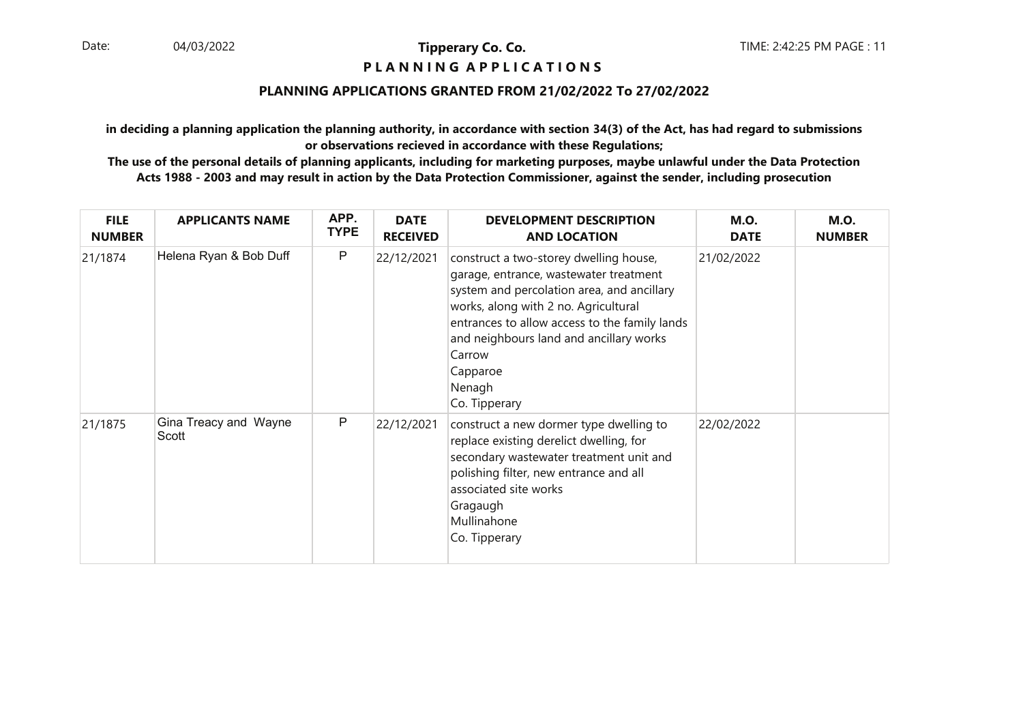#### **P L A N N I N G A P P L I C A T I O N S**

#### **PLANNING APPLICATIONS GRANTED FROM 21/02/2022 To 27/02/2022**

**in deciding a planning application the planning authority, in accordance with section 34(3) of the Act, has had regard to submissionsor observations recieved in accordance with these Regulations;**

| <b>FILE</b><br><b>NUMBER</b> | <b>APPLICANTS NAME</b>         | APP.<br><b>TYPE</b> | <b>DATE</b><br><b>RECEIVED</b> | <b>DEVELOPMENT DESCRIPTION</b><br><b>AND LOCATION</b>                                                                                                                                                                                                                                                               | <b>M.O.</b><br><b>DATE</b> | <b>M.O.</b><br><b>NUMBER</b> |
|------------------------------|--------------------------------|---------------------|--------------------------------|---------------------------------------------------------------------------------------------------------------------------------------------------------------------------------------------------------------------------------------------------------------------------------------------------------------------|----------------------------|------------------------------|
| 21/1874                      | Helena Ryan & Bob Duff         | P                   | 22/12/2021                     | construct a two-storey dwelling house,<br>garage, entrance, wastewater treatment<br>system and percolation area, and ancillary<br>works, along with 2 no. Agricultural<br>entrances to allow access to the family lands<br>and neighbours land and ancillary works<br>Carrow<br>Capparoe<br>Nenagh<br>Co. Tipperary | 21/02/2022                 |                              |
| 21/1875                      | Gina Treacy and Wayne<br>Scott | P                   | 22/12/2021                     | construct a new dormer type dwelling to<br>replace existing derelict dwelling, for<br>secondary wastewater treatment unit and<br>polishing filter, new entrance and all<br>associated site works<br>Gragaugh<br>Mullinahone<br>Co. Tipperary                                                                        | 22/02/2022                 |                              |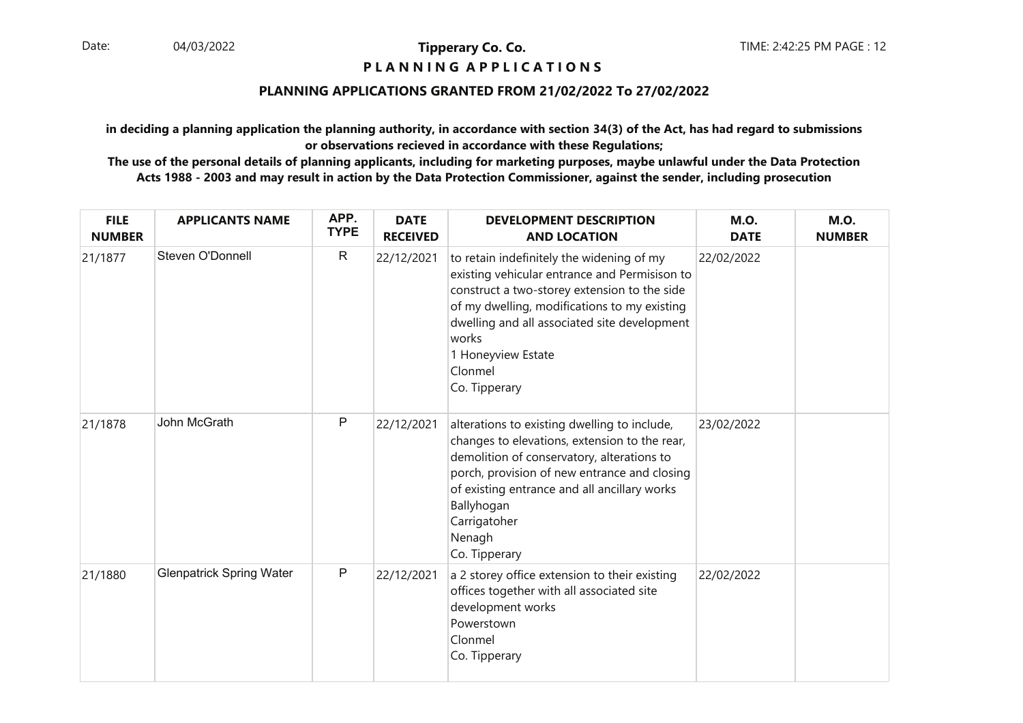#### **P L A N N I N G A P P L I C A T I O N S**

#### **PLANNING APPLICATIONS GRANTED FROM 21/02/2022 To 27/02/2022**

**in deciding a planning application the planning authority, in accordance with section 34(3) of the Act, has had regard to submissionsor observations recieved in accordance with these Regulations;**

| <b>FILE</b><br><b>NUMBER</b> | <b>APPLICANTS NAME</b>          | APP.<br><b>TYPE</b> | <b>DATE</b><br><b>RECEIVED</b> | <b>DEVELOPMENT DESCRIPTION</b><br><b>AND LOCATION</b>                                                                                                                                                                                                                                                 | <b>M.O.</b><br><b>DATE</b> | <b>M.O.</b><br><b>NUMBER</b> |
|------------------------------|---------------------------------|---------------------|--------------------------------|-------------------------------------------------------------------------------------------------------------------------------------------------------------------------------------------------------------------------------------------------------------------------------------------------------|----------------------------|------------------------------|
| 21/1877                      | Steven O'Donnell                | $\mathsf{R}$        | 22/12/2021                     | to retain indefinitely the widening of my<br>existing vehicular entrance and Permisison to<br>construct a two-storey extension to the side<br>of my dwelling, modifications to my existing<br>dwelling and all associated site development<br>works<br>1 Honeyview Estate<br>Clonmel<br>Co. Tipperary | 22/02/2022                 |                              |
| 21/1878                      | John McGrath                    | P                   | 22/12/2021                     | alterations to existing dwelling to include,<br>changes to elevations, extension to the rear,<br>demolition of conservatory, alterations to<br>porch, provision of new entrance and closing<br>of existing entrance and all ancillary works<br>Ballyhogan<br>Carrigatoher<br>Nenagh<br>Co. Tipperary  | 23/02/2022                 |                              |
| 21/1880                      | <b>Glenpatrick Spring Water</b> | $\mathsf{P}$        | 22/12/2021                     | a 2 storey office extension to their existing<br>offices together with all associated site<br>development works<br>Powerstown<br>Clonmel<br>Co. Tipperary                                                                                                                                             | 22/02/2022                 |                              |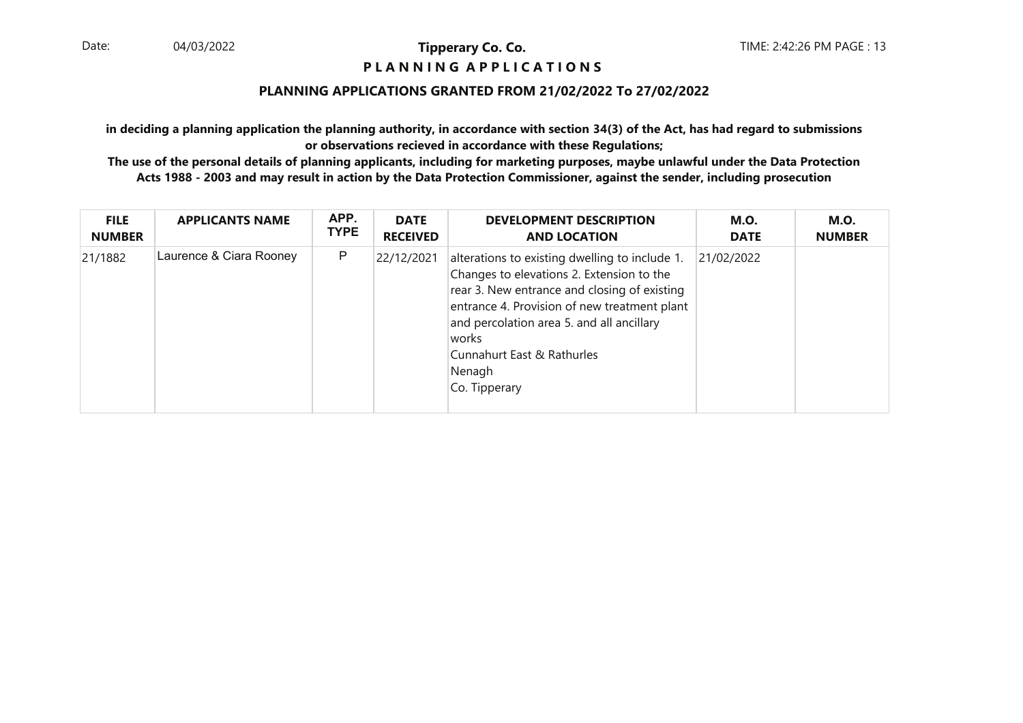#### **P L A N N I N G A P P L I C A T I O N S**

#### **PLANNING APPLICATIONS GRANTED FROM 21/02/2022 To 27/02/2022**

**in deciding a planning application the planning authority, in accordance with section 34(3) of the Act, has had regard to submissionsor observations recieved in accordance with these Regulations;**

| <b>FILE</b>   | <b>APPLICANTS NAME</b>  | APP.        | <b>DATE</b>     | <b>DEVELOPMENT DESCRIPTION</b>                                                                                                                                                                                                                                                                             | M.O.        | <b>M.O.</b>   |
|---------------|-------------------------|-------------|-----------------|------------------------------------------------------------------------------------------------------------------------------------------------------------------------------------------------------------------------------------------------------------------------------------------------------------|-------------|---------------|
| <b>NUMBER</b> |                         | <b>TYPE</b> | <b>RECEIVED</b> | <b>AND LOCATION</b>                                                                                                                                                                                                                                                                                        | <b>DATE</b> | <b>NUMBER</b> |
| 21/1882       | Laurence & Ciara Rooney | P           | 22/12/2021      | alterations to existing dwelling to include 1.<br>Changes to elevations 2. Extension to the<br>rear 3. New entrance and closing of existing<br>entrance 4. Provision of new treatment plant<br>and percolation area 5. and all ancillary<br>works<br>Cunnahurt East & Rathurles<br>Nenagh<br>Co. Tipperary | 21/02/2022  |               |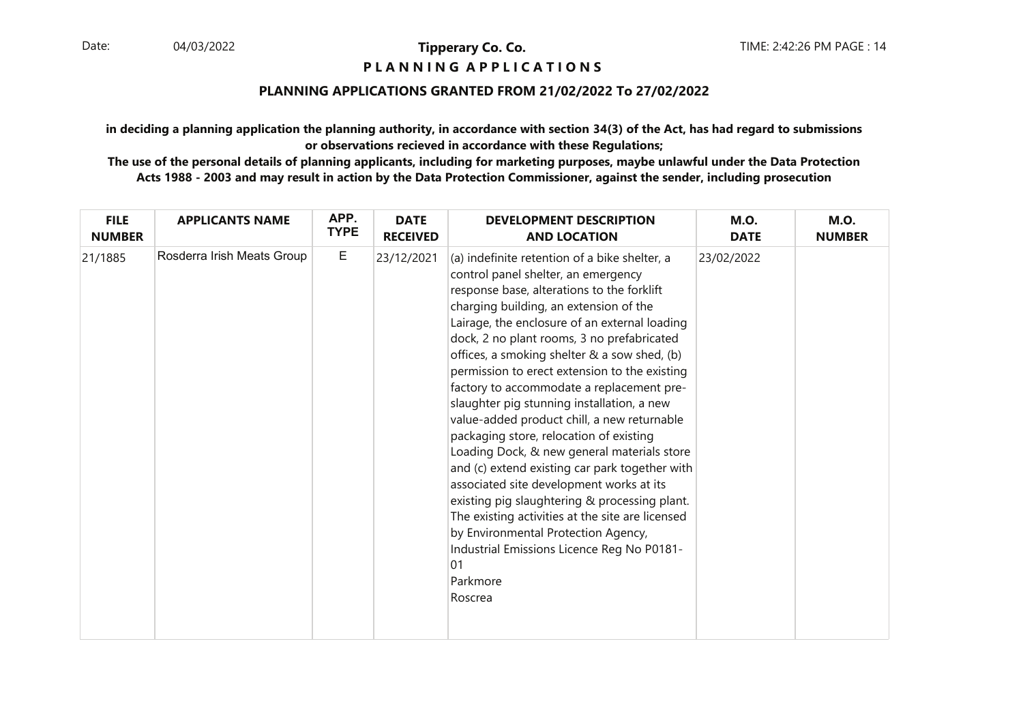#### **P L A N N I N G A P P L I C A T I O N S**

#### **PLANNING APPLICATIONS GRANTED FROM 21/02/2022 To 27/02/2022**

**in deciding a planning application the planning authority, in accordance with section 34(3) of the Act, has had regard to submissionsor observations recieved in accordance with these Regulations;**

| <b>FILE</b>   | <b>APPLICANTS NAME</b>     | APP.        | <b>DATE</b>     | <b>DEVELOPMENT DESCRIPTION</b>                                                                                                                                                                                                                                                                                                                                                                                                                                                                                                                                                                                                                                                                                                                                                                                                                                                                                                         | <b>M.O.</b> | <b>M.O.</b>   |
|---------------|----------------------------|-------------|-----------------|----------------------------------------------------------------------------------------------------------------------------------------------------------------------------------------------------------------------------------------------------------------------------------------------------------------------------------------------------------------------------------------------------------------------------------------------------------------------------------------------------------------------------------------------------------------------------------------------------------------------------------------------------------------------------------------------------------------------------------------------------------------------------------------------------------------------------------------------------------------------------------------------------------------------------------------|-------------|---------------|
| <b>NUMBER</b> |                            | <b>TYPE</b> | <b>RECEIVED</b> | <b>AND LOCATION</b>                                                                                                                                                                                                                                                                                                                                                                                                                                                                                                                                                                                                                                                                                                                                                                                                                                                                                                                    | <b>DATE</b> | <b>NUMBER</b> |
| 21/1885       | Rosderra Irish Meats Group | $\mathsf E$ | 23/12/2021      | (a) indefinite retention of a bike shelter, a<br>control panel shelter, an emergency<br>response base, alterations to the forklift<br>charging building, an extension of the<br>Lairage, the enclosure of an external loading<br>dock, 2 no plant rooms, 3 no prefabricated<br>offices, a smoking shelter & a sow shed, (b)<br>permission to erect extension to the existing<br>factory to accommodate a replacement pre-<br>slaughter pig stunning installation, a new<br>value-added product chill, a new returnable<br>packaging store, relocation of existing<br>Loading Dock, & new general materials store<br>and (c) extend existing car park together with<br>associated site development works at its<br>existing pig slaughtering & processing plant.<br>The existing activities at the site are licensed<br>by Environmental Protection Agency,<br>Industrial Emissions Licence Reg No P0181-<br> 01<br>Parkmore<br>Roscrea | 23/02/2022  |               |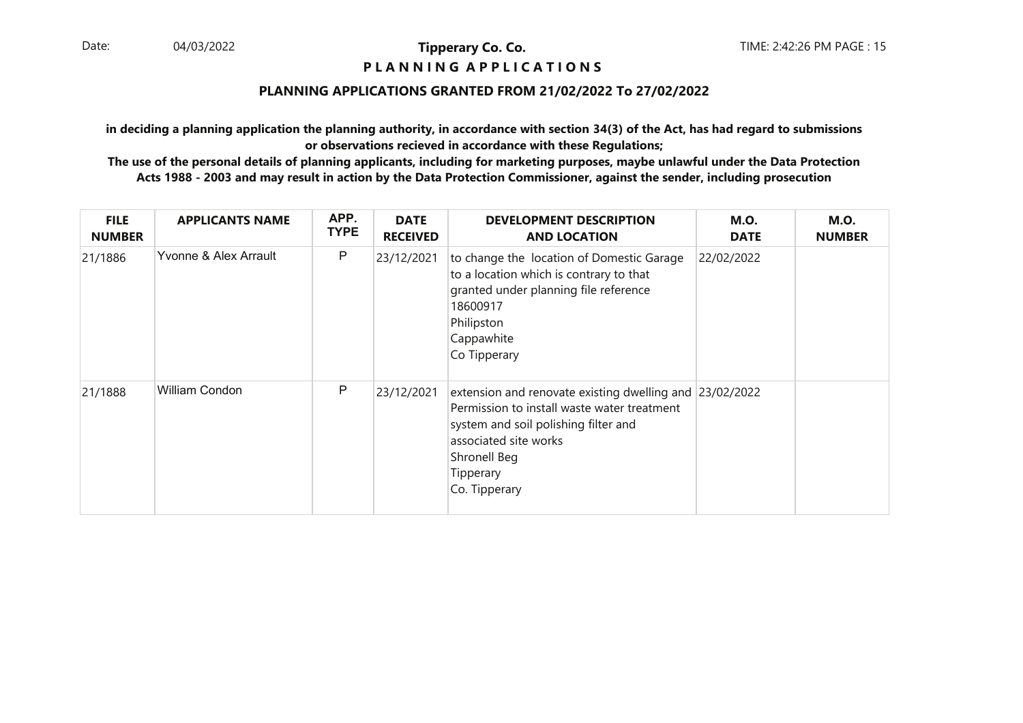#### **P L A N N I N G A P P L I C A T I O N S**

#### **PLANNING APPLICATIONS GRANTED FROM 21/02/2022 To 27/02/2022**

**in deciding a planning application the planning authority, in accordance with section 34(3) of the Act, has had regard to submissionsor observations recieved in accordance with these Regulations;**

| <b>FILE</b><br><b>NUMBER</b> | <b>APPLICANTS NAME</b> | APP.<br><b>TYPE</b> | <b>DATE</b><br><b>RECEIVED</b> | <b>DEVELOPMENT DESCRIPTION</b><br><b>AND LOCATION</b>                                                                                                                                                                 | <b>M.O.</b><br><b>DATE</b> | <b>M.O.</b><br><b>NUMBER</b> |
|------------------------------|------------------------|---------------------|--------------------------------|-----------------------------------------------------------------------------------------------------------------------------------------------------------------------------------------------------------------------|----------------------------|------------------------------|
| 21/1886                      | Yvonne & Alex Arrault  | P                   | 23/12/2021                     | to change the location of Domestic Garage<br>to a location which is contrary to that<br>granted under planning file reference<br>18600917<br>Philipston<br>Cappawhite<br>Co Tipperary                                 | 22/02/2022                 |                              |
| 21/1888                      | William Condon         | P                   | 23/12/2021                     | extension and renovate existing dwelling and 23/02/2022<br>Permission to install waste water treatment<br>system and soil polishing filter and<br>associated site works<br>Shronell Beg<br>Tipperary<br>Co. Tipperary |                            |                              |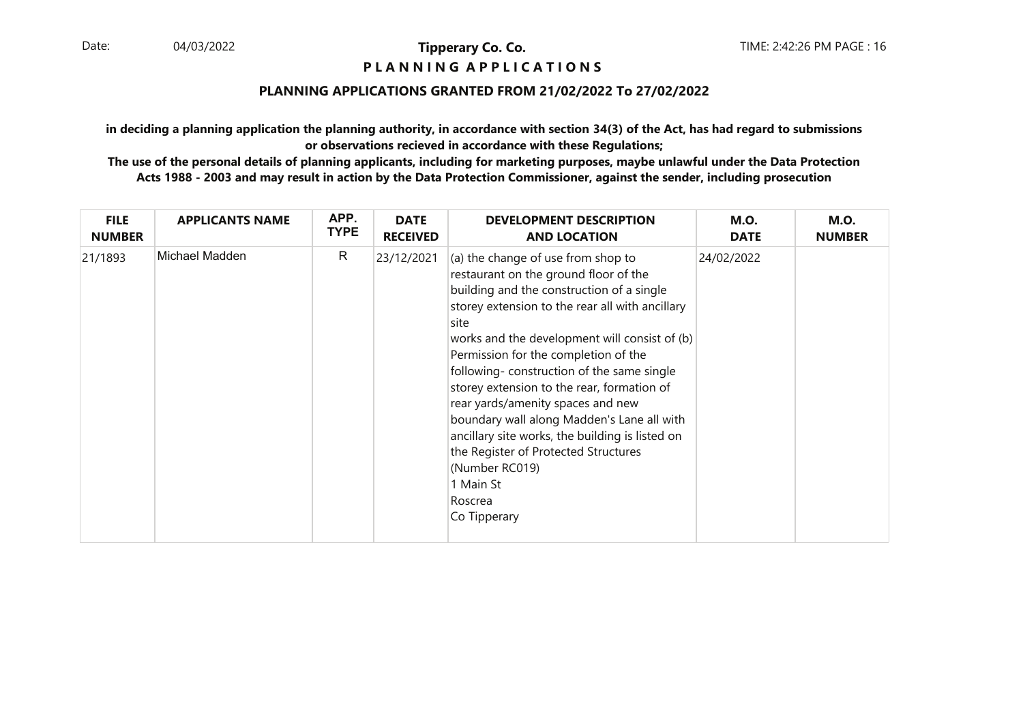#### **P L A N N I N G A P P L I C A T I O N S**

#### **PLANNING APPLICATIONS GRANTED FROM 21/02/2022 To 27/02/2022**

**in deciding a planning application the planning authority, in accordance with section 34(3) of the Act, has had regard to submissionsor observations recieved in accordance with these Regulations;**

| <b>FILE</b>   | <b>APPLICANTS NAME</b> | APP.        | <b>DATE</b>     | <b>DEVELOPMENT DESCRIPTION</b>                                                                                                                                                                                                                                                                                                                                                                                                                                                                                                                                                                                  | <b>M.O.</b> | <b>M.O.</b>   |
|---------------|------------------------|-------------|-----------------|-----------------------------------------------------------------------------------------------------------------------------------------------------------------------------------------------------------------------------------------------------------------------------------------------------------------------------------------------------------------------------------------------------------------------------------------------------------------------------------------------------------------------------------------------------------------------------------------------------------------|-------------|---------------|
| <b>NUMBER</b> |                        | <b>TYPE</b> | <b>RECEIVED</b> | <b>AND LOCATION</b>                                                                                                                                                                                                                                                                                                                                                                                                                                                                                                                                                                                             | <b>DATE</b> | <b>NUMBER</b> |
| 21/1893       | Michael Madden         | R           | 23/12/2021      | (a) the change of use from shop to<br>restaurant on the ground floor of the<br>building and the construction of a single<br>storey extension to the rear all with ancillary<br>site<br>works and the development will consist of (b)<br>Permission for the completion of the<br>following-construction of the same single<br>storey extension to the rear, formation of<br>rear yards/amenity spaces and new<br>boundary wall along Madden's Lane all with<br>ancillary site works, the building is listed on<br>the Register of Protected Structures<br>(Number RC019)<br>1 Main St<br>Roscrea<br>Co Tipperary | 24/02/2022  |               |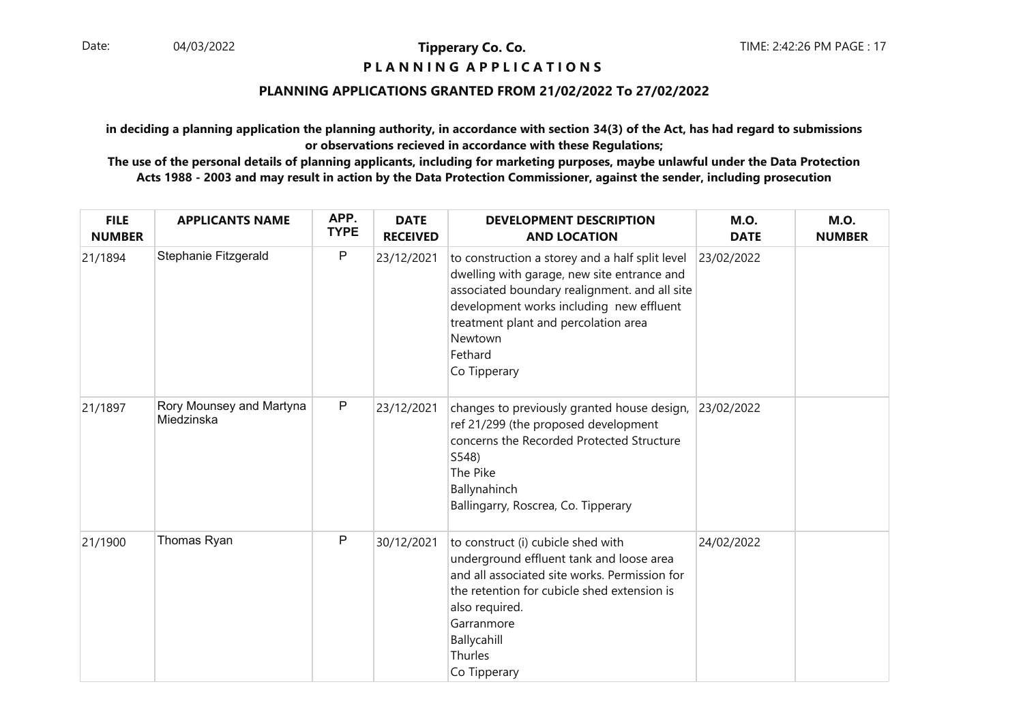### **P L A N N I N G A P P L I C A T I O N S**

#### **PLANNING APPLICATIONS GRANTED FROM 21/02/2022 To 27/02/2022**

**in deciding a planning application the planning authority, in accordance with section 34(3) of the Act, has had regard to submissionsor observations recieved in accordance with these Regulations;**

| <b>FILE</b><br><b>NUMBER</b> | <b>APPLICANTS NAME</b>                 | APP.<br><b>TYPE</b> | <b>DATE</b><br><b>RECEIVED</b> | <b>DEVELOPMENT DESCRIPTION</b><br><b>AND LOCATION</b>                                                                                                                                                                                                                     | <b>M.O.</b><br><b>DATE</b> | <b>M.O.</b><br><b>NUMBER</b> |
|------------------------------|----------------------------------------|---------------------|--------------------------------|---------------------------------------------------------------------------------------------------------------------------------------------------------------------------------------------------------------------------------------------------------------------------|----------------------------|------------------------------|
| 21/1894                      | Stephanie Fitzgerald                   | $\mathsf{P}$        | 23/12/2021                     | to construction a storey and a half split level<br>dwelling with garage, new site entrance and<br>associated boundary realignment. and all site<br>development works including new effluent<br>treatment plant and percolation area<br>Newtown<br>Fethard<br>Co Tipperary | 23/02/2022                 |                              |
| 21/1897                      | Rory Mounsey and Martyna<br>Miedzinska | $\sf P$             | 23/12/2021                     | changes to previously granted house design,<br>ref 21/299 (the proposed development<br>concerns the Recorded Protected Structure<br>S548)<br>The Pike<br>Ballynahinch<br>Ballingarry, Roscrea, Co. Tipperary                                                              | 23/02/2022                 |                              |
| 21/1900                      | Thomas Ryan                            | $\mathsf{P}$        | 30/12/2021                     | to construct (i) cubicle shed with<br>underground effluent tank and loose area<br>and all associated site works. Permission for<br>the retention for cubicle shed extension is<br>also required.<br>Garranmore<br>Ballycahill<br>Thurles<br>Co Tipperary                  | 24/02/2022                 |                              |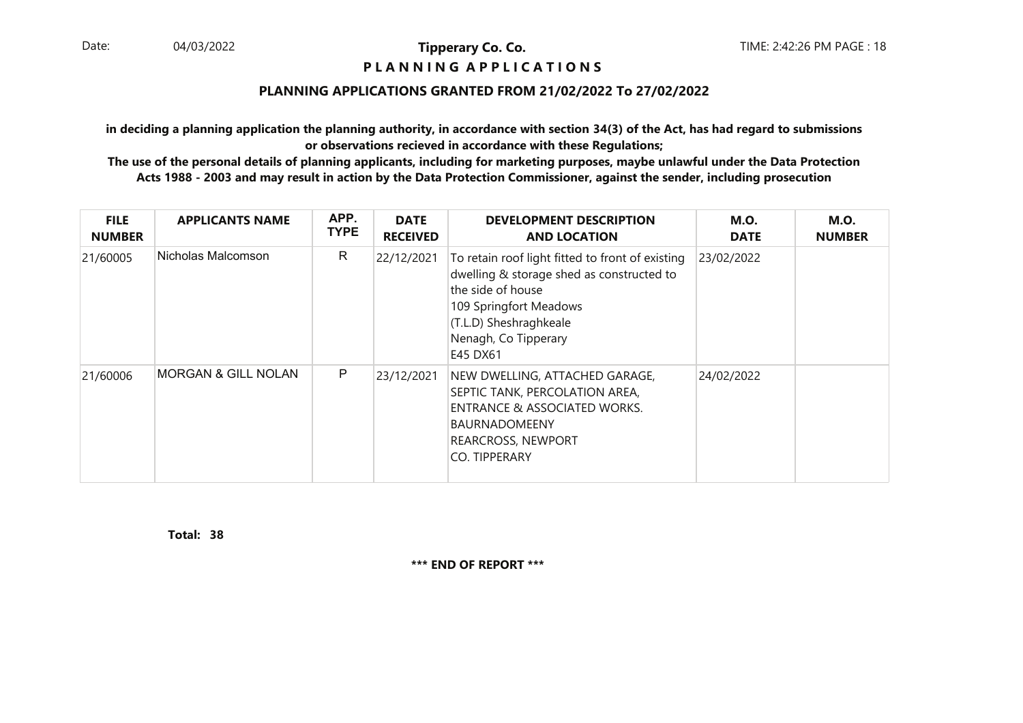#### **P L A N N I N G A P P L I C A T I O N S**

#### **PLANNING APPLICATIONS GRANTED FROM 21/02/2022 To 27/02/2022**

**in deciding a planning application the planning authority, in accordance with section 34(3) of the Act, has had regard to submissionsor observations recieved in accordance with these Regulations;**

 **The use of the personal details of planning applicants, including for marketing purposes, maybe unlawful under the Data ProtectionActs 1988 - 2003 and may result in action by the Data Protection Commissioner, against the sender, including prosecution**

| <b>FILE</b><br><b>NUMBER</b> | <b>APPLICANTS NAME</b>         | APP.<br><b>TYPE</b> | <b>DATE</b><br><b>RECEIVED</b> | <b>DEVELOPMENT DESCRIPTION</b><br><b>AND LOCATION</b>                                                                                                                                                      | <b>M.O.</b><br><b>DATE</b> | <b>M.O.</b><br><b>NUMBER</b> |
|------------------------------|--------------------------------|---------------------|--------------------------------|------------------------------------------------------------------------------------------------------------------------------------------------------------------------------------------------------------|----------------------------|------------------------------|
| 21/60005                     | Nicholas Malcomson             | R                   | 22/12/2021                     | To retain roof light fitted to front of existing<br>dwelling & storage shed as constructed to<br>the side of house<br>109 Springfort Meadows<br>(T.L.D) Sheshraghkeale<br>Nenagh, Co Tipperary<br>E45 DX61 | 23/02/2022                 |                              |
| 21/60006                     | <b>MORGAN &amp; GILL NOLAN</b> | P                   | 23/12/2021                     | NEW DWELLING, ATTACHED GARAGE,<br>SEPTIC TANK, PERCOLATION AREA,<br><b>ENTRANCE &amp; ASSOCIATED WORKS.</b><br><b>BAURNADOMEENY</b><br><b>REARCROSS, NEWPORT</b><br><b>CO. TIPPERARY</b>                   | 24/02/2022                 |                              |

**38Total:**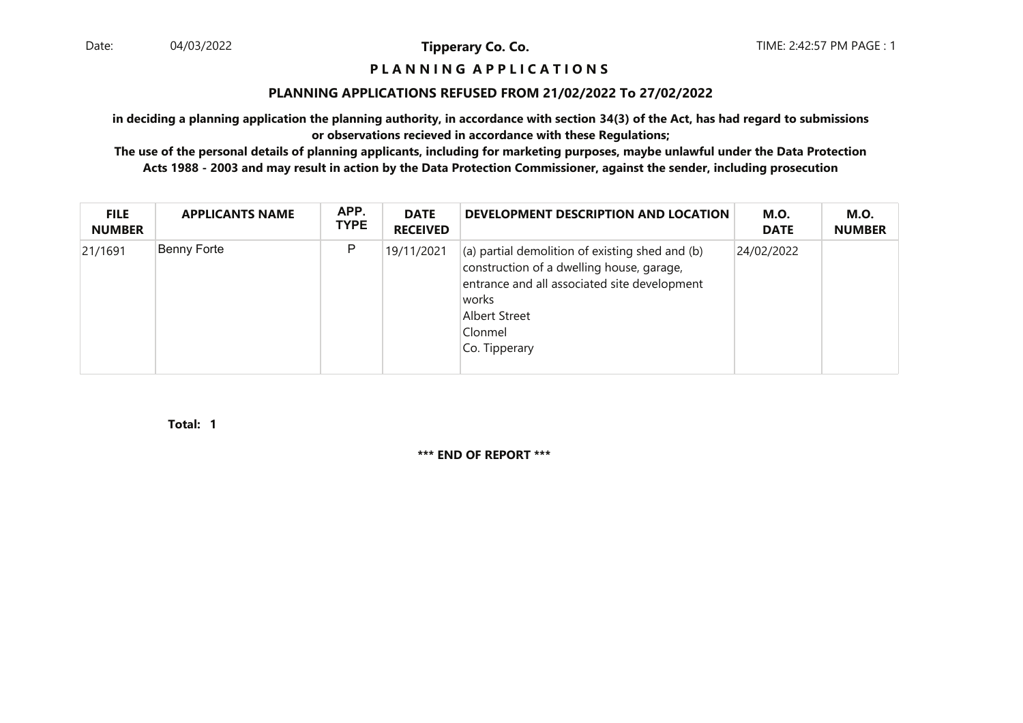#### **P L A N N I N G A P P L I C A T I O N S**

#### **PLANNING APPLICATIONS REFUSED FROM 21/02/2022 To 27/02/2022**

**in deciding a planning application the planning authority, in accordance with section 34(3) of the Act, has had regard to submissionsor observations recieved in accordance with these Regulations;**

 **The use of the personal details of planning applicants, including for marketing purposes, maybe unlawful under the Data ProtectionActs 1988 - 2003 and may result in action by the Data Protection Commissioner, against the sender, including prosecution**

| <b>FILE</b><br><b>NUMBER</b> | <b>APPLICANTS NAME</b> | APP.<br><b>TYPE</b> | <b>DATE</b><br><b>RECEIVED</b> | DEVELOPMENT DESCRIPTION AND LOCATION                                                                                                                                                                                | <b>M.O.</b><br><b>DATE</b> | <b>M.O.</b><br><b>NUMBER</b> |
|------------------------------|------------------------|---------------------|--------------------------------|---------------------------------------------------------------------------------------------------------------------------------------------------------------------------------------------------------------------|----------------------------|------------------------------|
| 21/1691                      | Benny Forte            | P                   | 19/11/2021                     | $\vert$ (a) partial demolition of existing shed and (b)<br>construction of a dwelling house, garage,<br>entrance and all associated site development<br> works <br><b>Albert Street</b><br>Clonmel<br>Co. Tipperary | 24/02/2022                 |                              |

**1Total:**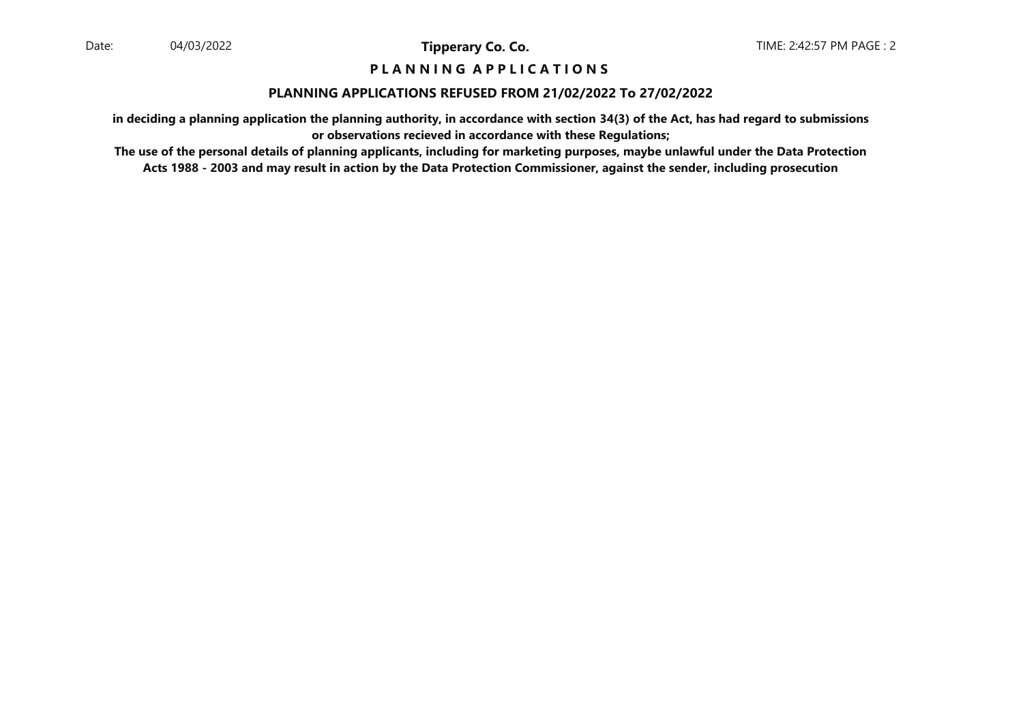#### **P L A N N I N G A P P L I C A T I O N S**

#### **PLANNING APPLICATIONS REFUSED FROM 21/02/2022 To 27/02/2022**

**in deciding a planning application the planning authority, in accordance with section 34(3) of the Act, has had regard to submissionsor observations recieved in accordance with these Regulations;**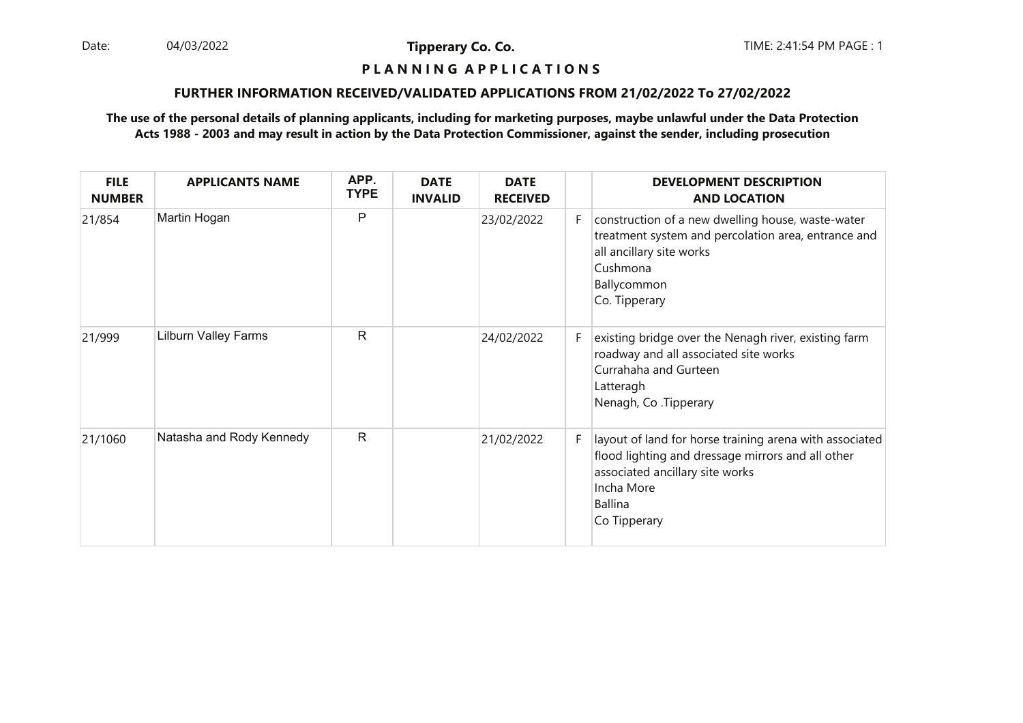Date: 04/03/2022 **Tipperary Co. Co. The Co. Co.** TIME: 2:41:54 PM PAGE : 1 04/03/2022

**Tipperary Co. Co.**

#### **P L A N N I N G A P P L I C A T I O N S**

#### **FURTHER INFORMATION RECEIVED/VALIDATED APPLICATIONS FROM 21/02/2022 To 27/02/2022**

| <b>FILE</b><br><b>NUMBER</b> | <b>APPLICANTS NAME</b>      | APP.<br><b>TYPE</b> | <b>DATE</b><br><b>INVALID</b> | <b>DATE</b><br><b>RECEIVED</b> |    | <b>DEVELOPMENT DESCRIPTION</b><br><b>AND LOCATION</b>                                                                                                                                    |
|------------------------------|-----------------------------|---------------------|-------------------------------|--------------------------------|----|------------------------------------------------------------------------------------------------------------------------------------------------------------------------------------------|
| 21/854                       | Martin Hogan                | P                   |                               | 23/02/2022                     | F. | construction of a new dwelling house, waste-water<br>treatment system and percolation area, entrance and<br>all ancillary site works<br>Cushmona<br>Ballycommon<br>Co. Tipperary         |
| 21/999                       | <b>Lilburn Valley Farms</b> | $\mathsf{R}$        |                               | 24/02/2022                     | F. | existing bridge over the Nenagh river, existing farm<br>roadway and all associated site works<br>Currahaha and Gurteen<br>Latteragh<br>Nenagh, Co. Tipperary                             |
| 21/1060                      | Natasha and Rody Kennedy    | $\mathsf{R}$        |                               | 21/02/2022                     | F. | layout of land for horse training arena with associated<br>flood lighting and dressage mirrors and all other<br>associated ancillary site works<br>Incha More<br>Ballina<br>Co Tipperary |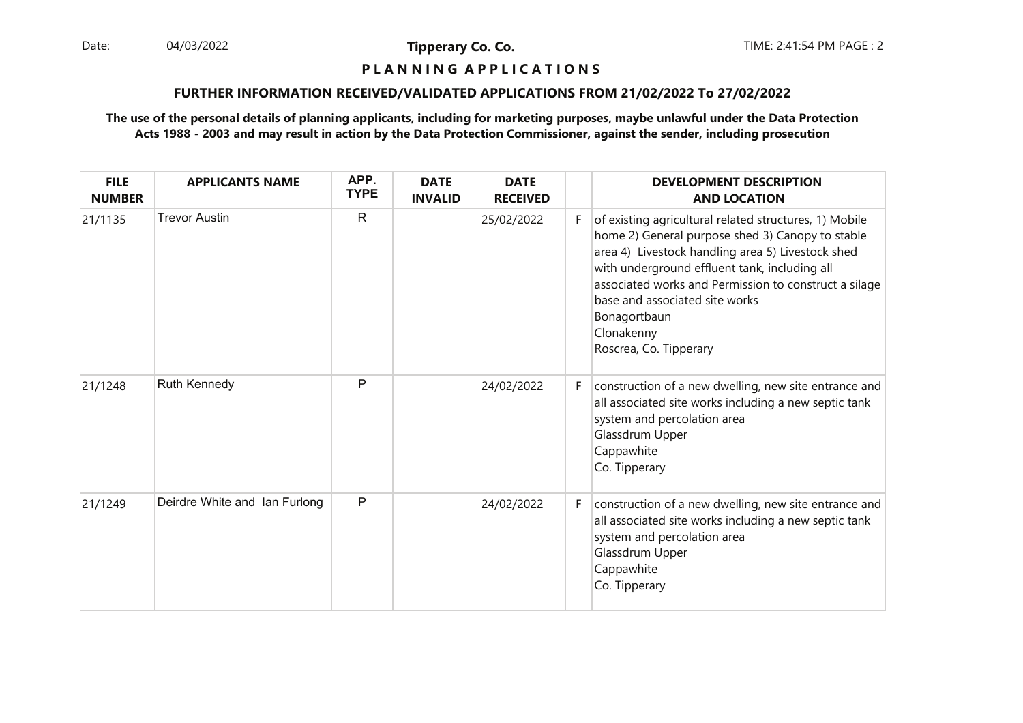Date: 04/03/2022 **Tipperary Co. Co. The Co. Co.** TIME: 2:41:54 PM PAGE : 2 04/03/2022

**Tipperary Co. Co.**

## **P L A N N I N G A P P L I C A T I O N S**

#### **FURTHER INFORMATION RECEIVED/VALIDATED APPLICATIONS FROM 21/02/2022 To 27/02/2022**

| <b>FILE</b><br><b>NUMBER</b> | <b>APPLICANTS NAME</b>        | APP.<br><b>TYPE</b> | <b>DATE</b><br><b>INVALID</b> | <b>DATE</b><br><b>RECEIVED</b> |    | <b>DEVELOPMENT DESCRIPTION</b><br><b>AND LOCATION</b>                                                                                                                                                                                                                                                                                                               |
|------------------------------|-------------------------------|---------------------|-------------------------------|--------------------------------|----|---------------------------------------------------------------------------------------------------------------------------------------------------------------------------------------------------------------------------------------------------------------------------------------------------------------------------------------------------------------------|
| 21/1135                      | <b>Trevor Austin</b>          | $\mathsf{R}$        |                               | 25/02/2022                     | F. | of existing agricultural related structures, 1) Mobile<br>home 2) General purpose shed 3) Canopy to stable<br>area 4) Livestock handling area 5) Livestock shed<br>with underground effluent tank, including all<br>associated works and Permission to construct a silage<br>base and associated site works<br>Bonagortbaun<br>Clonakenny<br>Roscrea, Co. Tipperary |
| 21/1248                      | Ruth Kennedy                  | P                   |                               | 24/02/2022                     | F. | construction of a new dwelling, new site entrance and<br>all associated site works including a new septic tank<br>system and percolation area<br>Glassdrum Upper<br>Cappawhite<br>Co. Tipperary                                                                                                                                                                     |
| 21/1249                      | Deirdre White and Ian Furlong | P                   |                               | 24/02/2022                     | F. | construction of a new dwelling, new site entrance and<br>all associated site works including a new septic tank<br>system and percolation area<br>Glassdrum Upper<br>Cappawhite<br>Co. Tipperary                                                                                                                                                                     |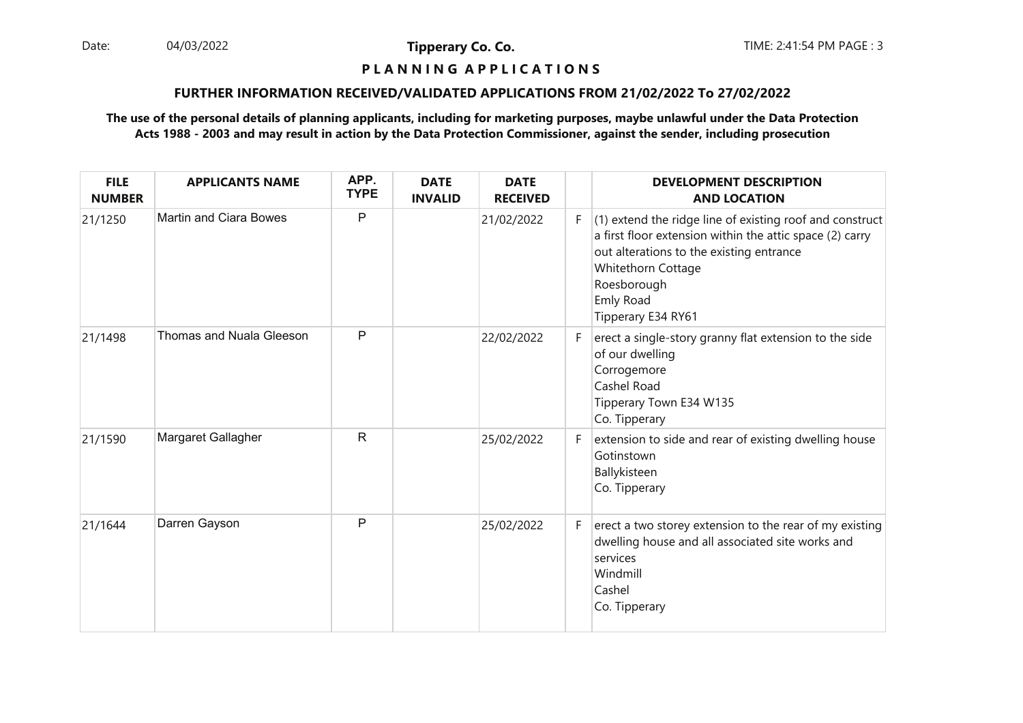Date: 04/03/2022 **Tipperary Co. Co. The Co. Co.** TIME: 2:41:54 PM PAGE : 3 04/03/2022

**Tipperary Co. Co.**

## **P L A N N I N G A P P L I C A T I O N S**

#### **FURTHER INFORMATION RECEIVED/VALIDATED APPLICATIONS FROM 21/02/2022 To 27/02/2022**

| <b>FILE</b><br><b>NUMBER</b> | <b>APPLICANTS NAME</b>        | APP.<br><b>TYPE</b> | <b>DATE</b><br><b>INVALID</b> | <b>DATE</b><br><b>RECEIVED</b> |    | <b>DEVELOPMENT DESCRIPTION</b><br><b>AND LOCATION</b>                                                                                                                                                                                    |
|------------------------------|-------------------------------|---------------------|-------------------------------|--------------------------------|----|------------------------------------------------------------------------------------------------------------------------------------------------------------------------------------------------------------------------------------------|
| 21/1250                      | <b>Martin and Ciara Bowes</b> | P                   |                               | 21/02/2022                     | F. | (1) extend the ridge line of existing roof and construct<br>a first floor extension within the attic space (2) carry<br>out alterations to the existing entrance<br>Whitethorn Cottage<br>Roesborough<br>Emly Road<br>Tipperary E34 RY61 |
| 21/1498                      | Thomas and Nuala Gleeson      | P                   |                               | 22/02/2022                     | F. | erect a single-story granny flat extension to the side<br>of our dwelling<br>Corrogemore<br>Cashel Road<br>Tipperary Town E34 W135<br>Co. Tipperary                                                                                      |
| 21/1590                      | Margaret Gallagher            | R                   |                               | 25/02/2022                     | F. | extension to side and rear of existing dwelling house<br>Gotinstown<br>Ballykisteen<br>Co. Tipperary                                                                                                                                     |
| 21/1644                      | Darren Gayson                 | P                   |                               | 25/02/2022                     | F. | erect a two storey extension to the rear of my existing<br>dwelling house and all associated site works and<br>services<br>Windmill<br>Cashel<br>Co. Tipperary                                                                           |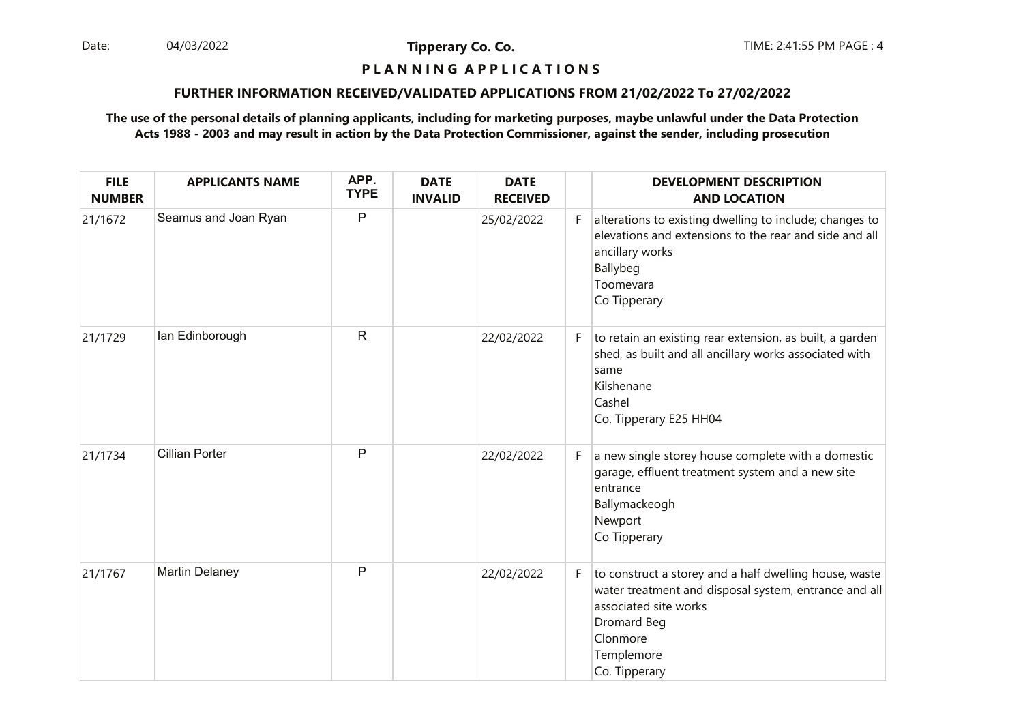Date: 04/03/2022 **Tipperary Co. Co. The Co. Co.** TIME: 2:41:55 PM PAGE : 4 04/03/2022

**Tipperary Co. Co.**

## **P L A N N I N G A P P L I C A T I O N S**

#### **FURTHER INFORMATION RECEIVED/VALIDATED APPLICATIONS FROM 21/02/2022 To 27/02/2022**

| <b>FILE</b><br><b>NUMBER</b> | <b>APPLICANTS NAME</b> | APP.<br><b>TYPE</b> | <b>DATE</b><br><b>INVALID</b> | <b>DATE</b><br><b>RECEIVED</b> |    | <b>DEVELOPMENT DESCRIPTION</b><br><b>AND LOCATION</b>                                                                                                                                              |
|------------------------------|------------------------|---------------------|-------------------------------|--------------------------------|----|----------------------------------------------------------------------------------------------------------------------------------------------------------------------------------------------------|
| 21/1672                      | Seamus and Joan Ryan   | P                   |                               | 25/02/2022                     | F. | alterations to existing dwelling to include; changes to<br>elevations and extensions to the rear and side and all<br>ancillary works<br>Ballybeg<br>Toomevara<br>Co Tipperary                      |
| 21/1729                      | lan Edinborough        | $\mathsf{R}$        |                               | 22/02/2022                     | F. | to retain an existing rear extension, as built, a garden<br>shed, as built and all ancillary works associated with<br>same<br>Kilshenane<br>Cashel<br>Co. Tipperary E25 HH04                       |
| 21/1734                      | <b>Cillian Porter</b>  | $\mathsf{P}$        |                               | 22/02/2022                     | F. | a new single storey house complete with a domestic<br>garage, effluent treatment system and a new site<br>entrance<br>Ballymackeogh<br>Newport<br>Co Tipperary                                     |
| 21/1767                      | <b>Martin Delaney</b>  | $\mathsf{P}$        |                               | 22/02/2022                     | F  | to construct a storey and a half dwelling house, waste<br>water treatment and disposal system, entrance and all<br>associated site works<br>Dromard Beg<br>Clonmore<br>Templemore<br>Co. Tipperary |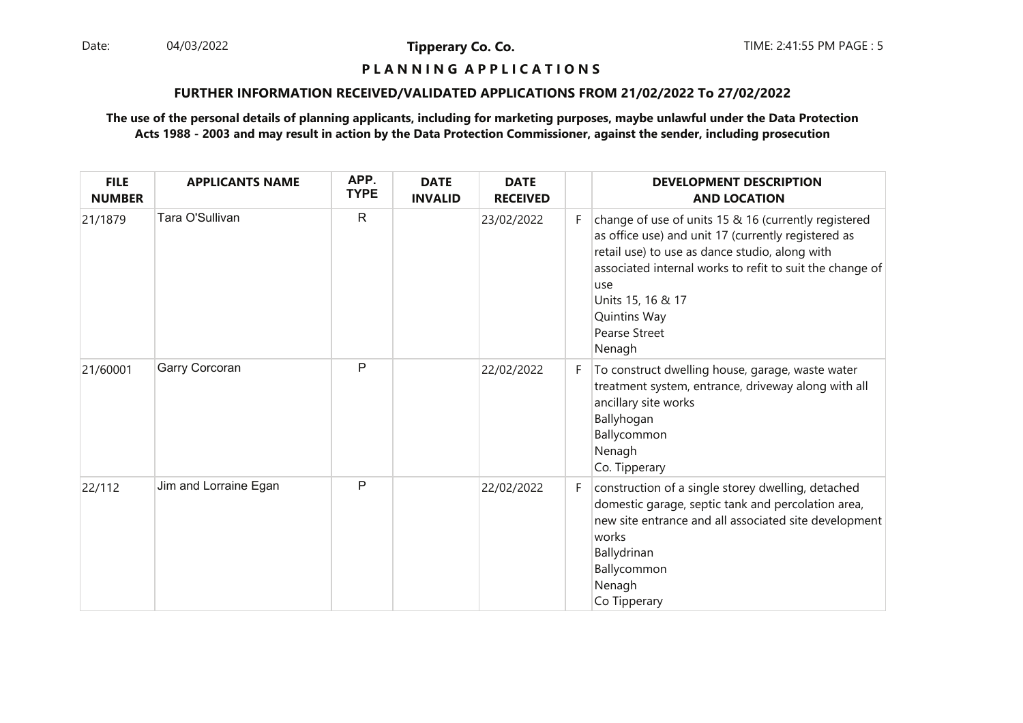Date: 04/03/2022 **Tipperary Co. Co. The Co. Co.** TIME: 2:41:55 PM PAGE : 5 04/03/2022

**Tipperary Co. Co.**

## **P L A N N I N G A P P L I C A T I O N S**

#### **FURTHER INFORMATION RECEIVED/VALIDATED APPLICATIONS FROM 21/02/2022 To 27/02/2022**

| <b>FILE</b><br><b>NUMBER</b> | <b>APPLICANTS NAME</b> | APP.<br><b>TYPE</b> | <b>DATE</b><br><b>INVALID</b> | <b>DATE</b><br><b>RECEIVED</b> |    | <b>DEVELOPMENT DESCRIPTION</b><br><b>AND LOCATION</b>                                                                                                                                                                                                                                                           |
|------------------------------|------------------------|---------------------|-------------------------------|--------------------------------|----|-----------------------------------------------------------------------------------------------------------------------------------------------------------------------------------------------------------------------------------------------------------------------------------------------------------------|
| 21/1879                      | Tara O'Sullivan        | $\mathsf{R}$        |                               | 23/02/2022                     | F. | change of use of units 15 & 16 (currently registered<br>as office use) and unit 17 (currently registered as<br>retail use) to use as dance studio, along with<br>associated internal works to refit to suit the change of<br>luse<br>Units 15, 16 & 17<br><b>Quintins Way</b><br><b>Pearse Street</b><br>Nenagh |
| 21/60001                     | Garry Corcoran         | P                   |                               | 22/02/2022                     | F. | To construct dwelling house, garage, waste water<br>treatment system, entrance, driveway along with all<br>ancillary site works<br>Ballyhogan<br>Ballycommon<br>Nenagh<br>Co. Tipperary                                                                                                                         |
| 22/112                       | Jim and Lorraine Egan  | P                   |                               | 22/02/2022                     | F. | construction of a single storey dwelling, detached<br>domestic garage, septic tank and percolation area,<br>new site entrance and all associated site development<br>works<br>Ballydrinan<br>Ballycommon<br>Nenagh<br>Co Tipperary                                                                              |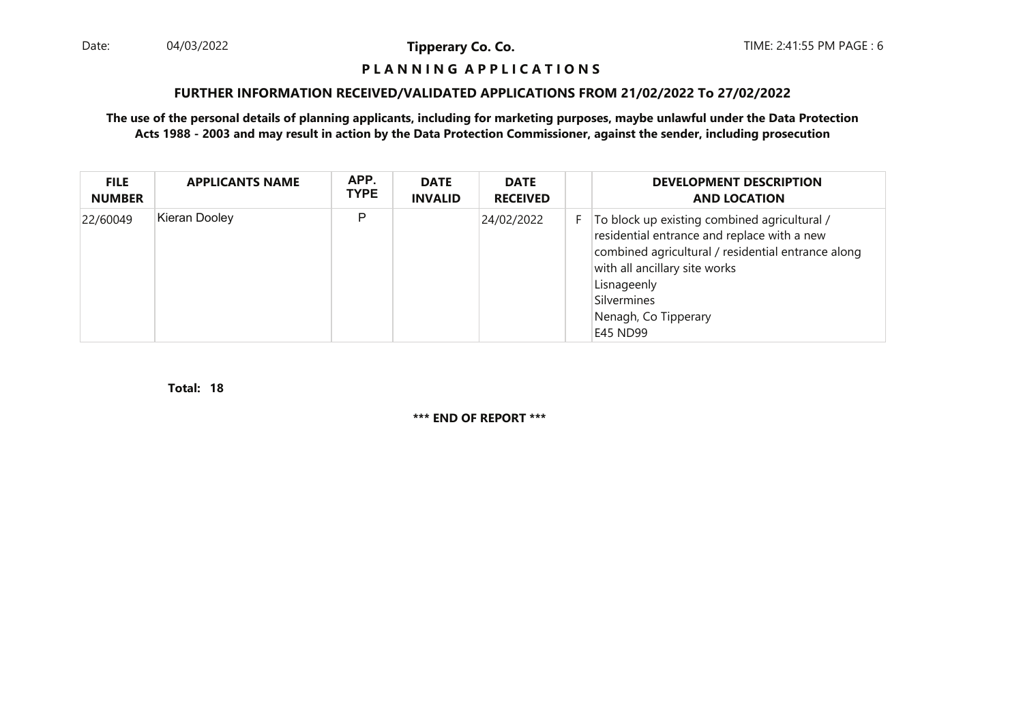Date: 04/03/2022 **Tipperary Co. Co. The Co. Co.** TIME: 2:41:55 PM PAGE : 6 04/03/2022

**Tipperary Co. Co.**

#### **P L A N N I N G A P P L I C A T I O N S**

#### **FURTHER INFORMATION RECEIVED/VALIDATED APPLICATIONS FROM 21/02/2022 To 27/02/2022**

**The use of the personal details of planning applicants, including for marketing purposes, maybe unlawful under the Data ProtectionActs 1988 - 2003 and may result in action by the Data Protection Commissioner, against the sender, including prosecution**

| <b>FILE</b><br><b>NUMBER</b> | <b>APPLICANTS NAME</b> | APP.<br><b>TYPE</b> | <b>DATE</b><br><b>INVALID</b> | <b>DATE</b><br><b>RECEIVED</b> |    | <b>DEVELOPMENT DESCRIPTION</b><br><b>AND LOCATION</b>                                                                                                                                                                                                |
|------------------------------|------------------------|---------------------|-------------------------------|--------------------------------|----|------------------------------------------------------------------------------------------------------------------------------------------------------------------------------------------------------------------------------------------------------|
| 22/60049                     | Kieran Dooley          | P                   |                               | 24/02/2022                     | F. | To block up existing combined agricultural /<br>residential entrance and replace with a new<br>combined agricultural / residential entrance along<br>with all ancillary site works<br>Lisnageenly<br>Silvermines<br>Nenagh, Co Tipperary<br>E45 ND99 |

**18Total:**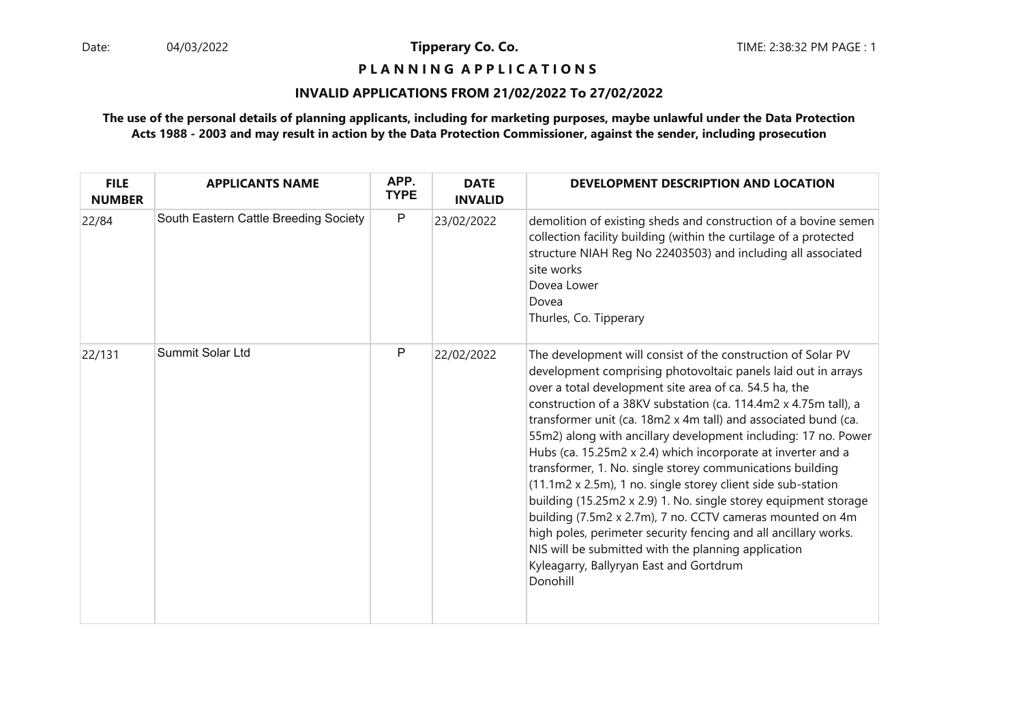### **P L A N N I N G A P P L I C A T I O N S**

#### **INVALID APPLICATIONS FROM 21/02/2022 To 27/02/2022**

| <b>FILE</b><br><b>NUMBER</b> | <b>APPLICANTS NAME</b>                | APP.<br><b>TYPE</b> | <b>DATE</b><br><b>INVALID</b> | DEVELOPMENT DESCRIPTION AND LOCATION                                                                                                                                                                                                                                                                                                                                                                                                                                                                                                                                                                                                                                                                                                                                                                                                                                                                         |
|------------------------------|---------------------------------------|---------------------|-------------------------------|--------------------------------------------------------------------------------------------------------------------------------------------------------------------------------------------------------------------------------------------------------------------------------------------------------------------------------------------------------------------------------------------------------------------------------------------------------------------------------------------------------------------------------------------------------------------------------------------------------------------------------------------------------------------------------------------------------------------------------------------------------------------------------------------------------------------------------------------------------------------------------------------------------------|
| 22/84                        | South Eastern Cattle Breeding Society | $\mathsf{P}$        | 23/02/2022                    | demolition of existing sheds and construction of a bovine semen<br>collection facility building (within the curtilage of a protected<br>structure NIAH Reg No 22403503) and including all associated<br>site works<br>Dovea Lower<br>Dovea<br>Thurles, Co. Tipperary                                                                                                                                                                                                                                                                                                                                                                                                                                                                                                                                                                                                                                         |
| 22/131                       | <b>Summit Solar Ltd</b>               | P                   | 22/02/2022                    | The development will consist of the construction of Solar PV<br>development comprising photovoltaic panels laid out in arrays<br>over a total development site area of ca. 54.5 ha, the<br>construction of a 38KV substation (ca. 114.4m2 x 4.75m tall), a<br>transformer unit (ca. 18m2 x 4m tall) and associated bund (ca.<br>55m2) along with ancillary development including: 17 no. Power<br>Hubs (ca. 15.25m2 x 2.4) which incorporate at inverter and a<br>transformer, 1. No. single storey communications building<br>(11.1m2 x 2.5m), 1 no. single storey client side sub-station<br>building (15.25m2 x 2.9) 1. No. single storey equipment storage<br>building (7.5m2 x 2.7m), 7 no. CCTV cameras mounted on 4m<br>high poles, perimeter security fencing and all ancillary works.<br>NIS will be submitted with the planning application<br>Kyleagarry, Ballyryan East and Gortdrum<br>Donohill |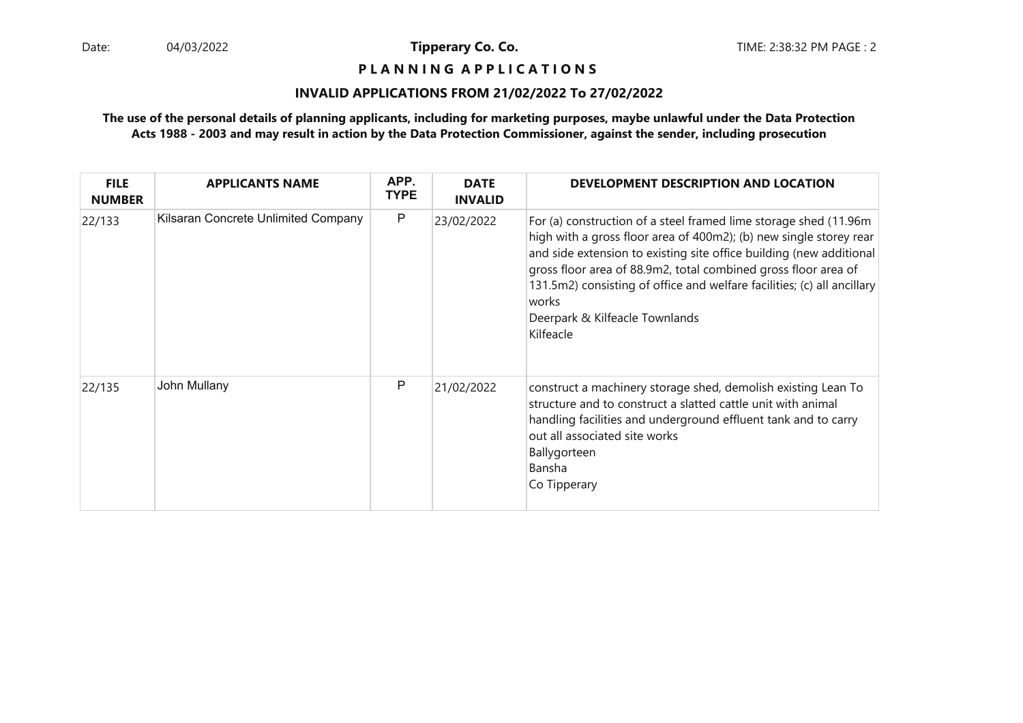### **P L A N N I N G A P P L I C A T I O N S**

#### **INVALID APPLICATIONS FROM 21/02/2022 To 27/02/2022**

| <b>FILE</b><br><b>NUMBER</b> | <b>APPLICANTS NAME</b>              | APP.<br><b>TYPE</b> | <b>DATE</b><br><b>INVALID</b> | DEVELOPMENT DESCRIPTION AND LOCATION                                                                                                                                                                                                                                                                                                                                                                                |
|------------------------------|-------------------------------------|---------------------|-------------------------------|---------------------------------------------------------------------------------------------------------------------------------------------------------------------------------------------------------------------------------------------------------------------------------------------------------------------------------------------------------------------------------------------------------------------|
| 22/133                       | Kilsaran Concrete Unlimited Company | P                   | 23/02/2022                    | For (a) construction of a steel framed lime storage shed (11.96m)<br>high with a gross floor area of 400m2); (b) new single storey rear<br>and side extension to existing site office building (new additional<br>gross floor area of 88.9m2, total combined gross floor area of<br>131.5m2) consisting of office and welfare facilities; (c) all ancillary<br>works<br>Deerpark & Kilfeacle Townlands<br>Kilfeacle |
| 22/135                       | John Mullany                        | P                   | 21/02/2022                    | construct a machinery storage shed, demolish existing Lean To<br>structure and to construct a slatted cattle unit with animal<br>handling facilities and underground effluent tank and to carry<br>out all associated site works<br>Ballygorteen<br>Bansha<br>Co Tipperary                                                                                                                                          |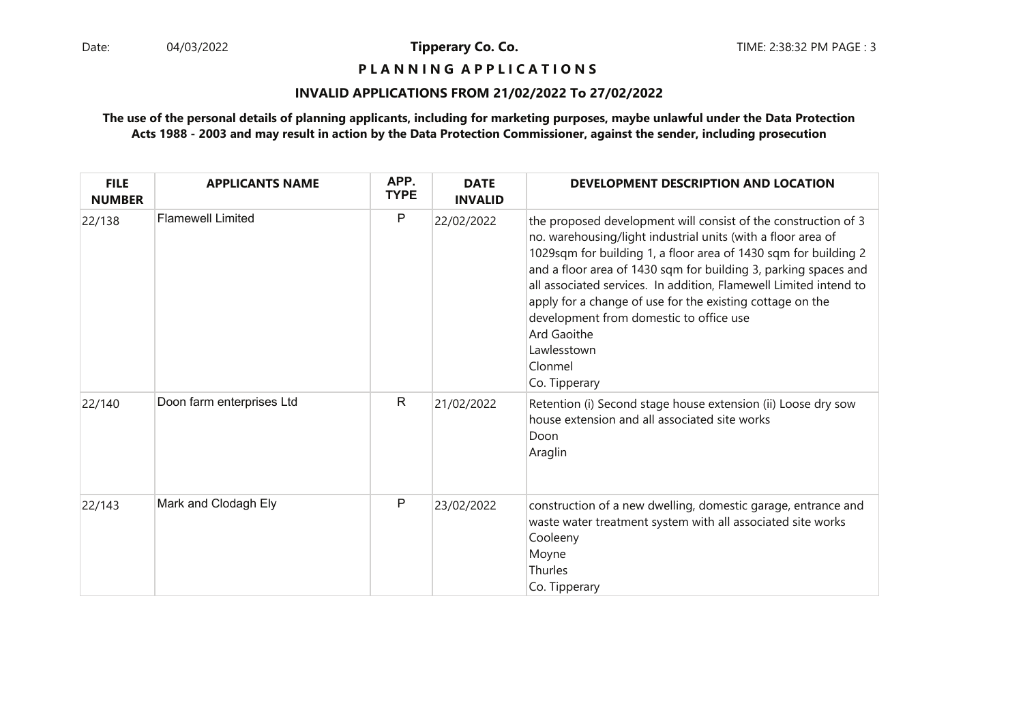**P L A N N I N G A P P L I C A T I O N S** 

#### **INVALID APPLICATIONS FROM 21/02/2022 To 27/02/2022**

| <b>FILE</b><br><b>NUMBER</b> | <b>APPLICANTS NAME</b>    | APP.<br><b>TYPE</b> | <b>DATE</b><br><b>INVALID</b> | DEVELOPMENT DESCRIPTION AND LOCATION                                                                                                                                                                                                                                                                                                                                                                                                                                                                        |
|------------------------------|---------------------------|---------------------|-------------------------------|-------------------------------------------------------------------------------------------------------------------------------------------------------------------------------------------------------------------------------------------------------------------------------------------------------------------------------------------------------------------------------------------------------------------------------------------------------------------------------------------------------------|
| 22/138                       | <b>Flamewell Limited</b>  | P                   | 22/02/2022                    | the proposed development will consist of the construction of 3<br>no. warehousing/light industrial units (with a floor area of<br>1029sqm for building 1, a floor area of 1430 sqm for building 2<br>and a floor area of 1430 sqm for building 3, parking spaces and<br>all associated services. In addition, Flamewell Limited intend to<br>apply for a change of use for the existing cottage on the<br>development from domestic to office use<br>Ard Gaoithe<br>Lawlesstown<br>Clonmel<br>Co. Tipperary |
| 22/140                       | Doon farm enterprises Ltd | R                   | 21/02/2022                    | Retention (i) Second stage house extension (ii) Loose dry sow<br>house extension and all associated site works<br>Doon<br>Araglin                                                                                                                                                                                                                                                                                                                                                                           |
| 22/143                       | Mark and Clodagh Ely      | P                   | 23/02/2022                    | construction of a new dwelling, domestic garage, entrance and<br>waste water treatment system with all associated site works<br>Cooleeny<br>Moyne<br>Thurles<br>Co. Tipperary                                                                                                                                                                                                                                                                                                                               |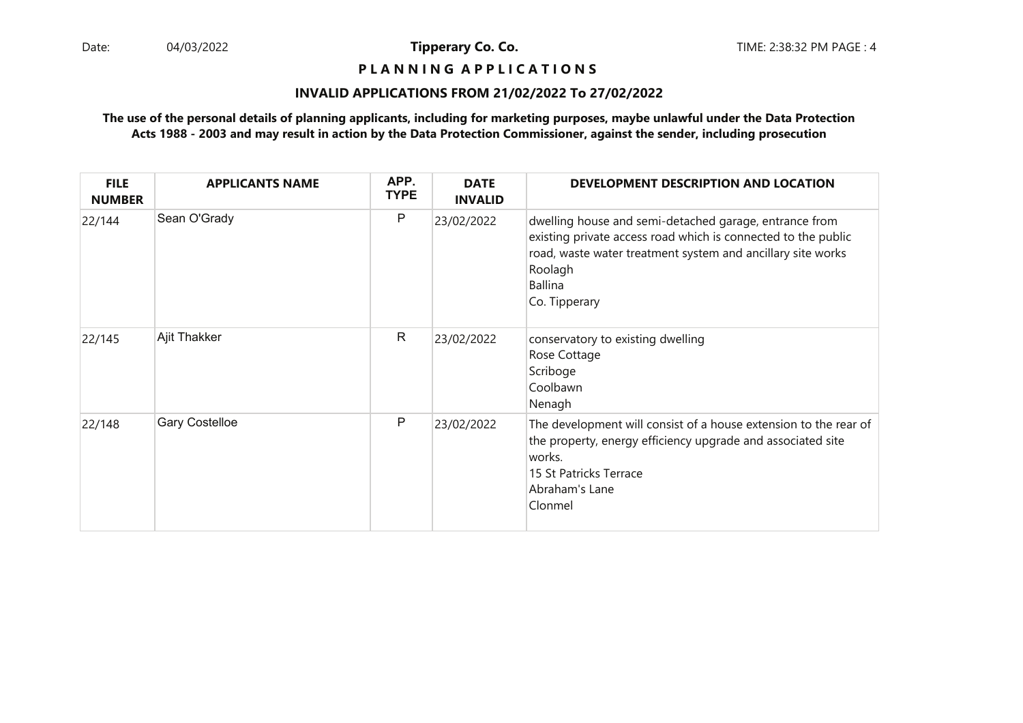### **P L A N N I N G A P P L I C A T I O N S**

#### **INVALID APPLICATIONS FROM 21/02/2022 To 27/02/2022**

| <b>FILE</b><br><b>NUMBER</b> | <b>APPLICANTS NAME</b> | APP.<br><b>TYPE</b> | <b>DATE</b><br><b>INVALID</b> | DEVELOPMENT DESCRIPTION AND LOCATION                                                                                                                                                                                                 |
|------------------------------|------------------------|---------------------|-------------------------------|--------------------------------------------------------------------------------------------------------------------------------------------------------------------------------------------------------------------------------------|
| 22/144                       | Sean O'Grady           | P                   | 23/02/2022                    | dwelling house and semi-detached garage, entrance from<br>existing private access road which is connected to the public<br>road, waste water treatment system and ancillary site works<br>Roolagh<br><b>Ballina</b><br>Co. Tipperary |
| 22/145                       | Ajit Thakker           | $\mathsf{R}$        | 23/02/2022                    | conservatory to existing dwelling<br>Rose Cottage<br>Scriboge<br>Coolbawn<br>Nenagh                                                                                                                                                  |
| 22/148                       | <b>Gary Costelloe</b>  | P                   | 23/02/2022                    | The development will consist of a house extension to the rear of<br>the property, energy efficiency upgrade and associated site<br>works.<br>15 St Patricks Terrace<br>Abraham's Lane<br>Clonmel                                     |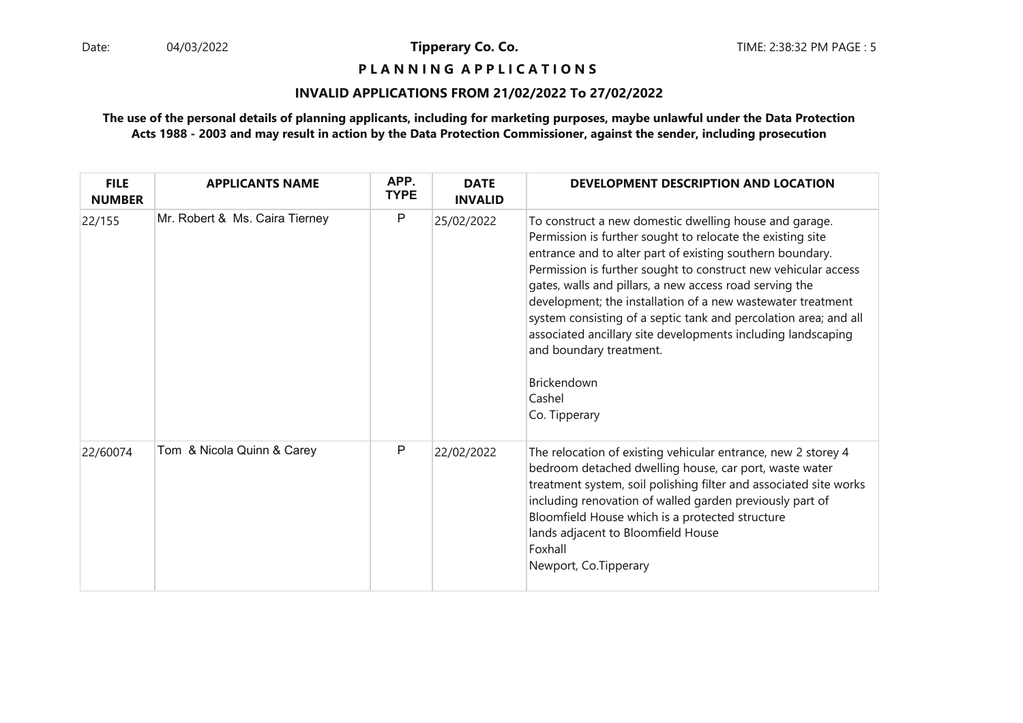**P L A N N I N G A P P L I C A T I O N S** 

#### **INVALID APPLICATIONS FROM 21/02/2022 To 27/02/2022**

| <b>FILE</b><br><b>NUMBER</b> | <b>APPLICANTS NAME</b>         | APP.<br><b>TYPE</b> | <b>DATE</b><br><b>INVALID</b> | DEVELOPMENT DESCRIPTION AND LOCATION                                                                                                                                                                                                                                                                                                                                                                                                                                                                                                                                                          |
|------------------------------|--------------------------------|---------------------|-------------------------------|-----------------------------------------------------------------------------------------------------------------------------------------------------------------------------------------------------------------------------------------------------------------------------------------------------------------------------------------------------------------------------------------------------------------------------------------------------------------------------------------------------------------------------------------------------------------------------------------------|
| 22/155                       | Mr. Robert & Ms. Caira Tierney | $\mathsf{P}$        | 25/02/2022                    | To construct a new domestic dwelling house and garage.<br>Permission is further sought to relocate the existing site<br>entrance and to alter part of existing southern boundary.<br>Permission is further sought to construct new vehicular access<br>gates, walls and pillars, a new access road serving the<br>development; the installation of a new wastewater treatment<br>system consisting of a septic tank and percolation area; and all<br>associated ancillary site developments including landscaping<br>and boundary treatment.<br><b>Brickendown</b><br>Cashel<br>Co. Tipperary |
| 22/60074                     | Tom & Nicola Quinn & Carey     | P                   | 22/02/2022                    | The relocation of existing vehicular entrance, new 2 storey 4<br>bedroom detached dwelling house, car port, waste water<br>treatment system, soil polishing filter and associated site works<br>including renovation of walled garden previously part of<br>Bloomfield House which is a protected structure<br>lands adjacent to Bloomfield House<br>Foxhall<br>Newport, Co.Tipperary                                                                                                                                                                                                         |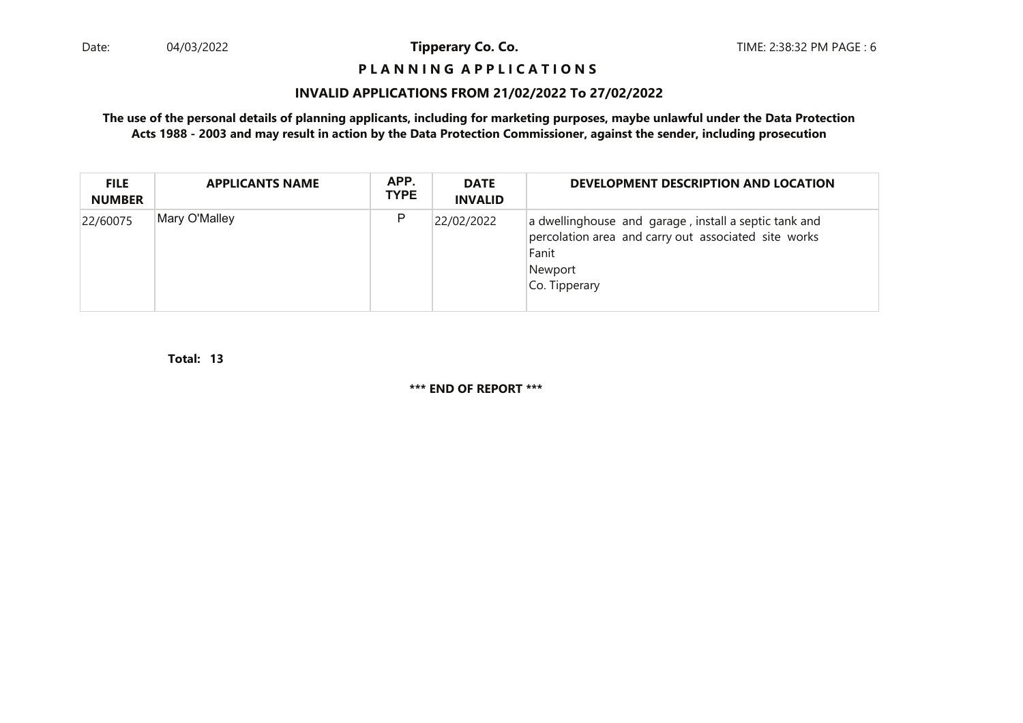## **P L A N N I N G A P P L I C A T I O N S**

#### **INVALID APPLICATIONS FROM 21/02/2022 To 27/02/2022**

**The use of the personal details of planning applicants, including for marketing purposes, maybe unlawful under the Data ProtectionActs 1988 - 2003 and may result in action by the Data Protection Commissioner, against the sender, including prosecution**

| <b>FILE</b><br><b>NUMBER</b> | <b>APPLICANTS NAME</b> | APP.<br><b>TYPE</b> | <b>DATE</b><br><b>INVALID</b> | DEVELOPMENT DESCRIPTION AND LOCATION                                                                                                               |
|------------------------------|------------------------|---------------------|-------------------------------|----------------------------------------------------------------------------------------------------------------------------------------------------|
| 22/60075                     | Mary O'Malley          | P                   | 22/02/2022                    | a dwellinghouse and garage, install a septic tank and<br>percolation area and carry out associated site works<br>Fanit<br>Newport<br>Co. Tipperary |

**13Total:**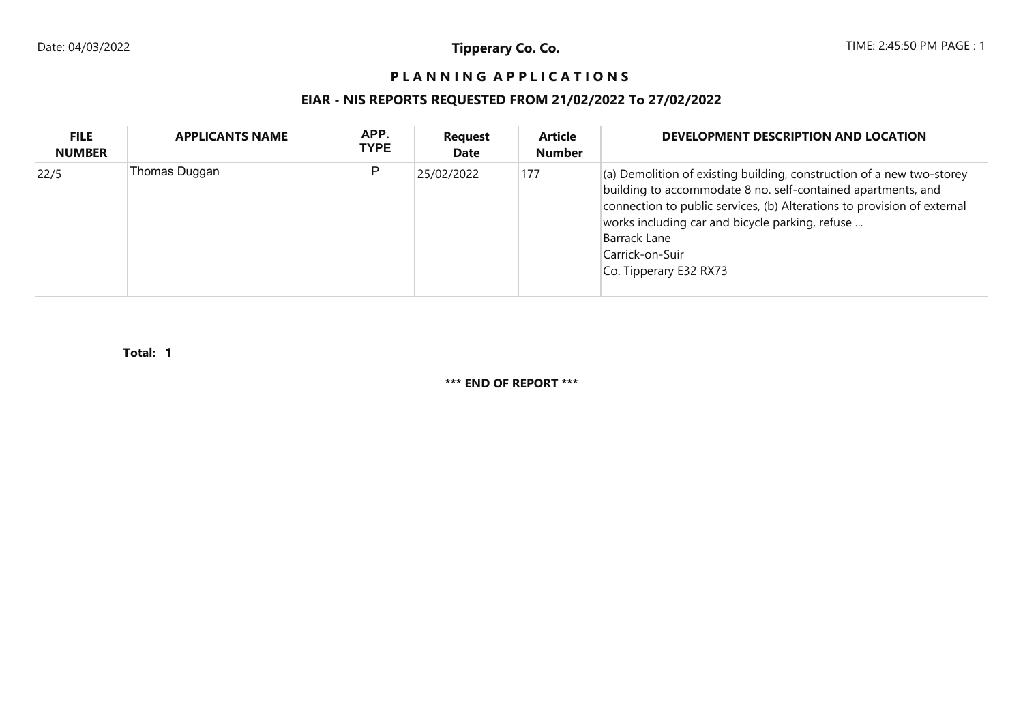## PLANNING APPLICATIONS

## **EIAR - NIS REPORTS REQUESTED FROM 21/02/2022 To 27/02/2022**

| <b>FILE</b><br><b>NUMBER</b> | <b>APPLICANTS NAME</b> | APP.<br><b>TYPE</b> | <b>Request</b><br>Date | <b>Article</b><br><b>Number</b> | DEVELOPMENT DESCRIPTION AND LOCATION                                                                                                                                                                                                                                                                                                     |
|------------------------------|------------------------|---------------------|------------------------|---------------------------------|------------------------------------------------------------------------------------------------------------------------------------------------------------------------------------------------------------------------------------------------------------------------------------------------------------------------------------------|
| 22/5                         | Thomas Duggan          | P                   | 25/02/2022             | 177                             | $\vert$ (a) Demolition of existing building, construction of a new two-storey<br>building to accommodate 8 no. self-contained apartments, and<br>connection to public services, (b) Alterations to provision of external<br>works including car and bicycle parking, refuse<br>Barrack Lane<br>Carrick-on-Suir<br>Co. Tipperary E32 RX73 |

**1Total:**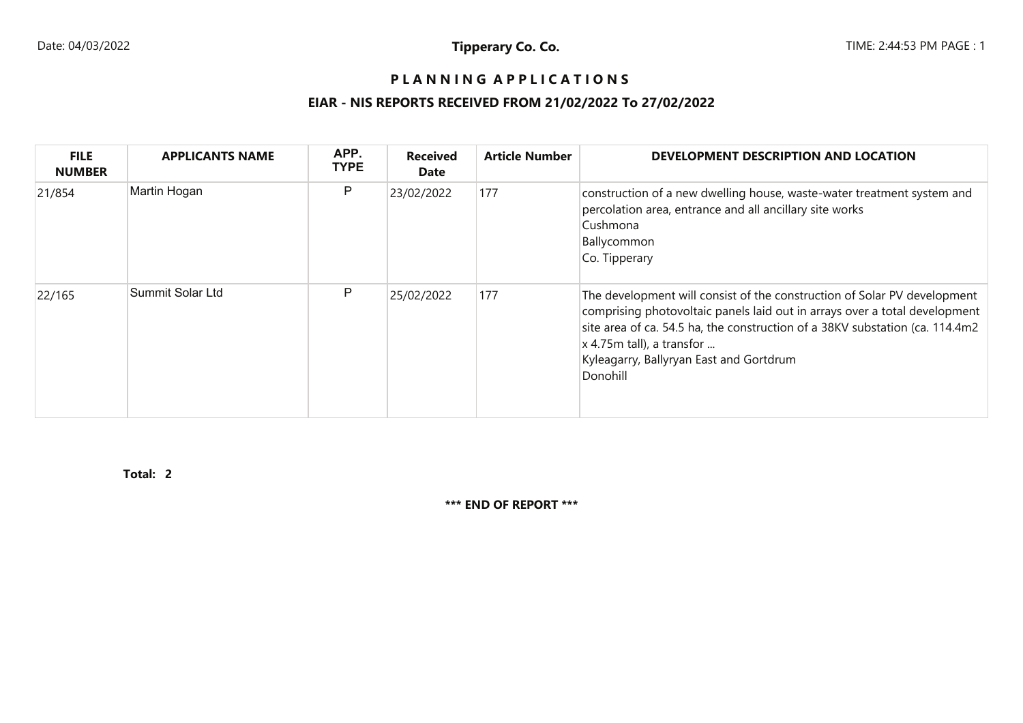## PLANNING APPLICATIONS

## **EIAR - NIS REPORTS RECEIVED FROM 21/02/2022 To 27/02/2022**

| <b>FILE</b><br><b>NUMBER</b> | <b>APPLICANTS NAME</b> | APP.<br><b>TYPE</b> | <b>Received</b><br>Date | <b>Article Number</b> | DEVELOPMENT DESCRIPTION AND LOCATION                                                                                                                                                                                                                                                                                                      |
|------------------------------|------------------------|---------------------|-------------------------|-----------------------|-------------------------------------------------------------------------------------------------------------------------------------------------------------------------------------------------------------------------------------------------------------------------------------------------------------------------------------------|
| 21/854                       | Martin Hogan           | P                   | 23/02/2022              | 177                   | construction of a new dwelling house, waste-water treatment system and<br>percolation area, entrance and all ancillary site works<br>Cushmona<br>Ballycommon<br>Co. Tipperary                                                                                                                                                             |
| 22/165                       | Summit Solar Ltd       | P                   | 25/02/2022              | 177                   | The development will consist of the construction of Solar PV development<br>comprising photovoltaic panels laid out in arrays over a total development<br>site area of ca. 54.5 ha, the construction of a 38KV substation (ca. 114.4m2)<br>$\vert x\vert 4.75$ m tall), a transfor<br>Kyleagarry, Ballyryan East and Gortdrum<br>Donohill |

**2Total:**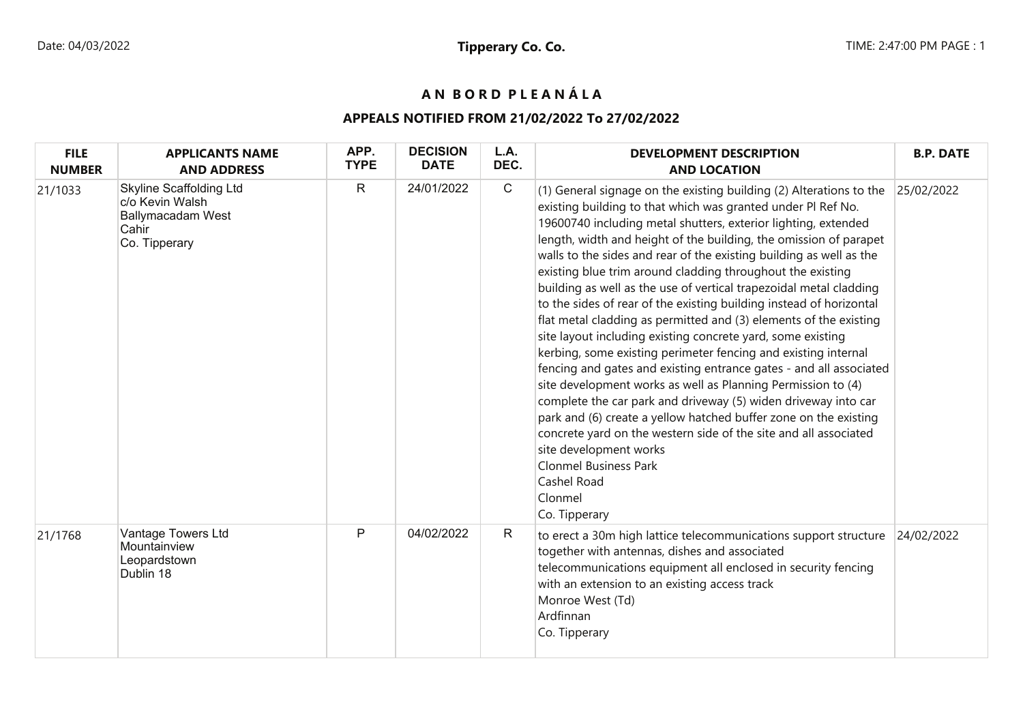# **A N B O R D P L E A N Á L A**

## **APPEALS NOTIFIED FROM 21/02/2022 To 27/02/2022**

| <b>FILE</b><br><b>NUMBER</b> | <b>APPLICANTS NAME</b><br><b>AND ADDRESS</b>                                                            | APP.<br><b>TYPE</b> | <b>DECISION</b><br><b>DATE</b> | L.A.<br>DEC. | <b>DEVELOPMENT DESCRIPTION</b><br><b>AND LOCATION</b>                                                                                                                                                                                                                                                                                                                                                                                                                                                                                                                                                                                                                                                                                                                                                                                                                                                                                                                                                                                                                                                                                                                                                                   | <b>B.P. DATE</b> |
|------------------------------|---------------------------------------------------------------------------------------------------------|---------------------|--------------------------------|--------------|-------------------------------------------------------------------------------------------------------------------------------------------------------------------------------------------------------------------------------------------------------------------------------------------------------------------------------------------------------------------------------------------------------------------------------------------------------------------------------------------------------------------------------------------------------------------------------------------------------------------------------------------------------------------------------------------------------------------------------------------------------------------------------------------------------------------------------------------------------------------------------------------------------------------------------------------------------------------------------------------------------------------------------------------------------------------------------------------------------------------------------------------------------------------------------------------------------------------------|------------------|
| 21/1033                      | <b>Skyline Scaffolding Ltd</b><br>c/o Kevin Walsh<br><b>Ballymacadam West</b><br>Cahir<br>Co. Tipperary | $\mathsf{R}$        | 24/01/2022                     | $\mathsf{C}$ | (1) General signage on the existing building (2) Alterations to the<br>existing building to that which was granted under PI Ref No.<br>19600740 including metal shutters, exterior lighting, extended<br>length, width and height of the building, the omission of parapet<br>walls to the sides and rear of the existing building as well as the<br>existing blue trim around cladding throughout the existing<br>building as well as the use of vertical trapezoidal metal cladding<br>to the sides of rear of the existing building instead of horizontal<br>flat metal cladding as permitted and (3) elements of the existing<br>site layout including existing concrete yard, some existing<br>kerbing, some existing perimeter fencing and existing internal<br>fencing and gates and existing entrance gates - and all associated<br>site development works as well as Planning Permission to (4)<br>complete the car park and driveway (5) widen driveway into car<br>park and (6) create a yellow hatched buffer zone on the existing<br>concrete yard on the western side of the site and all associated<br>site development works<br><b>Clonmel Business Park</b><br>Cashel Road<br>Clonmel<br>Co. Tipperary | 25/02/2022       |
| 21/1768                      | Vantage Towers Ltd<br>Mountainview<br>Leopardstown<br>Dublin 18                                         | P                   | 04/02/2022                     | R            | to erect a 30m high lattice telecommunications support structure<br>together with antennas, dishes and associated<br>telecommunications equipment all enclosed in security fencing<br>with an extension to an existing access track<br>Monroe West (Td)<br>Ardfinnan<br>Co. Tipperary                                                                                                                                                                                                                                                                                                                                                                                                                                                                                                                                                                                                                                                                                                                                                                                                                                                                                                                                   | 24/02/2022       |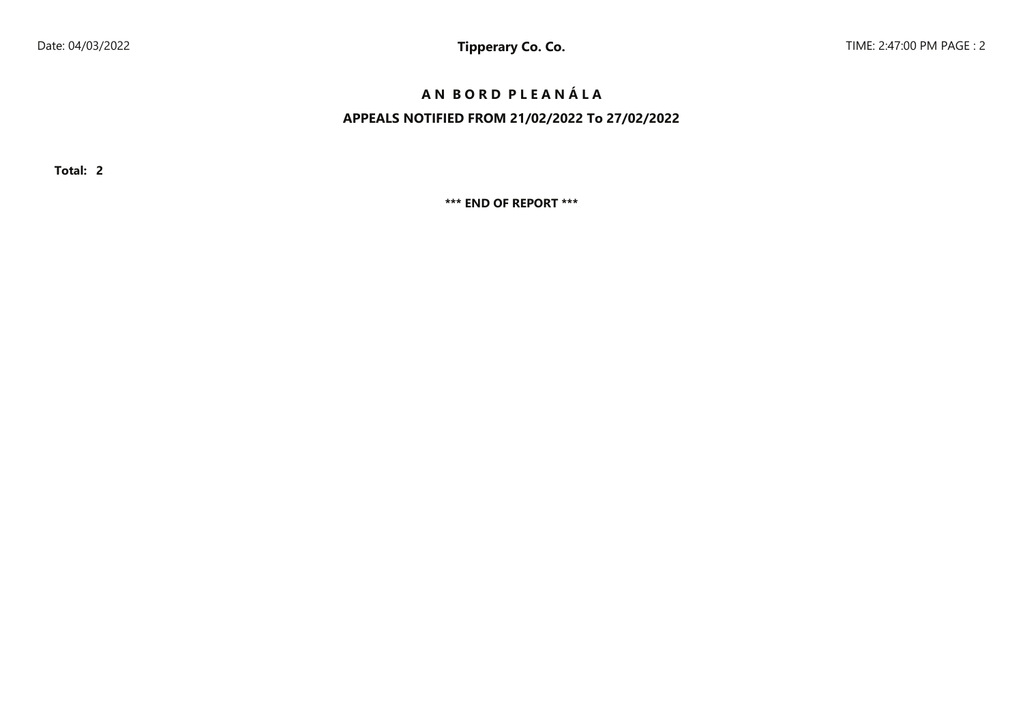# **A N B O R D P L E A N Á L A**

# **APPEALS NOTIFIED FROM 21/02/2022 To 27/02/2022**

**Total: 2**